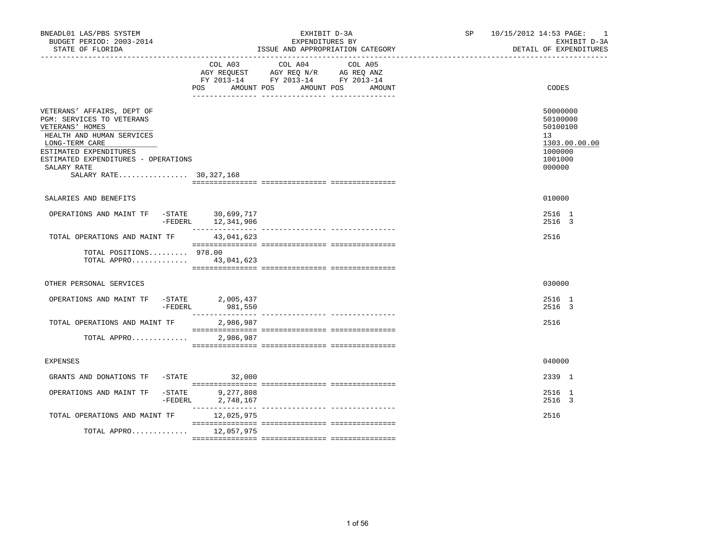| BNEADL01 LAS/PBS SYSTEM<br>BUDGET PERIOD: 2003-2014<br>STATE OF FLORIDA                                                                                                                                                             |                                                                                                                                                                                                                                                                                                                                                                                                                                                                                                   | EXHIBIT D-3A<br>EXPENDITURES BY<br>ISSUE AND APPROPRIATION CATEGORY                                                                       | SP and the set of the set of the set of the set of the set of the set of the set of the set of the set of the set of the set of the set of the set of the set of the set of the set of the set of the set of the set of the se | 10/15/2012 14:53 PAGE: 1<br>EXHIBIT D-3A<br>DETAIL OF EXPENDITURES                      |
|-------------------------------------------------------------------------------------------------------------------------------------------------------------------------------------------------------------------------------------|---------------------------------------------------------------------------------------------------------------------------------------------------------------------------------------------------------------------------------------------------------------------------------------------------------------------------------------------------------------------------------------------------------------------------------------------------------------------------------------------------|-------------------------------------------------------------------------------------------------------------------------------------------|--------------------------------------------------------------------------------------------------------------------------------------------------------------------------------------------------------------------------------|-----------------------------------------------------------------------------------------|
|                                                                                                                                                                                                                                     | COL A03<br><b>POS</b>                                                                                                                                                                                                                                                                                                                                                                                                                                                                             | COL A04<br>COL A05<br>AGY REQUEST AGY REQ N/R AG REQ ANZ<br>FY 2013-14 FY 2013-14 FY 2013-14<br>AMOUNT POS<br>AMOUNT POS<br><b>AMOUNT</b> |                                                                                                                                                                                                                                | CODES                                                                                   |
| VETERANS' AFFAIRS, DEPT OF<br>PGM: SERVICES TO VETERANS<br>VETERANS' HOMES<br>HEALTH AND HUMAN SERVICES<br>LONG-TERM CARE<br>ESTIMATED EXPENDITURES<br>ESTIMATED EXPENDITURES - OPERATIONS<br>SALARY RATE<br>SALARY RATE 30,327,168 |                                                                                                                                                                                                                                                                                                                                                                                                                                                                                                   |                                                                                                                                           |                                                                                                                                                                                                                                | 50000000<br>50100000<br>50100100<br>13<br>1303.00.00.00<br>1000000<br>1001000<br>000000 |
| SALARIES AND BENEFITS                                                                                                                                                                                                               |                                                                                                                                                                                                                                                                                                                                                                                                                                                                                                   |                                                                                                                                           |                                                                                                                                                                                                                                | 010000                                                                                  |
| OPERATIONS AND MAINT TF -STATE 30,699,717<br>FEDERL 12,341,906                                                                                                                                                                      |                                                                                                                                                                                                                                                                                                                                                                                                                                                                                                   |                                                                                                                                           |                                                                                                                                                                                                                                | 2516 1<br>2516 3                                                                        |
| TOTAL OPERATIONS AND MAINT TF                                                                                                                                                                                                       | 43,041,623                                                                                                                                                                                                                                                                                                                                                                                                                                                                                        |                                                                                                                                           |                                                                                                                                                                                                                                | 2516                                                                                    |
| TOTAL POSITIONS 978.00<br>TOTAL APPRO 43,041,623                                                                                                                                                                                    |                                                                                                                                                                                                                                                                                                                                                                                                                                                                                                   |                                                                                                                                           |                                                                                                                                                                                                                                |                                                                                         |
| OTHER PERSONAL SERVICES                                                                                                                                                                                                             |                                                                                                                                                                                                                                                                                                                                                                                                                                                                                                   |                                                                                                                                           |                                                                                                                                                                                                                                | 030000                                                                                  |
| OPERATIONS AND MAINT TF -STATE 2,005,437<br>-FEDERL                                                                                                                                                                                 | 981,550<br>$\begin{array}{cccccccccc} \multicolumn{2}{c}{} & \multicolumn{2}{c}{} & \multicolumn{2}{c}{} & \multicolumn{2}{c}{} & \multicolumn{2}{c}{} & \multicolumn{2}{c}{} & \multicolumn{2}{c}{} & \multicolumn{2}{c}{} & \multicolumn{2}{c}{} & \multicolumn{2}{c}{} & \multicolumn{2}{c}{} & \multicolumn{2}{c}{} & \multicolumn{2}{c}{} & \multicolumn{2}{c}{} & \multicolumn{2}{c}{} & \multicolumn{2}{c}{} & \multicolumn{2}{c}{} & \multicolumn{2}{c}{} & \multicolumn{2}{c}{} & \mult$ |                                                                                                                                           |                                                                                                                                                                                                                                | 2516 1<br>2516 3                                                                        |
| TOTAL OPERATIONS AND MAINT TF<br>TOTAL APPRO                                                                                                                                                                                        | 2,986,987<br>2,986,987                                                                                                                                                                                                                                                                                                                                                                                                                                                                            |                                                                                                                                           |                                                                                                                                                                                                                                | 2516                                                                                    |
|                                                                                                                                                                                                                                     |                                                                                                                                                                                                                                                                                                                                                                                                                                                                                                   |                                                                                                                                           |                                                                                                                                                                                                                                |                                                                                         |
| <b>EXPENSES</b>                                                                                                                                                                                                                     |                                                                                                                                                                                                                                                                                                                                                                                                                                                                                                   |                                                                                                                                           |                                                                                                                                                                                                                                | 040000                                                                                  |
| GRANTS AND DONATIONS TF -STATE 32,000                                                                                                                                                                                               |                                                                                                                                                                                                                                                                                                                                                                                                                                                                                                   |                                                                                                                                           |                                                                                                                                                                                                                                | 2339 1                                                                                  |
| OPERATIONS AND MAINT TF<br>$-$ STATE<br>-FEDERL                                                                                                                                                                                     | 9,277,808<br>2,748,167                                                                                                                                                                                                                                                                                                                                                                                                                                                                            |                                                                                                                                           |                                                                                                                                                                                                                                | 2516 1<br>2516 3                                                                        |
| TOTAL OPERATIONS AND MAINT TF                                                                                                                                                                                                       | 12,025,975                                                                                                                                                                                                                                                                                                                                                                                                                                                                                        |                                                                                                                                           |                                                                                                                                                                                                                                | 2516                                                                                    |
| TOTAL APPRO 12,057,975                                                                                                                                                                                                              |                                                                                                                                                                                                                                                                                                                                                                                                                                                                                                   |                                                                                                                                           |                                                                                                                                                                                                                                |                                                                                         |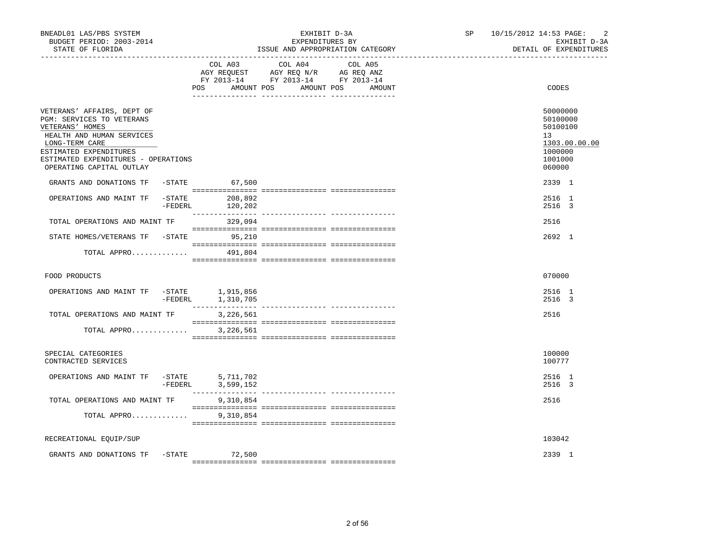| BNEADL01 LAS/PBS SYSTEM<br>BUDGET PERIOD: 2003-2014<br>STATE OF FLORIDA                                                                                                                                                |           |                                 | EXHIBIT D-3A<br>EXPENDITURES BY<br>ISSUE AND APPROPRIATION CATEGORY                                                   |         | 10/15/2012 14:53 PAGE:<br>SP<br>EXHIBIT D-3A<br>DETAIL OF EXPENDITURES |                                                                                                      |
|------------------------------------------------------------------------------------------------------------------------------------------------------------------------------------------------------------------------|-----------|---------------------------------|-----------------------------------------------------------------------------------------------------------------------|---------|------------------------------------------------------------------------|------------------------------------------------------------------------------------------------------|
|                                                                                                                                                                                                                        |           | COL A03                         | COL A04<br>AGY REQUEST AGY REQ N/R AG REQ ANZ<br>FY 2013-14 FY 2013-14 FY 2013-14<br>POS AMOUNT POS AMOUNT POS AMOUNT | COL A05 |                                                                        | CODES                                                                                                |
| VETERANS' AFFAIRS, DEPT OF<br>PGM: SERVICES TO VETERANS<br>VETERANS' HOMES<br>HEALTH AND HUMAN SERVICES<br>LONG-TERM CARE<br>ESTIMATED EXPENDITURES<br>ESTIMATED EXPENDITURES - OPERATIONS<br>OPERATING CAPITAL OUTLAY |           |                                 |                                                                                                                       |         |                                                                        | 50000000<br>50100000<br>50100100<br>13 <sup>°</sup><br>1303.00.00.00<br>1000000<br>1001000<br>060000 |
| GRANTS AND DONATIONS TF<br>OPERATIONS AND MAINT TF                                                                                                                                                                     |           | -STATE 67,500<br>-STATE 208,892 |                                                                                                                       |         |                                                                        | 2339 1<br>2516 1                                                                                     |
| TOTAL OPERATIONS AND MAINT TF                                                                                                                                                                                          | $-FEDERL$ | 329,094                         |                                                                                                                       |         |                                                                        | 2516 3<br>2516                                                                                       |
| STATE HOMES/VETERANS TF -STATE 95,210                                                                                                                                                                                  |           |                                 |                                                                                                                       |         |                                                                        | 2692 1                                                                                               |
| TOTAL APPRO 491,804                                                                                                                                                                                                    |           |                                 |                                                                                                                       |         |                                                                        |                                                                                                      |
| FOOD PRODUCTS                                                                                                                                                                                                          |           |                                 |                                                                                                                       |         |                                                                        | 070000                                                                                               |
| OPERATIONS AND MAINT TF $-$ STATE 1,915,856                                                                                                                                                                            |           | -FEDERL 1,310,705               |                                                                                                                       |         |                                                                        | 2516 1<br>2516 3                                                                                     |
| TOTAL OPERATIONS AND MAINT TF                                                                                                                                                                                          |           | 3,226,561                       |                                                                                                                       |         |                                                                        | 2516                                                                                                 |
| TOTAL APPRO                                                                                                                                                                                                            |           | 3,226,561                       |                                                                                                                       |         |                                                                        |                                                                                                      |
| SPECIAL CATEGORIES<br>CONTRACTED SERVICES                                                                                                                                                                              |           |                                 |                                                                                                                       |         |                                                                        | 100000<br>100777                                                                                     |
| OPERATIONS AND MAINT TF -STATE                                                                                                                                                                                         |           | 5,711,702<br>-FEDERL 3,599,152  |                                                                                                                       |         |                                                                        | 2516 1<br>2516 3                                                                                     |
| TOTAL OPERATIONS AND MAINT TF                                                                                                                                                                                          |           | 9,310,854                       |                                                                                                                       |         |                                                                        | 2516                                                                                                 |
| TOTAL APPRO                                                                                                                                                                                                            |           | 9,310,854                       |                                                                                                                       |         |                                                                        |                                                                                                      |
| RECREATIONAL EQUIP/SUP                                                                                                                                                                                                 |           |                                 |                                                                                                                       |         |                                                                        | 103042                                                                                               |
| GRANTS AND DONATIONS TF                                                                                                                                                                                                | $-STATE$  | 72,500                          |                                                                                                                       |         |                                                                        | 2339 1                                                                                               |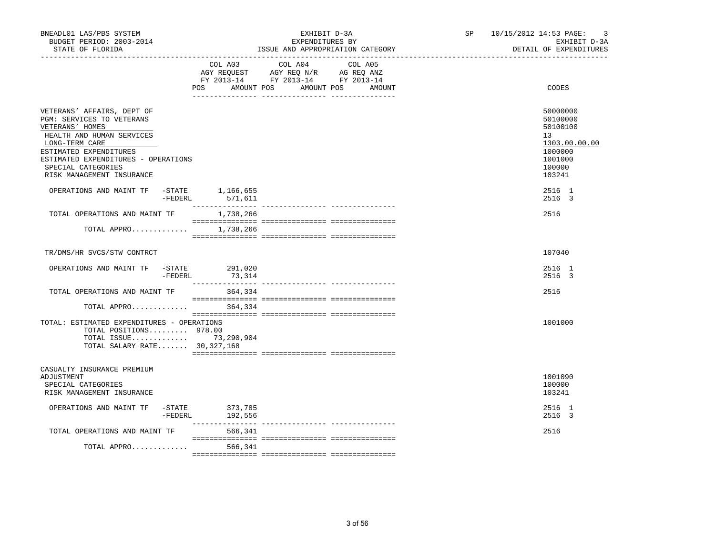| COL A03 COL A04<br>AGY REQUEST AGY REQ N/R AG REQ ANZ<br>FY 2013-14 FY 2013-14 FY 2013-14<br>AMOUNT POS AMOUNT POS | COL A05                                                                                                                                                                                                                                                                                                                                                                     |                                                                                                                |
|--------------------------------------------------------------------------------------------------------------------|-----------------------------------------------------------------------------------------------------------------------------------------------------------------------------------------------------------------------------------------------------------------------------------------------------------------------------------------------------------------------------|----------------------------------------------------------------------------------------------------------------|
|                                                                                                                    | AMOUNT                                                                                                                                                                                                                                                                                                                                                                      | CODES                                                                                                          |
|                                                                                                                    |                                                                                                                                                                                                                                                                                                                                                                             | 50000000<br>50100000<br>50100100<br>13 <sup>°</sup><br>1303.00.00.00<br>1000000<br>1001000<br>100000<br>103241 |
|                                                                                                                    |                                                                                                                                                                                                                                                                                                                                                                             | 2516 1<br>2516 3                                                                                               |
|                                                                                                                    |                                                                                                                                                                                                                                                                                                                                                                             | 2516                                                                                                           |
|                                                                                                                    |                                                                                                                                                                                                                                                                                                                                                                             |                                                                                                                |
|                                                                                                                    |                                                                                                                                                                                                                                                                                                                                                                             | 107040                                                                                                         |
|                                                                                                                    |                                                                                                                                                                                                                                                                                                                                                                             | 2516 1<br>2516 3                                                                                               |
| 364,334                                                                                                            |                                                                                                                                                                                                                                                                                                                                                                             | 2516                                                                                                           |
|                                                                                                                    |                                                                                                                                                                                                                                                                                                                                                                             |                                                                                                                |
|                                                                                                                    |                                                                                                                                                                                                                                                                                                                                                                             | 1001000                                                                                                        |
|                                                                                                                    |                                                                                                                                                                                                                                                                                                                                                                             | 1001090<br>100000<br>103241                                                                                    |
|                                                                                                                    |                                                                                                                                                                                                                                                                                                                                                                             | 2516 1<br>2516 3                                                                                               |
| 566,341                                                                                                            |                                                                                                                                                                                                                                                                                                                                                                             | 2516                                                                                                           |
| 566,341                                                                                                            |                                                                                                                                                                                                                                                                                                                                                                             |                                                                                                                |
|                                                                                                                    | OPERATIONS AND MAINT TF -STATE 1,166,655<br>-FEDERL 571,611<br>1,738,266<br>TOTAL APPRO 1,738,266<br>OPERATIONS AND MAINT TF -STATE 291,020<br>73,314<br>TOTAL APPRO 364,334<br>TOTAL: ESTIMATED EXPENDITURES - OPERATIONS<br>TOTAL POSITIONS 978.00<br>TOTAL ISSUE 73,290,904<br>TOTAL SALARY RATE 30,327,168<br>OPERATIONS AND MAINT TF -STATE 373,785<br>-FEDERL 192,556 |                                                                                                                |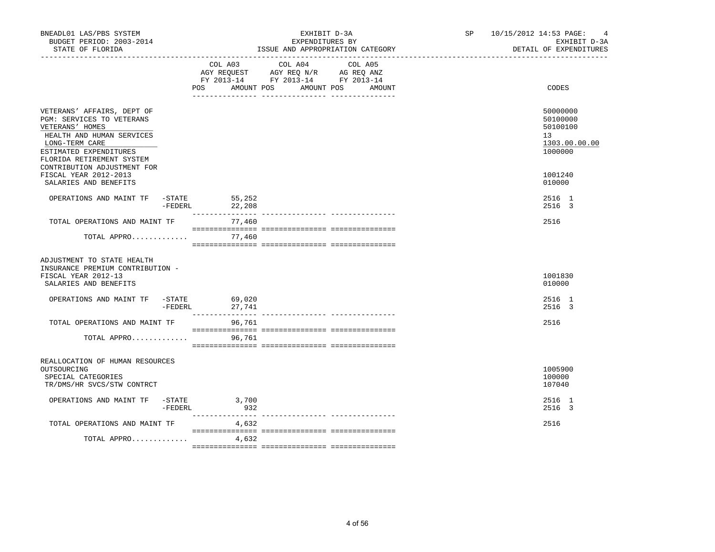| BNEADL01 LAS/PBS SYSTEM<br>BUDGET PERIOD: 2003-2014<br>STATE OF FLORIDA                                                                             |            | EXHIBIT D-3A<br>EXPENDITURES BY<br>ISSUE AND APPROPRIATION CATEGORY |                                                                                                   |                      | SP <sub>2</sub> | 10/15/2012 14:53 PAGE:<br>$\overline{4}$<br>EXHIBIT D-3A<br>DETAIL OF EXPENDITURES |
|-----------------------------------------------------------------------------------------------------------------------------------------------------|------------|---------------------------------------------------------------------|---------------------------------------------------------------------------------------------------|----------------------|-----------------|------------------------------------------------------------------------------------|
|                                                                                                                                                     |            | POS<br>AMOUNT POS                                                   | COL A03 COL A04 COL A05<br>AGY REQUEST AGY REQ N/R AG REQ ANZ<br>FY 2013-14 FY 2013-14 FY 2013-14 | AMOUNT POS<br>AMOUNT |                 | CODES                                                                              |
| VETERANS' AFFAIRS, DEPT OF<br>PGM: SERVICES TO VETERANS<br>VETERANS' HOMES<br>HEALTH AND HUMAN SERVICES<br>LONG-TERM CARE<br>ESTIMATED EXPENDITURES |            |                                                                     |                                                                                                   |                      |                 | 50000000<br>50100000<br>50100100<br>13<br>1303.00.00.00<br>1000000                 |
| FLORIDA RETIREMENT SYSTEM<br>CONTRIBUTION ADJUSTMENT FOR<br>FISCAL YEAR 2012-2013<br>SALARIES AND BENEFITS                                          |            |                                                                     |                                                                                                   |                      |                 | 1001240<br>010000                                                                  |
| OPERATIONS AND MAINT TF -STATE                                                                                                                      | -FEDERL    | 55,252<br>22,208                                                    |                                                                                                   |                      |                 | 2516 1<br>2516 3                                                                   |
| TOTAL OPERATIONS AND MAINT TF                                                                                                                       |            | 77,460                                                              |                                                                                                   |                      |                 | 2516                                                                               |
| TOTAL APPRO                                                                                                                                         |            | 77,460                                                              |                                                                                                   |                      |                 |                                                                                    |
| ADJUSTMENT TO STATE HEALTH<br>INSURANCE PREMIUM CONTRIBUTION -<br>FISCAL YEAR 2012-13<br>SALARIES AND BENEFITS                                      |            |                                                                     |                                                                                                   |                      |                 | 1001830<br>010000                                                                  |
| OPERATIONS AND MAINT TF -STATE                                                                                                                      | $-$ FEDERL | 69,020<br>27,741                                                    |                                                                                                   |                      |                 | 2516 1<br>2516 3                                                                   |
| TOTAL OPERATIONS AND MAINT TF                                                                                                                       |            | 96,761                                                              |                                                                                                   |                      |                 | 2516                                                                               |
| TOTAL APPRO                                                                                                                                         |            | 96,761                                                              |                                                                                                   |                      |                 |                                                                                    |
| REALLOCATION OF HUMAN RESOURCES<br>OUTSOURCING<br>SPECIAL CATEGORIES<br>TR/DMS/HR SVCS/STW CONTRCT                                                  |            |                                                                     |                                                                                                   |                      |                 | 1005900<br>100000<br>107040                                                        |
| OPERATIONS AND MAINT TF -STATE 3,700                                                                                                                | $-FEDERL$  | 932                                                                 |                                                                                                   |                      |                 | 2516 1<br>2516 3                                                                   |
| TOTAL OPERATIONS AND MAINT TF                                                                                                                       |            | 4,632                                                               |                                                                                                   |                      |                 | 2516                                                                               |
| TOTAL APPRO                                                                                                                                         |            | 4,632                                                               |                                                                                                   |                      |                 |                                                                                    |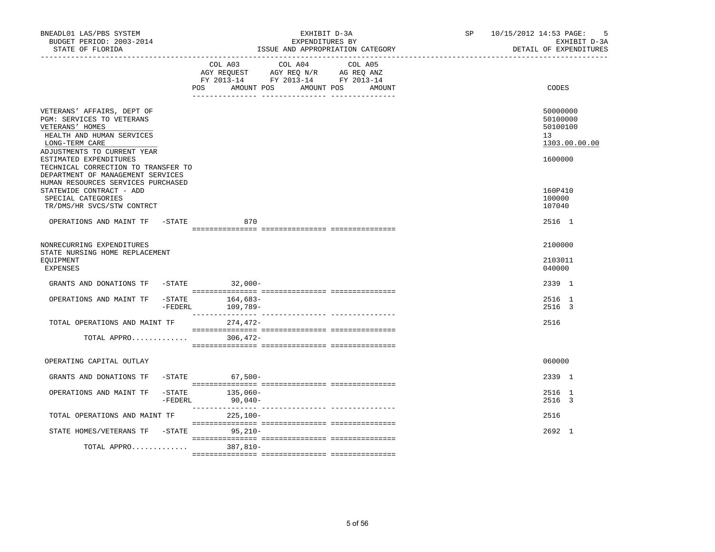| BNEADL01 LAS/PBS SYSTEM<br>BUDGET PERIOD: 2003-2014<br>STATE OF FLORIDA                                                           | EXHIBIT D-3A<br>EXPENDITURES BY<br>ISSUE AND APPROPRIATION CATEGORY                                                                      | SP 10/15/2012 14:53 PAGE:<br>- 5<br>EXHIBIT D-3A<br>DETAIL OF EXPENDITURES |
|-----------------------------------------------------------------------------------------------------------------------------------|------------------------------------------------------------------------------------------------------------------------------------------|----------------------------------------------------------------------------|
|                                                                                                                                   | COL A03 COL A04 COL A05<br>AGY REQUEST AGY REQ N/R AG REQ ANZ<br>FY 2013-14 FY 2013-14 FY 2013-14<br>AMOUNT POS AMOUNT POS AMOUNT<br>POS | CODES                                                                      |
| VETERANS' AFFAIRS, DEPT OF<br><b>PGM: SERVICES TO VETERANS</b><br>VETERANS' HOMES<br>HEALTH AND HUMAN SERVICES<br>LONG-TERM CARE  |                                                                                                                                          | 50000000<br>50100000<br>50100100<br>13 <sup>°</sup><br>1303.00.00.00       |
| ADJUSTMENTS TO CURRENT YEAR<br>ESTIMATED EXPENDITURES<br>TECHNICAL CORRECTION TO TRANSFER TO<br>DEPARTMENT OF MANAGEMENT SERVICES |                                                                                                                                          | 1600000                                                                    |
| HUMAN RESOURCES SERVICES PURCHASED<br>STATEWIDE CONTRACT - ADD<br>SPECIAL CATEGORIES<br>TR/DMS/HR SVCS/STW CONTRCT                |                                                                                                                                          | 160P410<br>100000<br>107040                                                |
| OPERATIONS AND MAINT TF -STATE                                                                                                    | 870                                                                                                                                      | 2516 1                                                                     |
| NONRECURRING EXPENDITURES<br>STATE NURSING HOME REPLACEMENT<br>EOUIPMENT<br>EXPENSES                                              |                                                                                                                                          | 2100000<br>2103011<br>040000                                               |
| GRANTS AND DONATIONS TF -STATE 32,000-                                                                                            |                                                                                                                                          | 2339 1                                                                     |
| $-$ STATE<br>OPERATIONS AND MAINT TF<br>-FEDERL                                                                                   | $164,683-$<br>109,789-                                                                                                                   | 2516 1<br>2516 3                                                           |
| TOTAL OPERATIONS AND MAINT TF                                                                                                     | 274,472-                                                                                                                                 | 2516                                                                       |
| TOTAL APPRO                                                                                                                       | 306,472-                                                                                                                                 |                                                                            |
| OPERATING CAPITAL OUTLAY                                                                                                          |                                                                                                                                          | 060000                                                                     |
| GRANTS AND DONATIONS TF -STATE 67,500-                                                                                            |                                                                                                                                          | 2339 1                                                                     |
| OPERATIONS AND MAINT TF                                                                                                           | $-STATE$ 135,060-<br>-FEDERL 90,040-                                                                                                     | 2516 1<br>2516 3                                                           |
| TOTAL OPERATIONS AND MAINT TF                                                                                                     | 225,100-                                                                                                                                 | 2516                                                                       |
| STATE HOMES/VETERANS TF -STATE 95,210-                                                                                            |                                                                                                                                          | 2692 1                                                                     |
| TOTAL APPRO                                                                                                                       | $387.810 -$                                                                                                                              |                                                                            |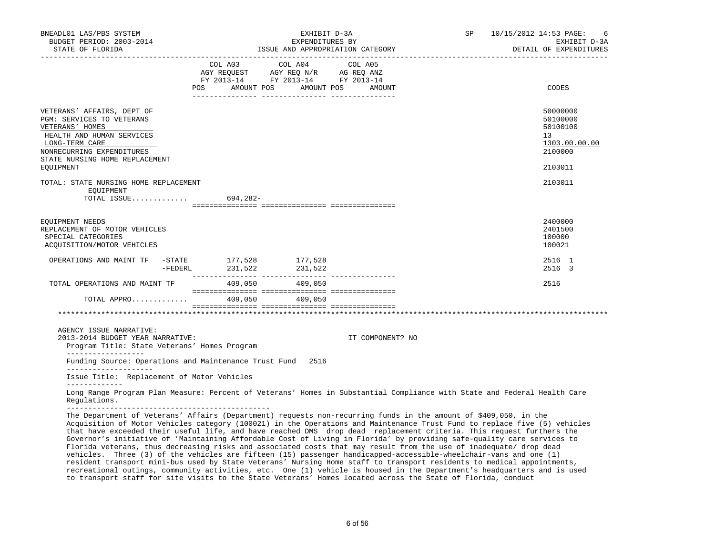| BNEADL01 LAS/PBS SYSTEM<br>BUDGET PERIOD: 2003-2014                                                                                                                                                                                           |                                                                                                     |                                                     | EXHIBIT D-3A           | SP 10/15/2012 14:53 PAGE:<br>-6<br>EXHIBIT D-3A                               |
|-----------------------------------------------------------------------------------------------------------------------------------------------------------------------------------------------------------------------------------------------|-----------------------------------------------------------------------------------------------------|-----------------------------------------------------|------------------------|-------------------------------------------------------------------------------|
| STATE OF FLORIDA                                                                                                                                                                                                                              |                                                                                                     | EXPENDITURES BY<br>ISSUE AND APPROPRIATION CATEGORY | DETAIL OF EXPENDITURES |                                                                               |
|                                                                                                                                                                                                                                               | AGY REQUEST AGY REQ N/R AG REQ ANZ<br>FY 2013-14 FY 2013-14 FY 2013-14<br>POS AMOUNT POS AMOUNT POS | COL A03 COL A04 COL A05                             | AMOUNT                 | CODES                                                                         |
| VETERANS' AFFAIRS, DEPT OF<br>PGM: SERVICES TO VETERANS<br>VETERANS' HOMES<br>HEALTH AND HUMAN SERVICES<br>LONG-TERM CARE<br>NONRECURRING EXPENDITURES<br>STATE NURSING HOME REPLACEMENT<br>EQUIPMENT                                         |                                                                                                     |                                                     |                        | 50000000<br>50100000<br>50100100<br>13<br>1303.00.00.00<br>2100000<br>2103011 |
| TOTAL: STATE NURSING HOME REPLACEMENT<br>EOUIPMENT<br>TOTAL ISSUE 694,282-                                                                                                                                                                    |                                                                                                     |                                                     |                        | 2103011                                                                       |
| EQUIPMENT NEEDS<br>REPLACEMENT OF MOTOR VEHICLES<br>SPECIAL CATEGORIES<br>ACQUISITION/MOTOR VEHICLES                                                                                                                                          |                                                                                                     |                                                     |                        | 2400000<br>2401500<br>100000<br>100021                                        |
| OPERATIONS AND MAINT TF -STATE 177,528 177,528<br>FEDERL 231,522 231,522                                                                                                                                                                      |                                                                                                     |                                                     |                        | 2516 1<br>2516 3                                                              |
| TOTAL OPERATIONS AND MAINT TF 409,050 409,050                                                                                                                                                                                                 |                                                                                                     |                                                     |                        | 2516                                                                          |
| TOTAL APPRO 409,050 409,050                                                                                                                                                                                                                   |                                                                                                     |                                                     |                        |                                                                               |
|                                                                                                                                                                                                                                               |                                                                                                     |                                                     |                        |                                                                               |
| AGENCY ISSUE NARRATIVE:<br>2013-2014 BUDGET YEAR NARRATIVE:<br>Program Title: State Veterans' Homes Program                                                                                                                                   |                                                                                                     |                                                     | IT COMPONENT? NO       |                                                                               |
| ___________________<br>Funding Source: Operations and Maintenance Trust Fund 2516                                                                                                                                                             |                                                                                                     |                                                     |                        |                                                                               |
| _____________________<br>Issue Title: Replacement of Motor Vehicles                                                                                                                                                                           |                                                                                                     |                                                     |                        |                                                                               |
| -------------<br>Long Range Program Plan Measure: Percent of Veterans' Homes in Substantial Compliance with State and Federal Health Care<br>Requlations.                                                                                     |                                                                                                     |                                                     |                        |                                                                               |
| The Department of Veterans' Affairs (Department) requests non-recurring funds in the amount of \$409,050, in the<br>Acquisition of Motor Vehicles category (100021) in the Operations and Maintenance Trust Fund to replace five (5) vehicles |                                                                                                     |                                                     |                        |                                                                               |

 that have exceeded their useful life, and have reached DMS drop dead replacement criteria. This request furthers the Governor's initiative of 'Maintaining Affordable Cost of Living in Florida' by providing safe-quality care services to Florida veterans, thus decreasing risks and associated costs that may result from the use of inadequate/ drop dead vehicles. Three (3) of the vehicles are fifteen (15) passenger handicapped-accessible-wheelchair-vans and one (1) resident transport mini-bus used by State Veterans' Nursing Home staff to transport residents to medical appointments, recreational outings, community activities, etc. One (1) vehicle is housed in the Department's headquarters and is used to transport staff for site visits to the State Veterans' Homes located across the State of Florida, conduct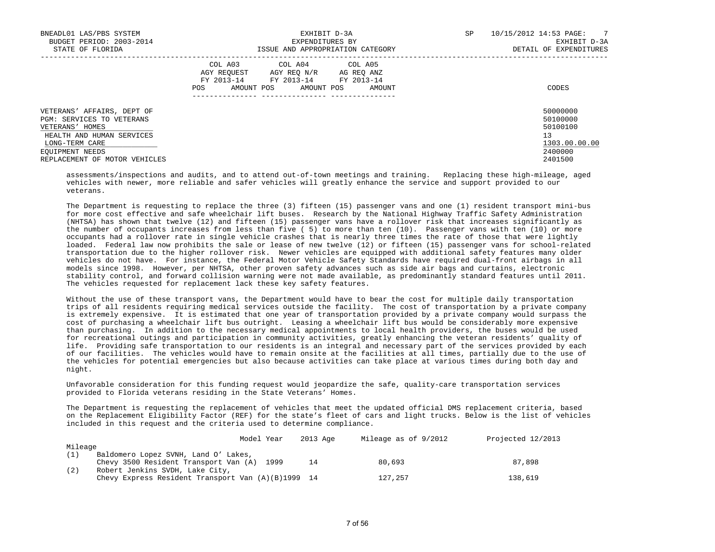| BNEADL01 LAS/PBS SYSTEM<br>BUDGET PERIOD: 2003-2014<br>STATE OF FLORIDA                                                                                                       | EXHIBIT D-3A<br>EXPENDITURES BY<br>ISSUE AND APPROPRIATION CATEGORY                                                                                  | $\overline{7}$<br><b>SP</b><br>10/15/2012 14:53 PAGE:<br>EXHIBIT D-3A<br>DETAIL OF EXPENDITURES |
|-------------------------------------------------------------------------------------------------------------------------------------------------------------------------------|------------------------------------------------------------------------------------------------------------------------------------------------------|-------------------------------------------------------------------------------------------------|
|                                                                                                                                                                               | COL A03 COL A04 COL A05<br>AGY REOUEST<br>AGY REO N/R<br>AG REO ANZ<br>FY 2013-14 FY 2013-14 FY 2013-14<br>AMOUNT POS<br>AMOUNT POS<br>AMOUNT<br>POS | CODES                                                                                           |
| VETERANS' AFFAIRS, DEPT OF<br>PGM: SERVICES TO VETERANS<br>VETERANS' HOMES<br>HEALTH AND HUMAN SERVICES<br>LONG-TERM CARE<br>EQUIPMENT NEEDS<br>REPLACEMENT OF MOTOR VEHICLES |                                                                                                                                                      | 50000000<br>50100000<br>50100100<br>13<br>1303.00.00.00<br>2400000<br>2401500                   |

 assessments/inspections and audits, and to attend out-of-town meetings and training. Replacing these high-mileage, aged vehicles with newer, more reliable and safer vehicles will greatly enhance the service and support provided to our veterans.

 The Department is requesting to replace the three (3) fifteen (15) passenger vans and one (1) resident transport mini-bus for more cost effective and safe wheelchair lift buses. Research by the National Highway Traffic Safety Administration (NHTSA) has shown that twelve (12) and fifteen (15) passenger vans have a rollover risk that increases significantly as the number of occupants increases from less than five ( 5) to more than ten (10). Passenger vans with ten (10) or more occupants had a rollover rate in single vehicle crashes that is nearly three times the rate of those that were lightly loaded. Federal law now prohibits the sale or lease of new twelve (12) or fifteen (15) passenger vans for school-related transportation due to the higher rollover risk. Newer vehicles are equipped with additional safety features many older vehicles do not have. For instance, the Federal Motor Vehicle Safety Standards have required dual-front airbags in all models since 1998. However, per NHTSA, other proven safety advances such as side air bags and curtains, electronic stability control, and forward collision warning were not made available, as predominantly standard features until 2011. The vehicles requested for replacement lack these key safety features.

 Without the use of these transport vans, the Department would have to bear the cost for multiple daily transportation trips of all residents requiring medical services outside the facility. The cost of transportation by a private company is extremely expensive. It is estimated that one year of transportation provided by a private company would surpass the cost of purchasing a wheelchair lift bus outright. Leasing a wheelchair lift bus would be considerably more expensive than purchasing. In addition to the necessary medical appointments to local health providers, the buses would be used for recreational outings and participation in community activities, greatly enhancing the veteran residents' quality of life. Providing safe transportation to our residents is an integral and necessary part of the services provided by each of our facilities. The vehicles would have to remain onsite at the facilities at all times, partially due to the use of the vehicles for potential emergencies but also because activities can take place at various times during both day and night.

 Unfavorable consideration for this funding request would jeopardize the safe, quality-care transportation services provided to Florida veterans residing in the State Veterans' Homes.

 The Department is requesting the replacement of vehicles that meet the updated official DMS replacement criteria, based on the Replacement Eligibility Factor (REF) for the state's fleet of cars and light trucks. Below is the list of vehicles included in this request and the criteria used to determine compliance.

|         | Model Year                                           | 2013 Age | Mileage as of 9/2012 | Projected 12/2013 |
|---------|------------------------------------------------------|----------|----------------------|-------------------|
| Mileage |                                                      |          |                      |                   |
|         | Baldomero Lopez SVNH, Land O' Lakes,                 |          |                      |                   |
|         | Chevy 3500 Resident Transport Van (A) 1999           | 14       | 80,693               | 87,898            |
| (2)     | Robert Jenkins SVDH, Lake City,                      |          |                      |                   |
|         | Chevy Express Resident Transport Van $(A)(B)1999$ 14 |          | 127,257              | 138,619           |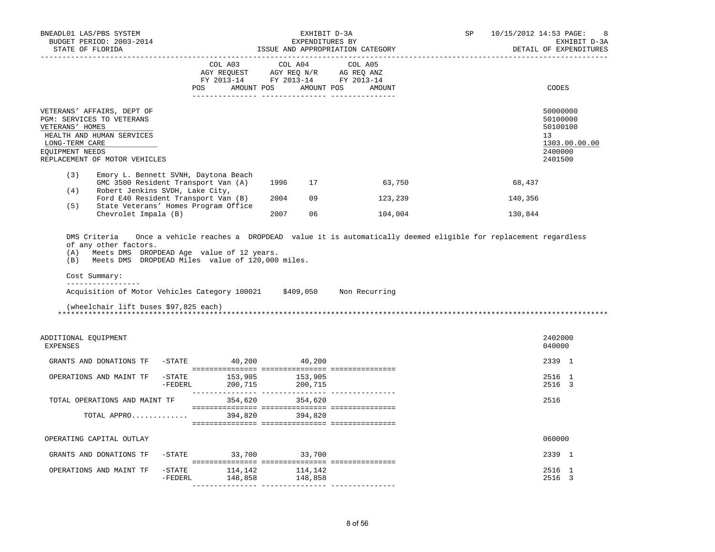| BNEADL01 LAS/PBS SYSTEM<br>BUDGET PERIOD: 2003-2014<br>STATE OF FLORIDA                                                                                                       |                                                                             | EXHIBIT D-3A<br>EXPENDITURES BY<br>ISSUE AND APPROPRIATION CATEGORY               | SP                | 10/15/2012 14:53 PAGE:<br>8<br>EXHIBIT D-3A<br>DETAIL OF EXPENDITURES |                                                                                            |
|-------------------------------------------------------------------------------------------------------------------------------------------------------------------------------|-----------------------------------------------------------------------------|-----------------------------------------------------------------------------------|-------------------|-----------------------------------------------------------------------|--------------------------------------------------------------------------------------------|
|                                                                                                                                                                               | COL A03<br>POS AMOUNT POS AMOUNT POS                                        | COL A04<br>AGY REQUEST AGY REQ N/R AG REQ ANZ<br>FY 2013-14 FY 2013-14 FY 2013-14 | COL A05<br>AMOUNT |                                                                       | CODES                                                                                      |
| VETERANS' AFFAIRS, DEPT OF<br>PGM: SERVICES TO VETERANS<br>VETERANS' HOMES<br>HEALTH AND HUMAN SERVICES<br>LONG-TERM CARE<br>EOUIPMENT NEEDS<br>REPLACEMENT OF MOTOR VEHICLES |                                                                             |                                                                                   |                   |                                                                       | 50000000<br>50100000<br>50100100<br>13 <sup>°</sup><br>1303.00.00.00<br>2400000<br>2401500 |
| (3)                                                                                                                                                                           | Emory L. Bennett SVNH, Daytona Beach<br>GMC 3500 Resident Transport Van (A) | 1996 17                                                                           | 63,750            | 68,437                                                                |                                                                                            |
| (4)<br>Robert Jenkins SVDH, Lake City,<br>(5)                                                                                                                                 | Ford E40 Resident Transport Van (B)<br>State Veterans' Homes Program Office | 2004 09                                                                           | 123,239           | 140,356                                                               |                                                                                            |
| Chevrolet Impala (B)                                                                                                                                                          |                                                                             | 2007<br>06                                                                        | 104,004           | 130,844                                                               |                                                                                            |
| Cost Summary:<br>_________________<br>Acquisition of Motor Vehicles Category 100021 \$409,050 Non Recurring<br>(wheelchair lift buses \$97,825 each)<br>ADDITIONAL EQUIPMENT  |                                                                             |                                                                                   |                   |                                                                       | 2402000                                                                                    |
| <b>EXPENSES</b>                                                                                                                                                               |                                                                             |                                                                                   |                   |                                                                       | 040000                                                                                     |
| GRANTS AND DONATIONS TF                                                                                                                                                       | -STATE 40,200 40,200                                                        |                                                                                   |                   |                                                                       | 2339 1                                                                                     |
| OPERATIONS AND MAINT TF                                                                                                                                                       | -STATE 153,905 153,905<br>-FEDERL 200,715 200,715                           |                                                                                   |                   |                                                                       | 2516 1<br>2516 3                                                                           |
| TOTAL OPERATIONS AND MAINT TF                                                                                                                                                 |                                                                             | 354,620 354,620                                                                   |                   |                                                                       | 2516                                                                                       |
|                                                                                                                                                                               | TOTAL APPRO 394,820 394,820                                                 |                                                                                   |                   |                                                                       |                                                                                            |
| OPERATING CAPITAL OUTLAY                                                                                                                                                      |                                                                             |                                                                                   |                   |                                                                       | 060000                                                                                     |
| GRANTS AND DONATIONS TF                                                                                                                                                       | -STATE 33,700 33,700                                                        |                                                                                   |                   |                                                                       | 2339 1                                                                                     |
| OPERATIONS AND MAINT TF                                                                                                                                                       | $-$ STATE $114, 142$ $114, 142$<br>-FEDERL                                  | 148,858 148,858                                                                   |                   |                                                                       | 2516 1<br>2516 3                                                                           |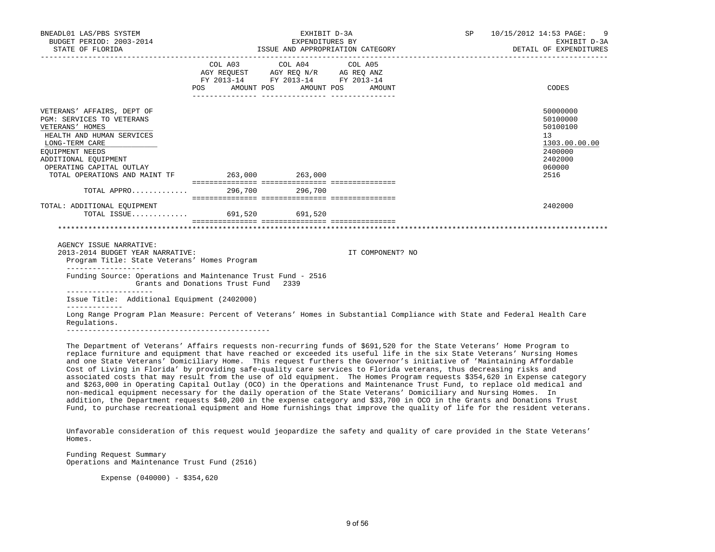| BNEADL01 LAS/PBS SYSTEM<br>BUDGET PERIOD: 2003-2014<br>STATE OF FLORIDA                                                                                                                                                                           |                                      | EXHIBIT D-3A<br>SP<br>10/15/2012 14:53 PAGE:<br>EXPENDITURES BY<br>ISSUE AND APPROPRIATION CATEGORY<br>DETAIL OF EXPENDITURES |                  |                                                                                                                          |
|---------------------------------------------------------------------------------------------------------------------------------------------------------------------------------------------------------------------------------------------------|--------------------------------------|-------------------------------------------------------------------------------------------------------------------------------|------------------|--------------------------------------------------------------------------------------------------------------------------|
|                                                                                                                                                                                                                                                   | AMOUNT POS<br>POS                    | COL A03 COL A04 COL A05<br>AGY REQUEST AGY REQ N/R AG REQ ANZ<br>FY 2013-14 FY 2013-14 FY 2013-14<br>AMOUNT POS               | AMOUNT           | CODES                                                                                                                    |
| VETERANS' AFFAIRS, DEPT OF<br>PGM: SERVICES TO VETERANS<br>VETERANS' HOMES<br>HEALTH AND HUMAN SERVICES<br>LONG-TERM CARE<br>EOUIPMENT NEEDS<br>ADDITIONAL EQUIPMENT<br>OPERATING CAPITAL OUTLAY<br>TOTAL OPERATIONS AND MAINT TF 263,000 263,000 |                                      |                                                                                                                               |                  | 50000000<br>50100000<br>50100100<br>13<br>1303.00.00.00<br>2400000<br>2402000<br>060000<br>2516                          |
| TOTAL APPRO 296,700 296,700                                                                                                                                                                                                                       |                                      |                                                                                                                               |                  |                                                                                                                          |
| TOTAL: ADDITIONAL EQUIPMENT<br>TOTAL ISSUE 691,520 691,520                                                                                                                                                                                        |                                      |                                                                                                                               |                  | 2402000                                                                                                                  |
| AGENCY ISSUE NARRATIVE:<br>2013-2014 BUDGET YEAR NARRATIVE:<br>Program Title: State Veterans' Homes Program                                                                                                                                       |                                      |                                                                                                                               | IT COMPONENT? NO |                                                                                                                          |
| Funding Source: Operations and Maintenance Trust Fund - 2516<br>____________________                                                                                                                                                              | Grants and Donations Trust Fund 2339 |                                                                                                                               |                  |                                                                                                                          |
| Issue Title: Additional Equipment (2402000)                                                                                                                                                                                                       |                                      |                                                                                                                               |                  |                                                                                                                          |
| Requlations.                                                                                                                                                                                                                                      |                                      |                                                                                                                               |                  | Long Range Program Plan Measure: Percent of Veterans' Homes in Substantial Compliance with State and Federal Health Care |

 The Department of Veterans' Affairs requests non-recurring funds of \$691,520 for the State Veterans' Home Program to replace furniture and equipment that have reached or exceeded its useful life in the six State Veterans' Nursing Homes and one State Veterans' Domiciliary Home. This request furthers the Governor's initiative of 'Maintaining Affordable Cost of Living in Florida' by providing safe-quality care services to Florida veterans, thus decreasing risks and associated costs that may result from the use of old equipment. The Homes Program requests \$354,620 in Expense category and \$263,000 in Operating Capital Outlay (OCO) in the Operations and Maintenance Trust Fund, to replace old medical and non-medical equipment necessary for the daily operation of the State Veterans' Domiciliary and Nursing Homes. In addition, the Department requests \$40,200 in the expense category and \$33,700 in OCO in the Grants and Donations Trust Fund, to purchase recreational equipment and Home furnishings that improve the quality of life for the resident veterans.

 Unfavorable consideration of this request would jeopardize the safety and quality of care provided in the State Veterans' Homes.

 Funding Request Summary Operations and Maintenance Trust Fund (2516)

Expense  $(040000) - $354,620$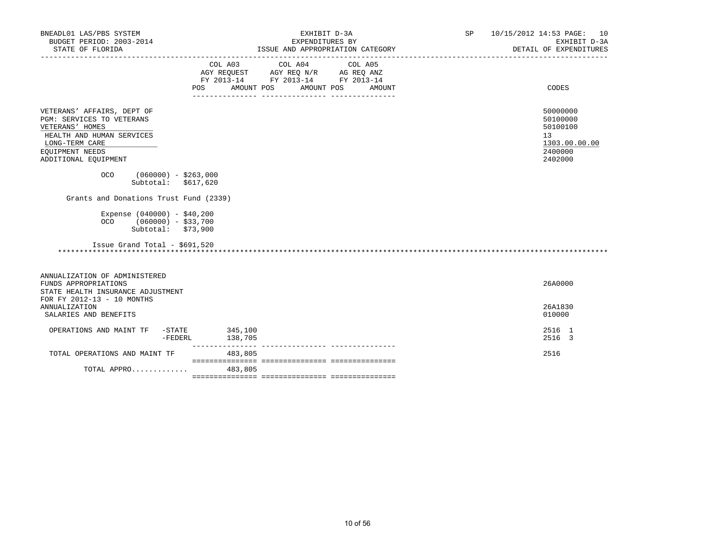| BNEADL01 LAS/PBS SYSTEM<br>BUDGET PERIOD: 2003-2014<br>STATE OF FLORIDA                                                                                              | EXHIBIT D-3A<br>EXPENDITURES BY<br>ISSUE AND APPROPRIATION CATEGORY  | SP 10/15/2012 14:53 PAGE: 10<br>EXHIBIT D-3A<br>DETAIL OF EXPENDITURES        |
|----------------------------------------------------------------------------------------------------------------------------------------------------------------------|----------------------------------------------------------------------|-------------------------------------------------------------------------------|
|                                                                                                                                                                      | COL A03 COL A04 COL A05<br>AMOUNT POS<br>AMOUNT POS<br>POS<br>AMOUNT | CODES                                                                         |
| VETERANS' AFFAIRS, DEPT OF<br>PGM: SERVICES TO VETERANS<br>VETERANS' HOMES<br>HEALTH AND HUMAN SERVICES<br>LONG-TERM CARE<br>EOUIPMENT NEEDS<br>ADDITIONAL EQUIPMENT |                                                                      | 50000000<br>50100000<br>50100100<br>13<br>1303.00.00.00<br>2400000<br>2402000 |
| $(060000) - $263,000$<br>OCO<br>Subtotal: $$617,620$<br>Grants and Donations Trust Fund (2339)                                                                       |                                                                      |                                                                               |
| Expense $(040000) - $40,200$<br>$(060000) - $33,700$<br><b>OCO</b><br>Subtotal: $$73,900$<br>Issue Grand Total - \$691,520                                           |                                                                      |                                                                               |
| ANNUALIZATION OF ADMINISTERED<br>FUNDS APPROPRIATIONS<br>STATE HEALTH INSURANCE ADJUSTMENT<br>FOR FY 2012-13 - 10 MONTHS<br><b>ANNUALIZATION</b>                     |                                                                      | 26A0000<br>26A1830                                                            |
| SALARIES AND BENEFITS                                                                                                                                                |                                                                      | 010000                                                                        |
| OPERATIONS AND MAINT TF -STATE 345,100<br>-FEDERL                                                                                                                    | 138,705                                                              | 2516 1<br>2516 3                                                              |
| TOTAL OPERATIONS AND MAINT TF                                                                                                                                        | 483,805                                                              | 2516                                                                          |
| TOTAL APPRO                                                                                                                                                          | 483,805                                                              |                                                                               |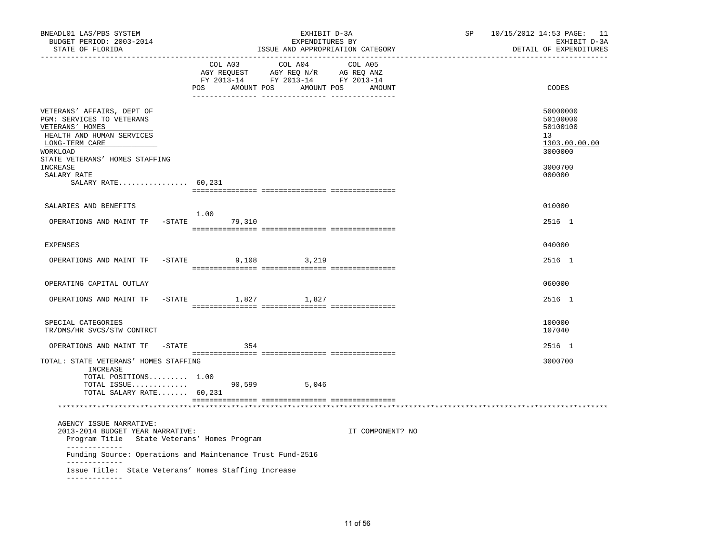| BNEADL01 LAS/PBS SYSTEM<br>BUDGET PERIOD: 2003-2014<br>STATE OF FLORIDA                                                                                                                            | EXHIBIT D-3A<br>EXPENDITURES BY<br>ISSUE AND APPROPRIATION CATEGORY<br>_________________________________<br>_____________________________ |                                                                                                                                                                                                                                                                                                                                                                 |                  | SP<br>---------------------- | 10/15/2012 14:53 PAGE: 11<br>EXHIBIT D-3A<br>DETAIL OF EXPENDITURES                     |
|----------------------------------------------------------------------------------------------------------------------------------------------------------------------------------------------------|-------------------------------------------------------------------------------------------------------------------------------------------|-----------------------------------------------------------------------------------------------------------------------------------------------------------------------------------------------------------------------------------------------------------------------------------------------------------------------------------------------------------------|------------------|------------------------------|-----------------------------------------------------------------------------------------|
|                                                                                                                                                                                                    | COL A03                                                                                                                                   | COL A04<br>$\begin{array}{ccccccccc} \text{COL} & \text{A03} & & \text{COL} & \text{A04} & & \text{COL} & \text{A05} \\ \text{AGY} & \text{REQUEST} & & \text{AGY} & \text{REQ} & \text{N/R} & & \text{AG} & \text{REQ} & \text{ANZ} \\ \text{FY} & 2013-14 & & \text{FY} & 2013-14 & & \text{FY} & 2013-14 \\ \end{array}$<br>POS AMOUNT POS AMOUNT POS AMOUNT | COL A05          |                              | CODES                                                                                   |
| VETERANS' AFFAIRS, DEPT OF<br>PGM: SERVICES TO VETERANS<br>VETERANS' HOMES<br>HEALTH AND HUMAN SERVICES<br>LONG-TERM CARE<br>WORKLOAD<br>STATE VETERANS' HOMES STAFFING<br>INCREASE<br>SALARY RATE |                                                                                                                                           |                                                                                                                                                                                                                                                                                                                                                                 |                  |                              | 50000000<br>50100000<br>50100100<br>13<br>1303.00.00.00<br>3000000<br>3000700<br>000000 |
| SALARY RATE 60,231                                                                                                                                                                                 |                                                                                                                                           |                                                                                                                                                                                                                                                                                                                                                                 |                  |                              |                                                                                         |
| SALARIES AND BENEFITS<br>OPERATIONS AND MAINT TF -STATE 79,310                                                                                                                                     | 1.00                                                                                                                                      |                                                                                                                                                                                                                                                                                                                                                                 |                  |                              | 010000<br>2516 1                                                                        |
|                                                                                                                                                                                                    |                                                                                                                                           |                                                                                                                                                                                                                                                                                                                                                                 |                  |                              |                                                                                         |
| <b>EXPENSES</b>                                                                                                                                                                                    |                                                                                                                                           |                                                                                                                                                                                                                                                                                                                                                                 |                  |                              | 040000                                                                                  |
| OPERATIONS AND MAINT TF                                                                                                                                                                            | $-STATE$<br>9,108                                                                                                                         | 3,219                                                                                                                                                                                                                                                                                                                                                           |                  |                              | 2516 1                                                                                  |
| OPERATING CAPITAL OUTLAY                                                                                                                                                                           |                                                                                                                                           |                                                                                                                                                                                                                                                                                                                                                                 |                  |                              | 060000                                                                                  |
| OPERATIONS AND MAINT TF                                                                                                                                                                            | -STATE 1,827 1,827                                                                                                                        |                                                                                                                                                                                                                                                                                                                                                                 |                  |                              | 2516 1                                                                                  |
| SPECIAL CATEGORIES<br>TR/DMS/HR SVCS/STW CONTRCT                                                                                                                                                   |                                                                                                                                           |                                                                                                                                                                                                                                                                                                                                                                 |                  |                              | 100000<br>107040                                                                        |
| OPERATIONS AND MAINT TF                                                                                                                                                                            | $-STATE$ 354                                                                                                                              |                                                                                                                                                                                                                                                                                                                                                                 |                  |                              | 2516 1                                                                                  |
| TOTAL: STATE VETERANS' HOMES STAFFING<br>INCREASE<br>TOTAL POSITIONS 1.00<br>TOTAL ISSUE<br>TOTAL SALARY RATE 60,231                                                                               |                                                                                                                                           | 90,599 5,046                                                                                                                                                                                                                                                                                                                                                    |                  |                              | 3000700                                                                                 |
|                                                                                                                                                                                                    |                                                                                                                                           |                                                                                                                                                                                                                                                                                                                                                                 |                  |                              |                                                                                         |
| AGENCY ISSUE NARRATIVE:<br>2013-2014 BUDGET YEAR NARRATIVE:<br>Program Title State Veterans' Homes Program<br>_____________                                                                        |                                                                                                                                           |                                                                                                                                                                                                                                                                                                                                                                 | IT COMPONENT? NO |                              |                                                                                         |
| Funding Source: Operations and Maintenance Trust Fund-2516<br>-------------                                                                                                                        |                                                                                                                                           |                                                                                                                                                                                                                                                                                                                                                                 |                  |                              |                                                                                         |
| Issue Title: State Veterans' Homes Staffing Increase<br>_____________                                                                                                                              |                                                                                                                                           |                                                                                                                                                                                                                                                                                                                                                                 |                  |                              |                                                                                         |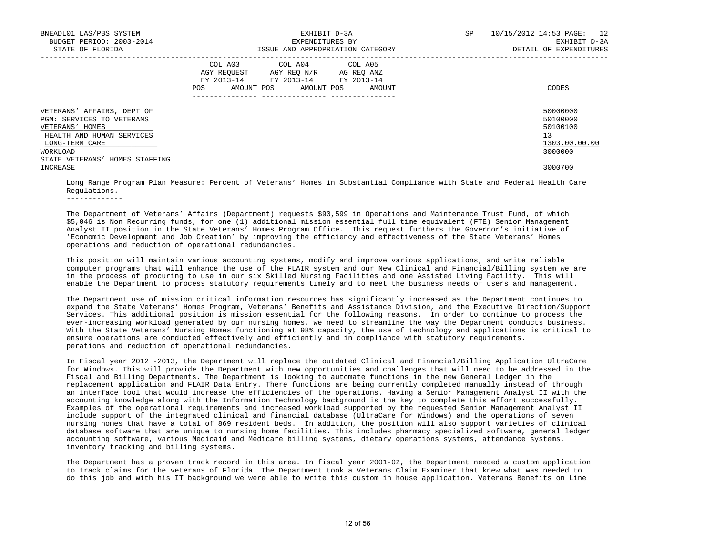| BNEADL01 LAS/PBS SYSTEM<br>BUDGET PERIOD: 2003-2014<br>STATE OF FLORIDA                                                                                                 | EXHIBIT D-3A<br>EXPENDITURES BY<br>ISSUE AND APPROPRIATION CATEGORY                                                                         | 10/15/2012 14:53 PAGE: 12<br>SP<br>EXHIBIT D-3A<br>DETAIL OF EXPENDITURES |
|-------------------------------------------------------------------------------------------------------------------------------------------------------------------------|---------------------------------------------------------------------------------------------------------------------------------------------|---------------------------------------------------------------------------|
|                                                                                                                                                                         | COL A03 COL A04 COL A05<br>AGY REQUEST AGY REQ N/R AG REQ ANZ<br>FY 2013-14 FY 2013-14 FY 2013-14<br>AMOUNT POS AMOUNT POS<br>POS<br>AMOUNT | CODES                                                                     |
| VETERANS' AFFAIRS, DEPT OF<br>PGM: SERVICES TO VETERANS<br>VETERANS' HOMES<br>HEALTH AND HUMAN SERVICES<br>LONG-TERM CARE<br>WORKLOAD<br>STATE VETERANS' HOMES STAFFING |                                                                                                                                             | 50000000<br>50100000<br>50100100<br>13<br>1303.00.00.00<br>3000000        |
| INCREASE                                                                                                                                                                |                                                                                                                                             | 3000700                                                                   |

 Long Range Program Plan Measure: Percent of Veterans' Homes in Substantial Compliance with State and Federal Health Care Regulations.

 The Department of Veterans' Affairs (Department) requests \$90,599 in Operations and Maintenance Trust Fund, of which \$5,046 is Non Recurring funds, for one (1) additional mission essential full time equivalent (FTE) Senior Management Analyst II position in the State Veterans' Homes Program Office. This request furthers the Governor's initiative of 'Economic Development and Job Creation' by improving the efficiency and effectiveness of the State Veterans' Homes operations and reduction of operational redundancies.

 This position will maintain various accounting systems, modify and improve various applications, and write reliable computer programs that will enhance the use of the FLAIR system and our New Clinical and Financial/Billing system we are in the process of procuring to use in our six Skilled Nursing Facilities and one Assisted Living Facility. This will enable the Department to process statutory requirements timely and to meet the business needs of users and management.

 The Department use of mission critical information resources has significantly increased as the Department continues to expand the State Veterans' Homes Program, Veterans' Benefits and Assistance Division, and the Executive Direction/Support Services. This additional position is mission essential for the following reasons. In order to continue to process the ever-increasing workload generated by our nursing homes, we need to streamline the way the Department conducts business. With the State Veterans' Nursing Homes functioning at 98% capacity, the use of technology and applications is critical to ensure operations are conducted effectively and efficiently and in compliance with statutory requirements. perations and reduction of operational redundancies.

 In Fiscal year 2012 -2013, the Department will replace the outdated Clinical and Financial/Billing Application UltraCare for Windows. This will provide the Department with new opportunities and challenges that will need to be addressed in the Fiscal and Billing Departments. The Department is looking to automate functions in the new General Ledger in the replacement application and FLAIR Data Entry. There functions are being currently completed manually instead of through an interface tool that would increase the efficiencies of the operations. Having a Senior Management Analyst II with the accounting knowledge along with the Information Technology background is the key to complete this effort successfully. Examples of the operational requirements and increased workload supported by the requested Senior Management Analyst II include support of the integrated clinical and financial database (UltraCare for Windows) and the operations of seven nursing homes that have a total of 869 resident beds. In addition, the position will also support varieties of clinical database software that are unique to nursing home facilities. This includes pharmacy specialized software, general ledger accounting software, various Medicaid and Medicare billing systems, dietary operations systems, attendance systems, inventory tracking and billing systems.

 The Department has a proven track record in this area. In fiscal year 2001-02, the Department needed a custom application to track claims for the veterans of Florida. The Department took a Veterans Claim Examiner that knew what was needed to do this job and with his IT background we were able to write this custom in house application. Veterans Benefits on Line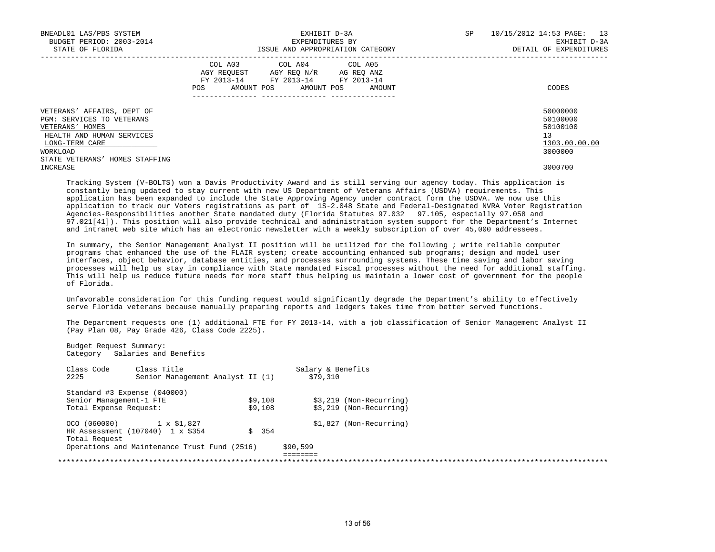| BNEADL01 LAS/PBS SYSTEM<br>BUDGET PERIOD: 2003-2014<br>STATE OF FLORIDA                                                               | EXHIBIT D-3A<br>EXPENDITURES BY<br>ISSUE AND APPROPRIATION CATEGORY                                                                            | 10/15/2012 14:53 PAGE: 13<br>SP<br>EXHIBIT D-3A<br>DETAIL OF EXPENDITURES |
|---------------------------------------------------------------------------------------------------------------------------------------|------------------------------------------------------------------------------------------------------------------------------------------------|---------------------------------------------------------------------------|
|                                                                                                                                       | COL A03 COL A04 COL A05<br>AGY REOUEST AGY REO N/R AG REO ANZ<br>FY 2013-14 FY 2013-14 FY 2013-14<br>POS<br>AMOUNT POS<br>AMOUNT POS<br>AMOUNT | CODES                                                                     |
| VETERANS' AFFAIRS, DEPT OF<br>PGM: SERVICES TO VETERANS<br>VETERANS' HOMES<br>HEALTH AND HUMAN SERVICES<br>LONG-TERM CARE<br>WORKLOAD |                                                                                                                                                | 50000000<br>50100000<br>50100100<br>13<br>1303.00.00.00<br>3000000        |
| STATE VETERANS' HOMES STAFFING<br>INCREASE                                                                                            |                                                                                                                                                | 3000700                                                                   |

 Tracking System (V-BOLTS) won a Davis Productivity Award and is still serving our agency today. This application is constantly being updated to stay current with new US Department of Veterans Affairs (USDVA) requirements. This application has been expanded to include the State Approving Agency under contract form the USDVA. We now use this application to track our Voters registrations as part of 1S-2.048 State and Federal-Designated NVRA Voter Registration Agencies-Responsibilities another State mandated duty (Florida Statutes 97.032 97.105, especially 97.058 and 97.021[41]). This position will also provide technical and administration system support for the Department's Internet and intranet web site which has an electronic newsletter with a weekly subscription of over 45,000 addressees.

 In summary, the Senior Management Analyst II position will be utilized for the following ; write reliable computer programs that enhanced the use of the FLAIR system; create accounting enhanced sub programs; design and model user interfaces, object behavior, database entities, and processes surrounding systems. These time saving and labor saving processes will help us stay in compliance with State mandated Fiscal processes without the need for additional staffing. This will help us reduce future needs for more staff thus helping us maintain a lower cost of government for the people of Florida.

 Unfavorable consideration for this funding request would significantly degrade the Department's ability to effectively serve Florida veterans because manually preparing reports and ledgers takes time from better served functions.

 The Department requests one (1) additional FTE for FY 2013-14, with a job classification of Senior Management Analyst II (Pay Plan 08, Pay Grade 426, Class Code 2225).

 Budget Request Summary: Category Salaries and Benefits

Class Code Class Title Salary & Benefits<br>2225 Senior Management Analyst II (1) 579.310 Senior Management Analyst II (1) \$79,310 Standard #3 Expense (040000) Senior Management-1 FTE  $$9,108$  \$3,219 (Non-Recurring) Total Expense Request:  $$9,108$  \$3,219 (Non-Recurring) OCO (060000)  $1 \times $1,827$ <br>
HR Assessment (107040)  $1 \times $354$  \$354 \$354 \$1,827 (Non-Recurring) HR Assessment (107040) 1 x \$354 Total Request Operations and Maintenance Trust Fund (2516) \$90,599 ======== \*\*\*\*\*\*\*\*\*\*\*\*\*\*\*\*\*\*\*\*\*\*\*\*\*\*\*\*\*\*\*\*\*\*\*\*\*\*\*\*\*\*\*\*\*\*\*\*\*\*\*\*\*\*\*\*\*\*\*\*\*\*\*\*\*\*\*\*\*\*\*\*\*\*\*\*\*\*\*\*\*\*\*\*\*\*\*\*\*\*\*\*\*\*\*\*\*\*\*\*\*\*\*\*\*\*\*\*\*\*\*\*\*\*\*\*\*\*\*\*\*\*\*\*\*\*\*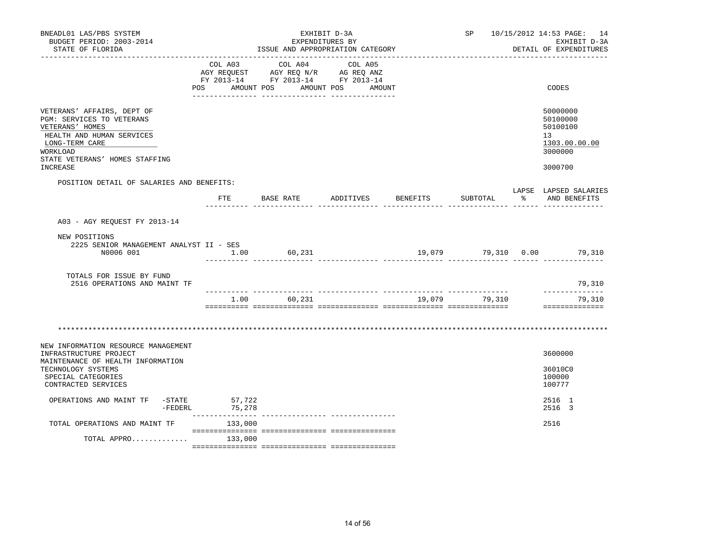| BNEADL01 LAS/PBS SYSTEM<br>BUDGET PERIOD: 2003-2014<br>STATE OF FLORIDA<br>. _ _ _ _ _ _ _ _ _ _ _ _ _ _ _ _ _                                                                             | EXHIBIT D-3A<br>EXPENDITURES BY<br>ISSUE AND APPROPRIATION CATEGORY |                                                                                                   |                      |          |               |              | SP 10/15/2012 14:53 PAGE: 14<br>EXHIBIT D-3A<br>DETAIL OF EXPENDITURES        |  |
|--------------------------------------------------------------------------------------------------------------------------------------------------------------------------------------------|---------------------------------------------------------------------|---------------------------------------------------------------------------------------------------|----------------------|----------|---------------|--------------|-------------------------------------------------------------------------------|--|
|                                                                                                                                                                                            | POS AMOUNT POS                                                      | COL A03 COL A04 COL A05<br>AGY REQUEST AGY REQ N/R AG REQ ANZ<br>FY 2013-14 FY 2013-14 FY 2013-14 | AMOUNT POS<br>AMOUNT |          |               |              | CODES                                                                         |  |
| VETERANS' AFFAIRS, DEPT OF<br>PGM: SERVICES TO VETERANS<br>VETERANS' HOMES<br>HEALTH AND HUMAN SERVICES<br>LONG-TERM CARE<br>WORKLOAD<br>STATE VETERANS' HOMES STAFFING<br><b>INCREASE</b> |                                                                     |                                                                                                   |                      |          |               |              | 50000000<br>50100000<br>50100100<br>13<br>1303.00.00.00<br>3000000<br>3000700 |  |
| POSITION DETAIL OF SALARIES AND BENEFITS:                                                                                                                                                  |                                                                     |                                                                                                   |                      |          |               |              |                                                                               |  |
|                                                                                                                                                                                            |                                                                     | FTE BASE RATE                                                                                     | ADDITIVES            | BENEFITS | SUBTOTAL      | $\mathbb{R}$ | LAPSE LAPSED SALARIES<br>AND BENEFITS                                         |  |
| A03 - AGY REOUEST FY 2013-14                                                                                                                                                               |                                                                     |                                                                                                   |                      |          |               |              |                                                                               |  |
| NEW POSITIONS<br>2225 SENIOR MANAGEMENT ANALYST II - SES<br>N0006 001                                                                                                                      |                                                                     | $1.00$ 60,231                                                                                     |                      |          |               |              | 19,079 79,310 0.00 79,310                                                     |  |
| TOTALS FOR ISSUE BY FUND<br>2516 OPERATIONS AND MAINT TF                                                                                                                                   |                                                                     |                                                                                                   |                      |          |               |              | 79,310                                                                        |  |
|                                                                                                                                                                                            |                                                                     | 1.00 60,231                                                                                       |                      |          | 19,079 79,310 |              | ______________<br>79,310<br>==============                                    |  |
|                                                                                                                                                                                            |                                                                     |                                                                                                   |                      |          |               |              |                                                                               |  |
| NEW INFORMATION RESOURCE MANAGEMENT<br>INFRASTRUCTURE PROJECT<br>MAINTENANCE OF HEALTH INFORMATION<br>TECHNOLOGY SYSTEMS<br>SPECIAL CATEGORIES<br>CONTRACTED SERVICES                      |                                                                     |                                                                                                   |                      |          |               |              | 3600000<br>36010C0<br>100000<br>100777                                        |  |
| OPERATIONS AND MAINT TF -STATE 57,722<br>-FEDERL 75,278                                                                                                                                    |                                                                     |                                                                                                   |                      |          |               |              | 2516 1<br>2516 3                                                              |  |
| TOTAL OPERATIONS AND MAINT TF                                                                                                                                                              | 133,000                                                             |                                                                                                   |                      |          |               |              | 2516                                                                          |  |
| TOTAL APPRO                                                                                                                                                                                | 133,000                                                             |                                                                                                   |                      |          |               |              |                                                                               |  |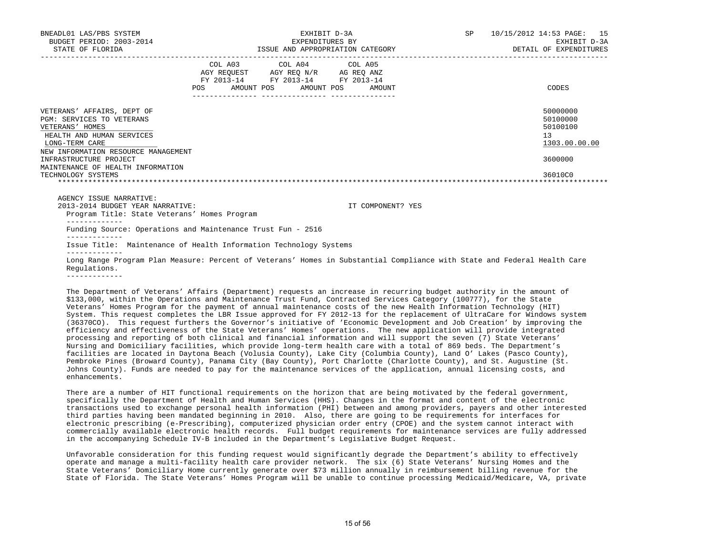| BNEADL01 LAS/PBS SYSTEM<br>BUDGET PERIOD: 2003-2014                                                                              | EXHIBIT D-3A<br>EXPENDITURES BY                                                                                                   | SP                | 10/15/2012 14:53 PAGE: 15<br>EXHIBIT D-3A               |
|----------------------------------------------------------------------------------------------------------------------------------|-----------------------------------------------------------------------------------------------------------------------------------|-------------------|---------------------------------------------------------|
| STATE OF FLORIDA                                                                                                                 | ISSUE AND APPROPRIATION CATEGORY                                                                                                  |                   | DETAIL OF EXPENDITURES                                  |
|                                                                                                                                  | COL A03 COL A04 COL A05<br>AGY REQUEST AGY REQ N/R AG REQ ANZ<br>FY 2013-14 FY 2013-14 FY 2013-14<br>POS<br>AMOUNT POS AMOUNT POS | AMOUNT            | CODES                                                   |
| VETERANS' AFFAIRS, DEPT OF<br><b>PGM: SERVICES TO VETERANS</b><br>VETERANS' HOMES<br>HEALTH AND HUMAN SERVICES<br>LONG-TERM CARE |                                                                                                                                   |                   | 50000000<br>50100000<br>50100100<br>13<br>1303.00.00.00 |
| NEW INFORMATION RESOURCE MANAGEMENT<br>INFRASTRUCTURE PROJECT<br>MAINTENANCE OF HEALTH INFORMATION                               |                                                                                                                                   |                   | 3600000                                                 |
| TECHNOLOGY SYSTEMS                                                                                                               |                                                                                                                                   |                   | 36010C0                                                 |
| AGENCY ISSUE NARRATIVE:<br>2013-2014 BUDGET YEAR NARRATIVE:<br>Program Title: State Veterans' Homes Program                      |                                                                                                                                   | IT COMPONENT? YES |                                                         |

-------------

Funding Source: Operations and Maintenance Trust Fun - 2516

-------------

 Issue Title: Maintenance of Health Information Technology Systems -------------

 Long Range Program Plan Measure: Percent of Veterans' Homes in Substantial Compliance with State and Federal Health Care Regulations.

-------------

 The Department of Veterans' Affairs (Department) requests an increase in recurring budget authority in the amount of \$133,000, within the Operations and Maintenance Trust Fund, Contracted Services Category (100777), for the State Veterans' Homes Program for the payment of annual maintenance costs of the new Health Information Technology (HIT) System. This request completes the LBR Issue approved for FY 2012-13 for the replacement of UltraCare for Windows system (36370CO). This request furthers the Governor's initiative of 'Economic Development and Job Creation' by improving the efficiency and effectiveness of the State Veterans' Homes' operations. The new application will provide integrated processing and reporting of both clinical and financial information and will support the seven (7) State Veterans' Nursing and Domiciliary facilities, which provide long-term health care with a total of 869 beds. The Department's facilities are located in Daytona Beach (Volusia County), Lake City (Columbia County), Land O' Lakes (Pasco County), Pembroke Pines (Broward County), Panama City (Bay County), Port Charlotte (Charlotte County), and St. Augustine (St. Johns County). Funds are needed to pay for the maintenance services of the application, annual licensing costs, and enhancements.

 There are a number of HIT functional requirements on the horizon that are being motivated by the federal government, specifically the Department of Health and Human Services (HHS). Changes in the format and content of the electronic transactions used to exchange personal health information (PHI) between and among providers, payers and other interested third parties having been mandated beginning in 2010. Also, there are going to be requirements for interfaces for electronic prescribing (e-Prescribing), computerized physician order entry (CPOE) and the system cannot interact with commercially available electronic health records. Full budget requirements for maintenance services are fully addressed in the accompanying Schedule IV-B included in the Department's Legislative Budget Request.

 Unfavorable consideration for this funding request would significantly degrade the Department's ability to effectively operate and manage a multi-facility health care provider network. The six (6) State Veterans' Nursing Homes and the State Veterans' Domiciliary Home currently generate over \$73 million annually in reimbursement billing revenue for the State of Florida. The State Veterans' Homes Program will be unable to continue processing Medicaid/Medicare, VA, private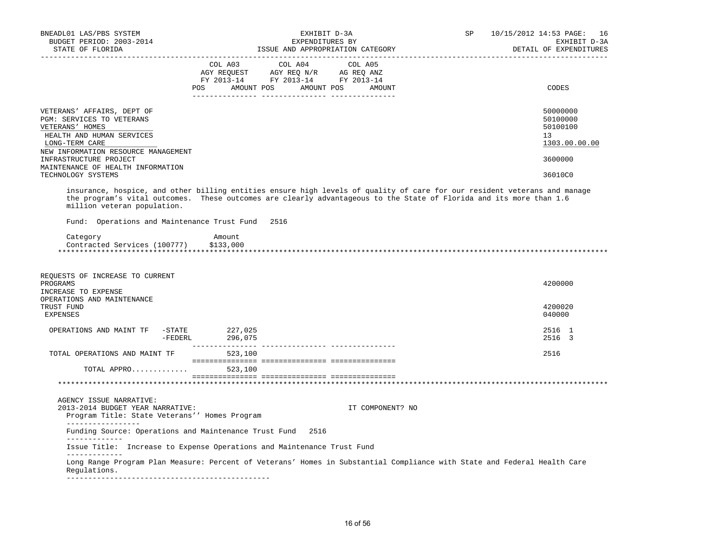| BNEADL01 LAS/PBS SYSTEM<br>BUDGET PERIOD: 2003-2014<br>STATE OF FLORIDA                                                                                          |                                      | EXHIBIT D-3A<br>EXPENDITURES BY<br>ISSUE AND APPROPRIATION CATEGORY                                    | 10/15/2012 14:53 PAGE:<br>SP<br>EXHIBIT D-3A<br>DETAIL OF EXPENDITURES                                                                                                                                                                           | 16 |
|------------------------------------------------------------------------------------------------------------------------------------------------------------------|--------------------------------------|--------------------------------------------------------------------------------------------------------|--------------------------------------------------------------------------------------------------------------------------------------------------------------------------------------------------------------------------------------------------|----|
|                                                                                                                                                                  | COL A03<br>POS AMOUNT POS AMOUNT POS | COL A04<br>COL A05<br>AGY REQUEST AGY REQ N/R AG REQ ANZ<br>FY 2013-14 FY 2013-14 FY 2013-14<br>AMOUNT | CODES                                                                                                                                                                                                                                            |    |
| VETERANS' AFFAIRS, DEPT OF<br>PGM: SERVICES TO VETERANS<br>VETERANS' HOMES<br>HEALTH AND HUMAN SERVICES<br>LONG-TERM CARE<br>NEW INFORMATION RESOURCE MANAGEMENT |                                      |                                                                                                        | 50000000<br>50100000<br>50100100<br>13<br>1303.00.00.00                                                                                                                                                                                          |    |
| INFRASTRUCTURE PROJECT                                                                                                                                           |                                      |                                                                                                        | 3600000                                                                                                                                                                                                                                          |    |
| MAINTENANCE OF HEALTH INFORMATION<br>TECHNOLOGY SYSTEMS                                                                                                          |                                      |                                                                                                        | 36010C0                                                                                                                                                                                                                                          |    |
| million veteran population.<br>Fund: Operations and Maintenance Trust Fund                                                                                       | 2516                                 |                                                                                                        | insurance, hospice, and other billing entities ensure high levels of quality of care for our resident veterans and manage<br>the program's vital outcomes. These outcomes are clearly advantageous to the State of Florida and its more than 1.6 |    |
| Category<br>Contracted Services (100777)                                                                                                                         | Amount<br>\$133,000                  |                                                                                                        |                                                                                                                                                                                                                                                  |    |
| REQUESTS OF INCREASE TO CURRENT<br>PROGRAMS<br>INCREASE TO EXPENSE<br>OPERATIONS AND MAINTENANCE                                                                 |                                      |                                                                                                        | 4200000                                                                                                                                                                                                                                          |    |
| TRUST FUND<br>EXPENSES                                                                                                                                           |                                      |                                                                                                        | 4200020<br>040000                                                                                                                                                                                                                                |    |
| OPERATIONS AND MAINT TF -STATE 227,025                                                                                                                           | -FEDERL 296,075                      |                                                                                                        | 2516 1<br>2516 3                                                                                                                                                                                                                                 |    |
| TOTAL OPERATIONS AND MAINT TF                                                                                                                                    | 523,100                              |                                                                                                        | 2516                                                                                                                                                                                                                                             |    |
| TOTAL APPRO                                                                                                                                                      | 523,100                              |                                                                                                        |                                                                                                                                                                                                                                                  |    |
|                                                                                                                                                                  |                                      |                                                                                                        |                                                                                                                                                                                                                                                  |    |
| AGENCY ISSUE NARRATIVE:<br>2013-2014 BUDGET YEAR NARRATIVE:<br>Program Title: State Veterans'' Homes Program                                                     |                                      | IT COMPONENT? NO                                                                                       |                                                                                                                                                                                                                                                  |    |
| _________________<br>Funding Source: Operations and Maintenance Trust Fund 2516                                                                                  |                                      |                                                                                                        |                                                                                                                                                                                                                                                  |    |
| _____________<br>Issue Title: Increase to Expense Operations and Maintenance Trust Fund                                                                          |                                      |                                                                                                        |                                                                                                                                                                                                                                                  |    |
| _____________<br>Requlations.                                                                                                                                    |                                      |                                                                                                        | Long Range Program Plan Measure: Percent of Veterans' Homes in Substantial Compliance with State and Federal Health Care                                                                                                                         |    |
|                                                                                                                                                                  |                                      |                                                                                                        |                                                                                                                                                                                                                                                  |    |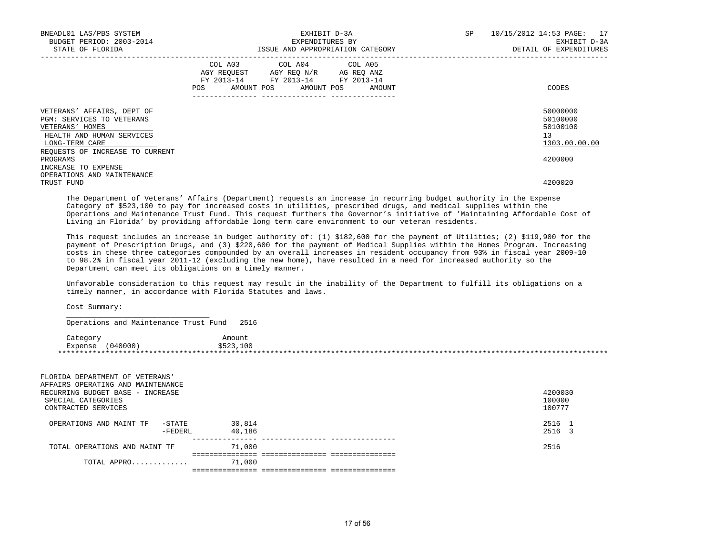| BNEADL01 LAS/PBS SYSTEM<br>BUDGET PERIOD: 2003-2014<br>STATE OF FLORIDA                                                                                                                         | EXHIBIT D-3A<br>EXPENDITURES BY<br>ISSUE AND APPROPRIATION CATEGORY                                                                   | SP<br>10/15/2012 14:53 PAGE: 17<br>EXHIBIT D-3A<br>DETAIL OF EXPENDITURES       |
|-------------------------------------------------------------------------------------------------------------------------------------------------------------------------------------------------|---------------------------------------------------------------------------------------------------------------------------------------|---------------------------------------------------------------------------------|
|                                                                                                                                                                                                 | COL A03 COL A04 COL A05<br>AGY REQUEST AGY REQ N/R AG REQ ANZ<br>FY 2013-14 FY 2013-14 FY 2013-14<br>POS AMOUNT POS AMOUNT POS AMOUNT | CODES                                                                           |
| VETERANS' AFFAIRS, DEPT OF<br>PGM: SERVICES TO VETERANS<br>VETERANS' HOMES<br>HEALTH AND HUMAN SERVICES<br>LONG-TERM CARE<br>REQUESTS OF INCREASE TO CURRENT<br>PROGRAMS<br>INCREASE TO EXPENSE |                                                                                                                                       | 50000000<br>50100000<br>50100100<br>13 <sup>°</sup><br>1303.00.00.00<br>4200000 |
| OPERATIONS AND MAINTENANCE<br>TRUST FUND                                                                                                                                                        |                                                                                                                                       | 4200020                                                                         |

 The Department of Veterans' Affairs (Department) requests an increase in recurring budget authority in the Expense Category of \$523,100 to pay for increased costs in utilities, prescribed drugs, and medical supplies within the Operations and Maintenance Trust Fund. This request furthers the Governor's initiative of 'Maintaining Affordable Cost of Living in Florida' by providing affordable long term care environment to our veteran residents.

 This request includes an increase in budget authority of: (1) \$182,600 for the payment of Utilities; (2) \$119,900 for the payment of Prescription Drugs, and (3) \$220,600 for the payment of Medical Supplies within the Homes Program. Increasing costs in these three categories compounded by an overall increases in resident occupancy from 93% in fiscal year 2009-10 to 98.2% in fiscal year 2011-12 (excluding the new home), have resulted in a need for increased authority so the Department can meet its obligations on a timely manner.

 Unfavorable consideration to this request may result in the inability of the Department to fulfill its obligations on a timely manner, in accordance with Florida Statutes and laws.

Cost Summary:

 $\frac{1}{\sqrt{2}}$  ,  $\frac{1}{\sqrt{2}}$  ,  $\frac{1}{\sqrt{2}}$  ,  $\frac{1}{\sqrt{2}}$  ,  $\frac{1}{\sqrt{2}}$  ,  $\frac{1}{\sqrt{2}}$  ,  $\frac{1}{\sqrt{2}}$  ,  $\frac{1}{\sqrt{2}}$  ,  $\frac{1}{\sqrt{2}}$  ,  $\frac{1}{\sqrt{2}}$  ,  $\frac{1}{\sqrt{2}}$  ,  $\frac{1}{\sqrt{2}}$  ,  $\frac{1}{\sqrt{2}}$  ,  $\frac{1}{\sqrt{2}}$  ,  $\frac{1}{\sqrt{2}}$ 

Operations and Maintenance Trust Fund 2516

| Category |         | Amount    |  |
|----------|---------|-----------|--|
| Expense  | '040000 | \$523,100 |  |
|          |         |           |  |

| FLORIDA DEPARTMENT OF VETERANS'   |        |         |
|-----------------------------------|--------|---------|
| AFFAIRS OPERATING AND MAINTENANCE |        |         |
| RECURRING BUDGET BASE - INCREASE  |        | 4200030 |
| SPECIAL CATEGORIES                |        | 100000  |
| CONTRACTED SERVICES               |        | 100777  |
|                                   |        |         |
| OPERATIONS AND MAINT TF<br>-STATE | 30,814 | 2516 1  |
| -FEDERL                           | 40,186 | 2516 3  |
| TOTAL OPERATIONS AND MAINT TF     | 71,000 | 2516    |
|                                   |        |         |
| TOTAL APPRO                       | 71,000 |         |
|                                   |        |         |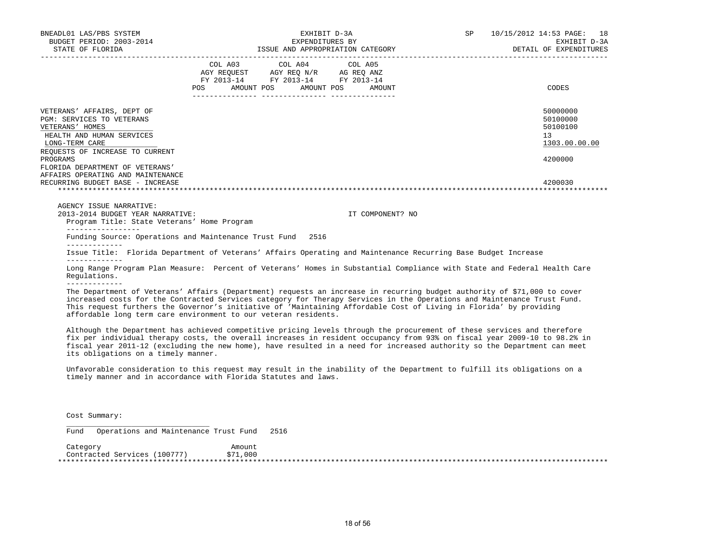| BNEADL01 LAS/PBS SYSTEM<br>BUDGET PERIOD: 2003-2014                                                                                                                                                                                                                                                                                                                                                                                                           | EXHIBIT D-3A<br>EXPENDITURES BY  |                                                                                                   |  | SP <sub>2</sub>  | 10/15/2012 14:53 PAGE: 18<br>EXHIBIT D-3A<br>DETAIL OF EXPENDITURES |                                                                    |
|---------------------------------------------------------------------------------------------------------------------------------------------------------------------------------------------------------------------------------------------------------------------------------------------------------------------------------------------------------------------------------------------------------------------------------------------------------------|----------------------------------|---------------------------------------------------------------------------------------------------|--|------------------|---------------------------------------------------------------------|--------------------------------------------------------------------|
|                                                                                                                                                                                                                                                                                                                                                                                                                                                               | POS AMOUNT POS AMOUNT POS AMOUNT | COL A03 COL A04 COL A05<br>AGY REQUEST AGY REQ N/R AG REQ ANZ<br>FY 2013-14 FY 2013-14 FY 2013-14 |  |                  |                                                                     | CODES                                                              |
| VETERANS' AFFAIRS, DEPT OF<br><b>PGM: SERVICES TO VETERANS</b><br>VETERANS' HOMES<br>HEALTH AND HUMAN SERVICES<br>LONG-TERM CARE<br>REQUESTS OF INCREASE TO CURRENT<br>PROGRAMS                                                                                                                                                                                                                                                                               |                                  |                                                                                                   |  |                  |                                                                     | 50000000<br>50100000<br>50100100<br>13<br>1303.00.00.00<br>4200000 |
| FLORIDA DEPARTMENT OF VETERANS'<br>AFFAIRS OPERATING AND MAINTENANCE<br>RECURRING BUDGET BASE - INCREASE<br>AGENCY ISSUE NARRATIVE:<br>2013-2014 BUDGET YEAR NARRATIVE:                                                                                                                                                                                                                                                                                       |                                  |                                                                                                   |  | IT COMPONENT? NO |                                                                     | 4200030                                                            |
| Program Title: State Veterans' Home Program<br>------------------<br>Funding Source: Operations and Maintenance Trust Fund 2516                                                                                                                                                                                                                                                                                                                               |                                  |                                                                                                   |  |                  |                                                                     |                                                                    |
| Issue Title: Florida Department of Veterans' Affairs Operating and Maintenance Recurring Base Budget Increase<br>Long Range Program Plan Measure: Percent of Veterans' Homes in Substantial Compliance with State and Federal Health Care<br>Requlations.                                                                                                                                                                                                     |                                  |                                                                                                   |  |                  |                                                                     |                                                                    |
| -------------<br>The Department of Veterans' Affairs (Department) requests an increase in recurring budget authority of \$71,000 to cover<br>increased costs for the Contracted Services category for Therapy Services in the Operations and Maintenance Trust Fund.<br>This request furthers the Governor's initiative of 'Maintaining Affordable Cost of Living in Florida' by providing<br>affordable long term care environment to our veteran residents. |                                  |                                                                                                   |  |                  |                                                                     |                                                                    |
| Although the Department has achieved competitive pricing levels through the procurement of these services and therefore<br>fix per individual therapy costs, the overall increases in resident occupancy from 93% on fiscal year 2009-10 to 98.2% in<br>fiscal year 2011-12 (excluding the new home), have resulted in a need for increased authority so the Department can meet<br>its obligations on a timely manner.                                       |                                  |                                                                                                   |  |                  |                                                                     |                                                                    |

 Unfavorable consideration to this request may result in the inability of the Department to fulfill its obligations on a timely manner and in accordance with Florida Statutes and laws.

Cost Summary:

\_\_\_\_\_\_\_\_\_\_\_\_\_\_\_\_\_\_\_\_\_\_\_\_\_\_\_\_\_\_\_\_\_

Fund Operations and Maintenance Trust Fund 2516

| Category                       | Amount |  |
|--------------------------------|--------|--|
| .100777<br>Contracted Services | 1,000  |  |
|                                |        |  |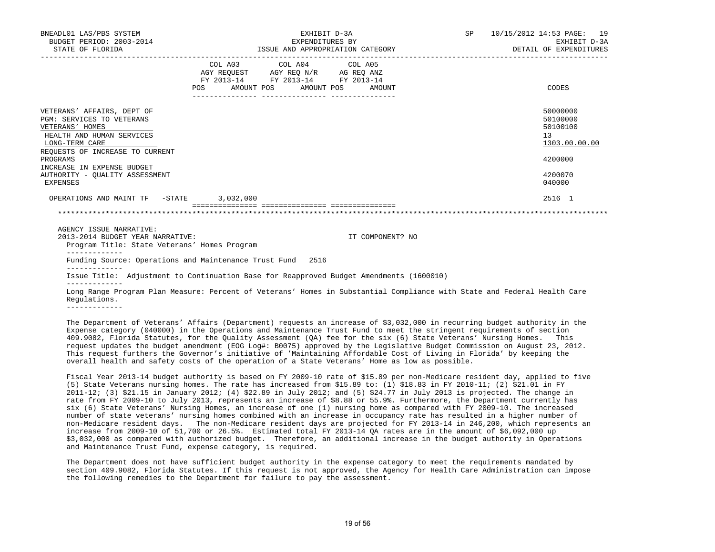| BNEADL01 LAS/PBS SYSTEM<br>BUDGET PERIOD: 2003-2014<br>STATE OF FLORIDA                                                                                                                                                                                     |            | EXHIBIT D-3A<br>EXPENDITURES BY                                                                                                                                                     | ISSUE AND APPROPRIATION CATEGORY | SP | 10/15/2012 14:53 PAGE: 19<br>EXHIBIT D-3A<br>DETAIL OF EXPENDITURES                                  |
|-------------------------------------------------------------------------------------------------------------------------------------------------------------------------------------------------------------------------------------------------------------|------------|-------------------------------------------------------------------------------------------------------------------------------------------------------------------------------------|----------------------------------|----|------------------------------------------------------------------------------------------------------|
|                                                                                                                                                                                                                                                             | <b>POS</b> | $\begin{tabular}{lcccc} COL A03 & COL A04 & COL A05 \\ AGY REQUEST & AGY REQ N/R & AG REQ ANZ \\ FY & 2013-14 & FY & 2013-14 & FY & 2013-14 \end{tabular}$<br>AMOUNT POS AMOUNT POS | AMOUNT                           |    | CODES                                                                                                |
| VETERANS' AFFAIRS, DEPT OF<br>PGM: SERVICES TO VETERANS<br>VETERANS' HOMES<br>HEALTH AND HUMAN SERVICES<br>LONG-TERM CARE<br>REQUESTS OF INCREASE TO CURRENT<br>PROGRAMS<br>INCREASE IN EXPENSE BUDGET<br>AUTHORITY - OUALITY ASSESSMENT<br><b>EXPENSES</b> |            |                                                                                                                                                                                     |                                  |    | 50000000<br>50100000<br>50100100<br>13 <sup>°</sup><br>1303.00.00.00<br>4200000<br>4200070<br>040000 |
| OPERATIONS AND MAINT TF -STATE 3,032,000                                                                                                                                                                                                                    |            |                                                                                                                                                                                     |                                  |    | 2516 1                                                                                               |
|                                                                                                                                                                                                                                                             |            |                                                                                                                                                                                     |                                  |    |                                                                                                      |
| AGENCY ISSUE NARRATIVE:<br>2013-2014 BUDGET YEAR NARRATIVE:<br>Program Title: State Veterans' Homes Program                                                                                                                                                 |            |                                                                                                                                                                                     | IT COMPONENT? NO                 |    |                                                                                                      |
| Funding Source: Operations and Maintenance Trust Fund 2516                                                                                                                                                                                                  |            |                                                                                                                                                                                     |                                  |    |                                                                                                      |
| Issue Title: Adjustment to Continuation Base for Reapproved Budget Amendments (1600010)                                                                                                                                                                     |            |                                                                                                                                                                                     |                                  |    |                                                                                                      |
| Long Range Program Plan Measure: Percent of Veterans' Homes in Substantial Compliance with State and Federal Health Care<br>Requlations.                                                                                                                    |            |                                                                                                                                                                                     |                                  |    |                                                                                                      |
| -------------<br>mbi Ricibulli if William (1551). (Ricibulli Ciclini in Jamesia if An Ann AAN Jamesia Didail islamische Jackie                                                                                                                              |            |                                                                                                                                                                                     |                                  |    |                                                                                                      |

 The Department of Veterans' Affairs (Department) requests an increase of \$3,032,000 in recurring budget authority in the Expense category (040000) in the Operations and Maintenance Trust Fund to meet the stringent requirements of section 409.9082, Florida Statutes, for the Quality Assessment (QA) fee for the six (6) State Veterans' Nursing Homes. This request updates the budget amendment (EOG Log#: B0075) approved by the Legislative Budget Commission on August 23, 2012. This request furthers the Governor's initiative of 'Maintaining Affordable Cost of Living in Florida' by keeping the overall health and safety costs of the operation of a State Veterans' Home as low as possible.

 Fiscal Year 2013-14 budget authority is based on FY 2009-10 rate of \$15.89 per non-Medicare resident day, applied to five (5) State Veterans nursing homes. The rate has increased from \$15.89 to: (1) \$18.83 in FY 2010-11; (2) \$21.01 in FY 2011-12; (3) \$21.15 in January 2012; (4) \$22.89 in July 2012; and (5) \$24.77 in July 2013 is projected. The change in rate from FY 2009-10 to July 2013, represents an increase of \$8.88 or 55.9%. Furthermore, the Department currently has six (6) State Veterans' Nursing Homes, an increase of one (1) nursing home as compared with FY 2009-10. The increased number of state veterans' nursing homes combined with an increase in occupancy rate has resulted in a higher number of non-Medicare resident days. The non-Medicare resident days are projected for FY 2013-14 in 246,200, which represents an increase from 2009-10 of 51,700 or 26.5%. Estimated total FY 2013-14 QA rates are in the amount of \$6,092,000 up \$3,032,000 as compared with authorized budget. Therefore, an additional increase in the budget authority in Operations and Maintenance Trust Fund, expense category, is required.

 The Department does not have sufficient budget authority in the expense category to meet the requirements mandated by section 409.9082, Florida Statutes. If this request is not approved, the Agency for Health Care Administration can impose the following remedies to the Department for failure to pay the assessment.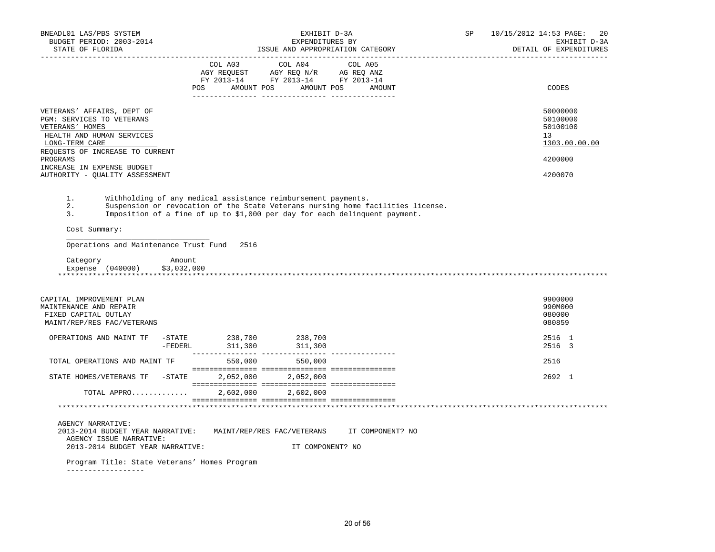| BNEADL01 LAS/PBS SYSTEM<br>BUDGET PERIOD: 2003-2014<br>STATE OF FLORIDA                                                   | EXHIBIT D-3A<br>EXPENDITURES BY<br>ISSUE AND APPROPRIATION CATEGORY                                                                         | SP<br>10/15/2012 14:53 PAGE: 20<br>EXHIBIT D-3A<br>DETAIL OF EXPENDITURES |
|---------------------------------------------------------------------------------------------------------------------------|---------------------------------------------------------------------------------------------------------------------------------------------|---------------------------------------------------------------------------|
|                                                                                                                           | COL A03 COL A04 COL A05<br>AGY REQUEST AGY REQ N/R AG REQ ANZ<br>FY 2013-14 FY 2013-14 FY 2013-14<br>AMOUNT POS AMOUNT POS<br>POS<br>AMOUNT | CODES                                                                     |
| VETERANS' AFFAIRS, DEPT OF<br>PGM: SERVICES TO VETERANS<br>VETERANS' HOMES<br>HEALTH AND HUMAN SERVICES<br>LONG-TERM CARE |                                                                                                                                             | 50000000<br>50100000<br>50100100<br>13<br>1303.00.00.00                   |
| REQUESTS OF INCREASE TO CURRENT<br>PROGRAMS<br>INCREASE IN EXPENSE BUDGET<br>AUTHORITY - OUALITY ASSESSMENT               |                                                                                                                                             | 4200000<br>4200070                                                        |

1. Withholding of any medical assistance reimbursement payments.

2. Suspension or revocation of the State Veterans nursing home facilities license.

3. Imposition of a fine of up to \$1,000 per day for each delinquent payment.

Cost Summary:

Operations and Maintenance Trust Fund 2516

Category **Amount** Expense (040000) \$3,032,000

\_\_\_\_\_\_\_\_\_\_\_\_\_\_\_\_\_\_\_\_\_\_\_\_\_\_\_\_\_\_\_\_\_

| Expense | , 040000 J | \$3,032,000 |  |  |  |
|---------|------------|-------------|--|--|--|
|         |            |             |  |  |  |
|         |            |             |  |  |  |

| CAPITAL IMPROVEMENT PLAN          |           |                            |                  | 9900000        |
|-----------------------------------|-----------|----------------------------|------------------|----------------|
| MAINTENANCE AND REPAIR            |           |                            |                  | 990M000        |
| FIXED CAPITAL OUTLAY              |           |                            |                  | 080000         |
| MAINT/REP/RES FAC/VETERANS        |           |                            |                  | 080859         |
|                                   |           |                            |                  |                |
| OPERATIONS AND MAINT TF<br>-STATE | 238,700   | 238,700                    |                  | 2516 1         |
| -FEDERL                           | 311,300   | 311,300                    |                  | 2516 3         |
|                                   |           |                            |                  |                |
| TOTAL OPERATIONS AND MAINT TF     | 550,000   | 550,000                    |                  | 2516           |
|                                   |           |                            |                  |                |
| STATE HOMES/VETERANS TF -STATE    | 2,052,000 | 2,052,000                  |                  | $2692 \quad 1$ |
|                                   |           |                            |                  |                |
| TOTAL APPRO                       | 2,602,000 | 2,602,000                  |                  |                |
|                                   |           |                            |                  |                |
|                                   |           |                            |                  |                |
|                                   |           |                            |                  |                |
| <b>AGENCY NARRATIVE:</b>          |           |                            |                  |                |
| 2013-2014 BUDGET YEAR NARRATIVE:  |           | MAINT/REP/RES FAC/VETERANS | IT COMPONENT? NO |                |
| AGENCY ISSUE NARRATIVE:           |           |                            |                  |                |
|                                   |           |                            |                  |                |

2013-2014 BUDGET YEAR NARRATIVE: IT COMPONENT? NO

Program Title: State Veterans' Homes Program

------------------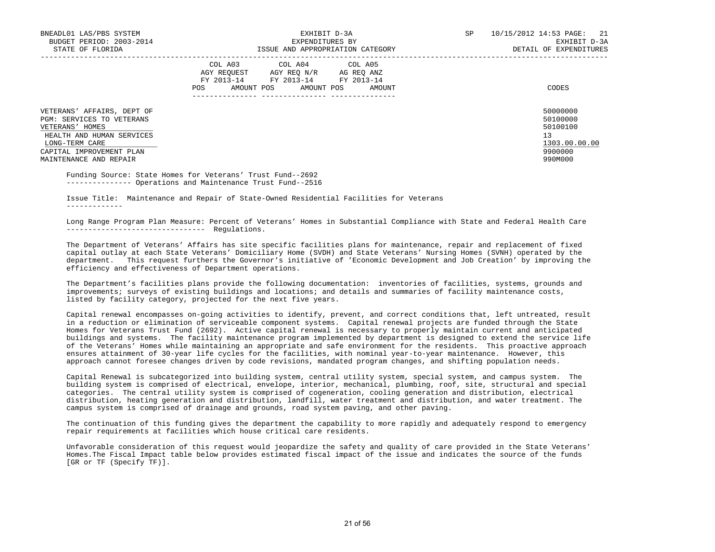| BNEADL01 LAS/PBS SYSTEM<br>BUDGET PERIOD: 2003-2014<br>STATE OF FLORIDA                                                                                                         | EXHIBIT D-3A<br>EXPENDITURES BY<br>ISSUE AND APPROPRIATION CATEGORY                                                                               | 21<br><b>SP</b><br>10/15/2012 14:53 PAGE:<br>EXHIBIT D-3A<br>DETAIL OF EXPENDITURES |
|---------------------------------------------------------------------------------------------------------------------------------------------------------------------------------|---------------------------------------------------------------------------------------------------------------------------------------------------|-------------------------------------------------------------------------------------|
|                                                                                                                                                                                 | COL A03 COL A04 COL A05<br>AGY REOUEST AGY REO N/R<br>AG REO ANZ<br>FY 2013-14 FY 2013-14<br>FY 2013-14<br>AMOUNT POS AMOUNT POS<br>POS<br>AMOUNT | CODES                                                                               |
| VETERANS' AFFAIRS, DEPT OF<br>PGM: SERVICES TO VETERANS<br>VETERANS' HOMES<br>HEALTH AND HUMAN SERVICES<br>LONG-TERM CARE<br>CAPITAL IMPROVEMENT PLAN<br>MAINTENANCE AND REPAIR |                                                                                                                                                   | 50000000<br>50100000<br>50100100<br>13<br>1303.00.00.00<br>9900000<br>990M000       |

 Funding Source: State Homes for Veterans' Trust Fund--2692 --------------- Operations and Maintenance Trust Fund--2516

 Issue Title: Maintenance and Repair of State-Owned Residential Facilities for Veterans -------------

 Long Range Program Plan Measure: Percent of Veterans' Homes in Substantial Compliance with State and Federal Health Care -------------------------------- Regulations.

 The Department of Veterans' Affairs has site specific facilities plans for maintenance, repair and replacement of fixed capital outlay at each State Veterans' Domiciliary Home (SVDH) and State Veterans' Nursing Homes (SVNH) operated by the department. This request furthers the Governor's initiative of 'Economic Development and Job Creation' by improving the efficiency and effectiveness of Department operations.

 The Department's facilities plans provide the following documentation: inventories of facilities, systems, grounds and improvements; surveys of existing buildings and locations; and details and summaries of facility maintenance costs, listed by facility category, projected for the next five years.

 Capital renewal encompasses on-going activities to identify, prevent, and correct conditions that, left untreated, result in a reduction or elimination of serviceable component systems. Capital renewal projects are funded through the State Homes for Veterans Trust Fund (2692). Active capital renewal is necessary to properly maintain current and anticipated buildings and systems. The facility maintenance program implemented by department is designed to extend the service life of the Veterans' Homes while maintaining an appropriate and safe environment for the residents. This proactive approach ensures attainment of 30-year life cycles for the facilities, with nominal year-to-year maintenance. However, this approach cannot foresee changes driven by code revisions, mandated program changes, and shifting population needs.

 Capital Renewal is subcategorized into building system, central utility system, special system, and campus system. The building system is comprised of electrical, envelope, interior, mechanical, plumbing, roof, site, structural and special categories. The central utility system is comprised of cogeneration, cooling generation and distribution, electrical distribution, heating generation and distribution, landfill, water treatment and distribution, and water treatment. The campus system is comprised of drainage and grounds, road system paving, and other paving.

 The continuation of this funding gives the department the capability to more rapidly and adequately respond to emergency repair requirements at facilities which house critical care residents.

 Unfavorable consideration of this request would jeopardize the safety and quality of care provided in the State Veterans' Homes.The Fiscal Impact table below provides estimated fiscal impact of the issue and indicates the source of the funds [GR or TF (Specify TF)].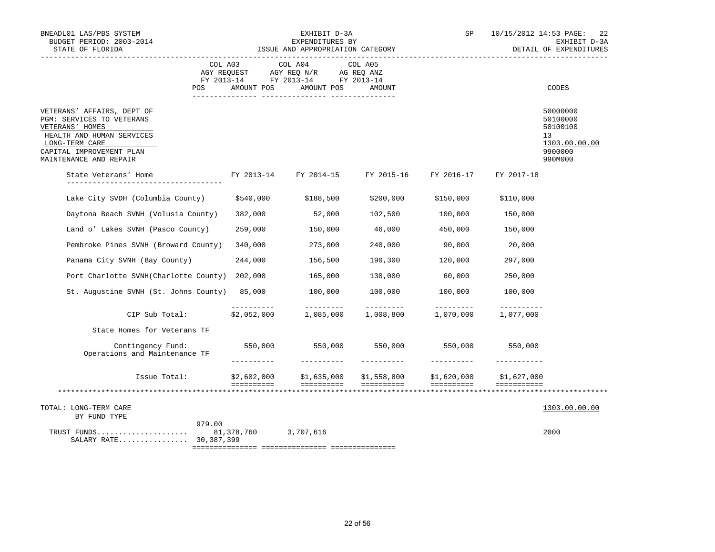| BNEADL01 LAS/PBS SYSTEM<br>BUDGET PERIOD: 2003-2014<br>STATE OF FLORIDA                                                                                                         |                           | EXHIBIT D-3A<br>EXPENDITURES BY<br>ISSUE AND APPROPRIATION CATEGORY                                                                                                                                                                                                                                                                                                                                                                                                                                 | SP                            |                        | 10/15/2012 14:53 PAGE:<br>22<br>EXHIBIT D-3A<br>DETAIL OF EXPENDITURES |                                                                               |
|---------------------------------------------------------------------------------------------------------------------------------------------------------------------------------|---------------------------|-----------------------------------------------------------------------------------------------------------------------------------------------------------------------------------------------------------------------------------------------------------------------------------------------------------------------------------------------------------------------------------------------------------------------------------------------------------------------------------------------------|-------------------------------|------------------------|------------------------------------------------------------------------|-------------------------------------------------------------------------------|
| POS                                                                                                                                                                             | COL A03<br>AMOUNT POS     | COL A04<br>FY 2013-14 FY 2013-14 FY 2013-14<br>AMOUNT POS                                                                                                                                                                                                                                                                                                                                                                                                                                           | COL A05<br>AMOUNT             |                        |                                                                        | CODES                                                                         |
| VETERANS' AFFAIRS, DEPT OF<br>PGM: SERVICES TO VETERANS<br>VETERANS' HOMES<br>HEALTH AND HUMAN SERVICES<br>LONG-TERM CARE<br>CAPITAL IMPROVEMENT PLAN<br>MAINTENANCE AND REPAIR |                           |                                                                                                                                                                                                                                                                                                                                                                                                                                                                                                     |                               |                        |                                                                        | 50000000<br>50100000<br>50100100<br>13<br>1303.00.00.00<br>9900000<br>990M000 |
| State Veterans' Home                                                                                                                                                            |                           | FY 2013-14 FY 2014-15 FY 2015-16 FY 2016-17                                                                                                                                                                                                                                                                                                                                                                                                                                                         |                               |                        | FY 2017-18                                                             |                                                                               |
| Lake City SVDH (Columbia County)                                                                                                                                                | \$540,000                 | \$188,500                                                                                                                                                                                                                                                                                                                                                                                                                                                                                           | \$200,000                     | \$150,000              | \$110,000                                                              |                                                                               |
| Daytona Beach SVNH (Volusia County)                                                                                                                                             | 382,000                   | 52,000                                                                                                                                                                                                                                                                                                                                                                                                                                                                                              | 102,500                       | 100,000                | 150,000                                                                |                                                                               |
| Land o' Lakes SVNH (Pasco County)                                                                                                                                               | 259,000                   | 150,000                                                                                                                                                                                                                                                                                                                                                                                                                                                                                             | 46,000                        | 450,000                | 150,000                                                                |                                                                               |
| Pembroke Pines SVNH (Broward County)                                                                                                                                            | 340,000                   | 273,000                                                                                                                                                                                                                                                                                                                                                                                                                                                                                             | 240,000                       | 90,000                 | 20,000                                                                 |                                                                               |
| Panama City SVNH (Bay County)                                                                                                                                                   | 244,000                   | 156,500                                                                                                                                                                                                                                                                                                                                                                                                                                                                                             | 190,300                       | 120,000                | 297,000                                                                |                                                                               |
| Port Charlotte SVNH(Charlotte County) 202,000                                                                                                                                   |                           | 165,000                                                                                                                                                                                                                                                                                                                                                                                                                                                                                             | 130,000                       | 60,000                 | 250,000                                                                |                                                                               |
| St. Augustine SVNH (St. Johns County) 85,000                                                                                                                                    |                           | 100,000                                                                                                                                                                                                                                                                                                                                                                                                                                                                                             | 100,000                       | 100,000                | 100,000                                                                |                                                                               |
| CIP Sub Total:                                                                                                                                                                  | ----------<br>\$2,052,000 | $\begin{array}{cccccccccc} \multicolumn{2}{c}{} & \multicolumn{2}{c}{} & \multicolumn{2}{c}{} & \multicolumn{2}{c}{} & \multicolumn{2}{c}{} & \multicolumn{2}{c}{} & \multicolumn{2}{c}{} & \multicolumn{2}{c}{} & \multicolumn{2}{c}{} & \multicolumn{2}{c}{} & \multicolumn{2}{c}{} & \multicolumn{2}{c}{} & \multicolumn{2}{c}{} & \multicolumn{2}{c}{} & \multicolumn{2}{c}{} & \multicolumn{2}{c}{} & \multicolumn{2}{c}{} & \multicolumn{2}{c}{} & \multicolumn{2}{c}{} & \mult$<br>1,085,000 | <u>_________</u><br>1,008,800 | _________<br>1,070,000 | $- - - - - - - - - -$<br>1,077,000                                     |                                                                               |
| State Homes for Veterans TF                                                                                                                                                     |                           |                                                                                                                                                                                                                                                                                                                                                                                                                                                                                                     |                               |                        |                                                                        |                                                                               |
| Contingency Fund: 550,000 550,000 550,000 550,000<br>Operations and Maintenance TF                                                                                              | $- - - - - - - - -$       | ___________                                                                                                                                                                                                                                                                                                                                                                                                                                                                                         | -----------                   | -----------            | 550,000<br>___________                                                 |                                                                               |
| Issue Total:                                                                                                                                                                    |                           | \$2,602,000 \$1,635,000 \$1,558,800 \$1,620,000                                                                                                                                                                                                                                                                                                                                                                                                                                                     |                               |                        | \$1,627,000                                                            |                                                                               |
|                                                                                                                                                                                 | ==========                | ==========                                                                                                                                                                                                                                                                                                                                                                                                                                                                                          | ==========                    | ==========             | ===========                                                            |                                                                               |
| TOTAL: LONG-TERM CARE<br>BY FUND TYPE                                                                                                                                           |                           |                                                                                                                                                                                                                                                                                                                                                                                                                                                                                                     |                               |                        |                                                                        | 1303.00.00.00                                                                 |
| 979.00<br>TRUST FUNDS 81,378,760 3,707,616<br>SALARY RATE 30,387,399                                                                                                            |                           |                                                                                                                                                                                                                                                                                                                                                                                                                                                                                                     |                               |                        |                                                                        | 2000                                                                          |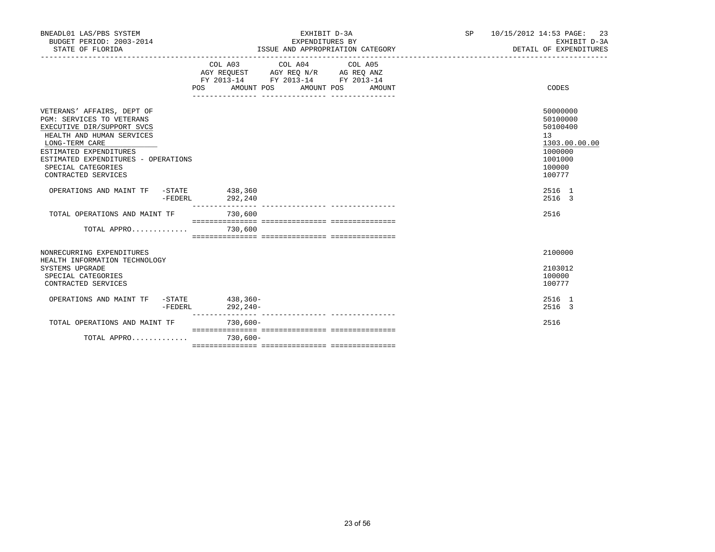| BNEADL01 LAS/PBS SYSTEM<br>BUDGET PERIOD: 2003-2014<br>STATE OF FLORIDA                                                                                                                                                                            |                     | EXHIBIT D-3A<br>EXPENDITURES BY<br>ISSUE AND APPROPRIATION CATEGORY                                                                                                                                                                                         | SP | 10/15/2012 14:53 PAGE:<br>23<br>EXHIBIT D-3A<br>DETAIL OF EXPENDITURES                            |
|----------------------------------------------------------------------------------------------------------------------------------------------------------------------------------------------------------------------------------------------------|---------------------|-------------------------------------------------------------------------------------------------------------------------------------------------------------------------------------------------------------------------------------------------------------|----|---------------------------------------------------------------------------------------------------|
|                                                                                                                                                                                                                                                    |                     | COL A03 COL A04 COL A05<br>$\begin{tabular}{lllllll} AGY & \texttt{REQUEST} & \texttt{AGY} & \texttt{REG} & \texttt{N/R} & \texttt{AG} & \texttt{REG} & \texttt{ANZ} \end{tabular}$<br>FY 2013-14 FY 2013-14 FY 2013-14<br>POS AMOUNT POS AMOUNT POS AMOUNT |    | CODES                                                                                             |
| VETERANS' AFFAIRS, DEPT OF<br>PGM: SERVICES TO VETERANS<br>EXECUTIVE DIR/SUPPORT SVCS<br>HEALTH AND HUMAN SERVICES<br>LONG-TERM CARE<br>ESTIMATED EXPENDITURES<br>ESTIMATED EXPENDITURES - OPERATIONS<br>SPECIAL CATEGORIES<br>CONTRACTED SERVICES |                     |                                                                                                                                                                                                                                                             |    | 50000000<br>50100000<br>50100400<br>13<br>1303.00.00.00<br>1000000<br>1001000<br>100000<br>100777 |
| OPERATIONS AND MAINT TF -STATE 438,360                                                                                                                                                                                                             | 292,240<br>-FEDERL  |                                                                                                                                                                                                                                                             |    | 2516 1<br>2516 3                                                                                  |
| TOTAL OPERATIONS AND MAINT TF                                                                                                                                                                                                                      |                     | 730,600                                                                                                                                                                                                                                                     |    | 2516                                                                                              |
| TOTAL APPRO                                                                                                                                                                                                                                        |                     | 730,600                                                                                                                                                                                                                                                     |    |                                                                                                   |
| NONRECURRING EXPENDITURES<br>HEALTH INFORMATION TECHNOLOGY<br>SYSTEMS UPGRADE<br>SPECIAL CATEGORIES<br>CONTRACTED SERVICES                                                                                                                         |                     |                                                                                                                                                                                                                                                             |    | 2100000<br>2103012<br>100000<br>100777                                                            |
| OPERATIONS AND MAINT TF -STATE 438,360-                                                                                                                                                                                                            | -FEDERL<br>292,240- |                                                                                                                                                                                                                                                             |    | 2516 1<br>2516 3                                                                                  |
| TOTAL OPERATIONS AND MAINT TF                                                                                                                                                                                                                      |                     | 730,600-                                                                                                                                                                                                                                                    |    | 2516                                                                                              |
| TOTAL APPRO                                                                                                                                                                                                                                        |                     | $730.600 -$                                                                                                                                                                                                                                                 |    |                                                                                                   |
|                                                                                                                                                                                                                                                    |                     |                                                                                                                                                                                                                                                             |    |                                                                                                   |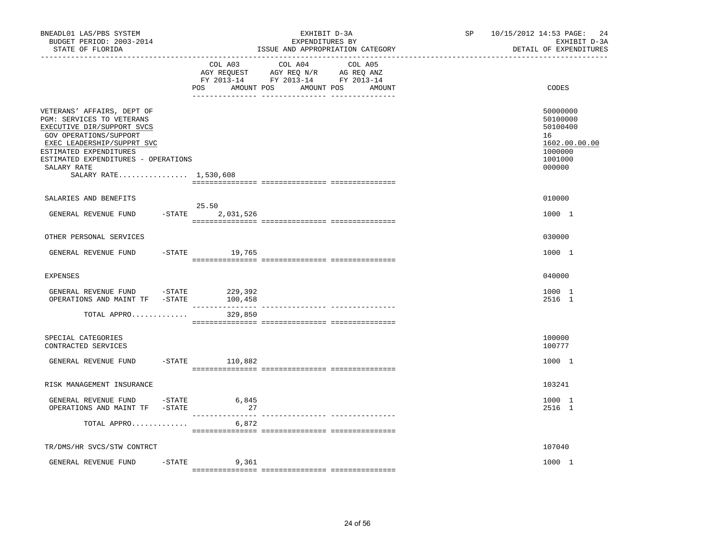| BNEADL01 LAS/PBS SYSTEM<br>BUDGET PERIOD: 2003-2014<br>STATE OF FLORIDA                                                                                                                                                                                |        |                              | EXHIBIT D-3A<br>EXPENDITURES BY<br>ISSUE AND APPROPRIATION CATEGORY                                                               | SP and the set of the set of the set of the set of the set of the set of the set of the set of the set of the set of the set of the set of the set of the set of the set of the set of the set of the set of the set of the se | 10/15/2012 14:53 PAGE:<br>24<br>EXHIBIT D-3A<br>DETAIL OF EXPENDITURES                  |
|--------------------------------------------------------------------------------------------------------------------------------------------------------------------------------------------------------------------------------------------------------|--------|------------------------------|-----------------------------------------------------------------------------------------------------------------------------------|--------------------------------------------------------------------------------------------------------------------------------------------------------------------------------------------------------------------------------|-----------------------------------------------------------------------------------------|
|                                                                                                                                                                                                                                                        |        | POS                          | COL A03 COL A04 COL A05<br>AGY REQUEST AGY REQ N/R AG REQ ANZ<br>FY 2013-14 FY 2013-14 FY 2013-14<br>AMOUNT POS AMOUNT POS AMOUNT |                                                                                                                                                                                                                                | CODES                                                                                   |
| VETERANS' AFFAIRS, DEPT OF<br>PGM: SERVICES TO VETERANS<br>EXECUTIVE DIR/SUPPORT SVCS<br>GOV OPERATIONS/SUPPORT<br>EXEC LEADERSHIP/SUPPRT SVC<br>ESTIMATED EXPENDITURES<br>ESTIMATED EXPENDITURES - OPERATIONS<br>SALARY RATE<br>SALARY RATE 1,530,608 |        |                              |                                                                                                                                   |                                                                                                                                                                                                                                | 50000000<br>50100000<br>50100400<br>16<br>1602.00.00.00<br>1000000<br>1001000<br>000000 |
| SALARIES AND BENEFITS                                                                                                                                                                                                                                  |        |                              |                                                                                                                                   |                                                                                                                                                                                                                                | 010000                                                                                  |
| GENERAL REVENUE FUND                                                                                                                                                                                                                                   |        | 25.50<br>$-$ STATE 2,031,526 |                                                                                                                                   |                                                                                                                                                                                                                                | 1000 1                                                                                  |
| OTHER PERSONAL SERVICES                                                                                                                                                                                                                                |        |                              |                                                                                                                                   |                                                                                                                                                                                                                                | 030000                                                                                  |
| GENERAL REVENUE FUND                                                                                                                                                                                                                                   |        | $-$ STATE 19,765             |                                                                                                                                   |                                                                                                                                                                                                                                | 1000 1                                                                                  |
| EXPENSES                                                                                                                                                                                                                                               |        |                              |                                                                                                                                   |                                                                                                                                                                                                                                | 040000                                                                                  |
| GENERAL REVENUE FUND -STATE 229,392<br>OPERATIONS AND MAINT TF -STATE                                                                                                                                                                                  |        | 100,458                      |                                                                                                                                   |                                                                                                                                                                                                                                | 1000 1<br>2516 1                                                                        |
| TOTAL APPRO                                                                                                                                                                                                                                            |        | 329,850                      |                                                                                                                                   |                                                                                                                                                                                                                                |                                                                                         |
| SPECIAL CATEGORIES<br>CONTRACTED SERVICES                                                                                                                                                                                                              |        |                              |                                                                                                                                   |                                                                                                                                                                                                                                | 100000<br>100777                                                                        |
| GENERAL REVENUE FUND                                                                                                                                                                                                                                   |        | $-$ STATE 110,882            |                                                                                                                                   |                                                                                                                                                                                                                                | 1000 1                                                                                  |
| RISK MANAGEMENT INSURANCE                                                                                                                                                                                                                              |        |                              |                                                                                                                                   |                                                                                                                                                                                                                                | 103241                                                                                  |
| GENERAL REVENUE FUND -STATE<br>OPERATIONS AND MAINT TF -STATE                                                                                                                                                                                          |        | 6,845<br>27                  |                                                                                                                                   |                                                                                                                                                                                                                                | 1000 1<br>2516 1                                                                        |
| TOTAL APPRO                                                                                                                                                                                                                                            |        | 6,872                        |                                                                                                                                   |                                                                                                                                                                                                                                |                                                                                         |
| TR/DMS/HR SVCS/STW CONTRCT                                                                                                                                                                                                                             |        |                              |                                                                                                                                   |                                                                                                                                                                                                                                | 107040                                                                                  |
| GENERAL REVENUE FUND                                                                                                                                                                                                                                   | -STATE | 9,361                        |                                                                                                                                   |                                                                                                                                                                                                                                | 1000 1                                                                                  |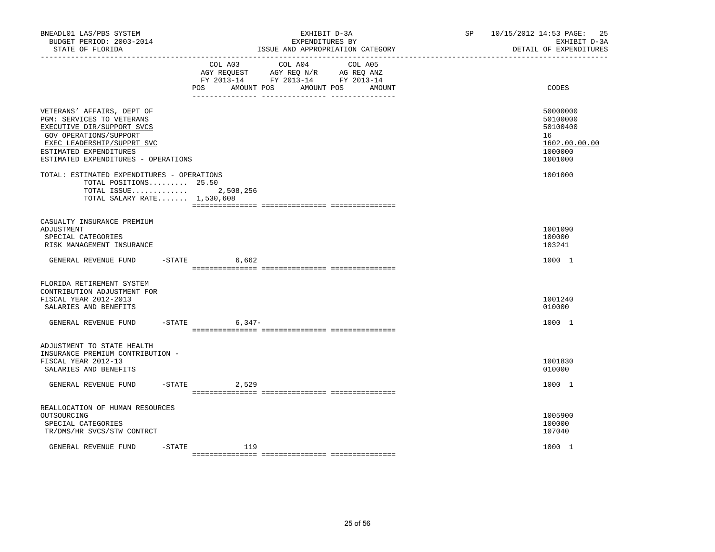| BNEADL01 LAS/PBS SYSTEM<br>BUDGET PERIOD: 2003-2014<br>STATE OF FLORIDA<br>--------------------                                                                                                                |                     | EXHIBIT D-3A<br>EXPENDITURES BY<br>ISSUE AND APPROPRIATION CATEGORY                                                                        | SP and the set of the set of the set of the set of the set of the set of the set of the set of the set of the set of the set of the set of the set of the set of the set of the set of the set of the set of the set of the se | 25<br>10/15/2012 14:53 PAGE:<br>EXHIBIT D-3A<br>DETAIL OF EXPENDITURES        |
|----------------------------------------------------------------------------------------------------------------------------------------------------------------------------------------------------------------|---------------------|--------------------------------------------------------------------------------------------------------------------------------------------|--------------------------------------------------------------------------------------------------------------------------------------------------------------------------------------------------------------------------------|-------------------------------------------------------------------------------|
|                                                                                                                                                                                                                | POS                 | COL A03 COL A04<br>COL A05<br>AGY REQUEST AGY REQ N/R AG REQ ANZ<br>FY 2013-14 FY 2013-14 FY 2013-14<br>AMOUNT POS<br>AMOUNT POS<br>AMOUNT |                                                                                                                                                                                                                                | CODES                                                                         |
| VETERANS' AFFAIRS, DEPT OF<br>PGM: SERVICES TO VETERANS<br>EXECUTIVE DIR/SUPPORT SVCS<br>GOV OPERATIONS/SUPPORT<br>EXEC LEADERSHIP/SUPPRT SVC<br>ESTIMATED EXPENDITURES<br>ESTIMATED EXPENDITURES - OPERATIONS |                     |                                                                                                                                            |                                                                                                                                                                                                                                | 50000000<br>50100000<br>50100400<br>16<br>1602.00.00.00<br>1000000<br>1001000 |
| TOTAL: ESTIMATED EXPENDITURES - OPERATIONS<br>TOTAL POSITIONS 25.50<br>TOTAL ISSUE $2,508,256$<br>TOTAL SALARY RATE 1,530,608                                                                                  |                     |                                                                                                                                            |                                                                                                                                                                                                                                | 1001000                                                                       |
| CASUALTY INSURANCE PREMIUM<br>ADJUSTMENT<br>SPECIAL CATEGORIES<br>RISK MANAGEMENT INSURANCE                                                                                                                    |                     |                                                                                                                                            |                                                                                                                                                                                                                                | 1001090<br>100000<br>103241                                                   |
| GENERAL REVENUE FUND                                                                                                                                                                                           | $-STATE$ 6,662      |                                                                                                                                            |                                                                                                                                                                                                                                | 1000 1                                                                        |
| FLORIDA RETIREMENT SYSTEM<br>CONTRIBUTION ADJUSTMENT FOR<br>FISCAL YEAR 2012-2013<br>SALARIES AND BENEFITS                                                                                                     |                     |                                                                                                                                            |                                                                                                                                                                                                                                | 1001240<br>010000                                                             |
| GENERAL REVENUE FUND                                                                                                                                                                                           | $-$ STATE<br>6,347- |                                                                                                                                            |                                                                                                                                                                                                                                | 1000 1                                                                        |
| ADJUSTMENT TO STATE HEALTH<br>INSURANCE PREMIUM CONTRIBUTION -<br>FISCAL YEAR 2012-13<br>SALARIES AND BENEFITS                                                                                                 |                     |                                                                                                                                            |                                                                                                                                                                                                                                | 1001830<br>010000                                                             |
| GENERAL REVENUE FUND                                                                                                                                                                                           | $-STATE$<br>2,529   |                                                                                                                                            |                                                                                                                                                                                                                                | 1000 1                                                                        |
| REALLOCATION OF HUMAN RESOURCES<br>OUTSOURCING<br>SPECIAL CATEGORIES<br>TR/DMS/HR SVCS/STW CONTRCT                                                                                                             |                     |                                                                                                                                            |                                                                                                                                                                                                                                | 1005900<br>100000<br>107040                                                   |
| GENERAL REVENUE FUND                                                                                                                                                                                           | $-$ STATE<br>119    |                                                                                                                                            |                                                                                                                                                                                                                                | 1000 1                                                                        |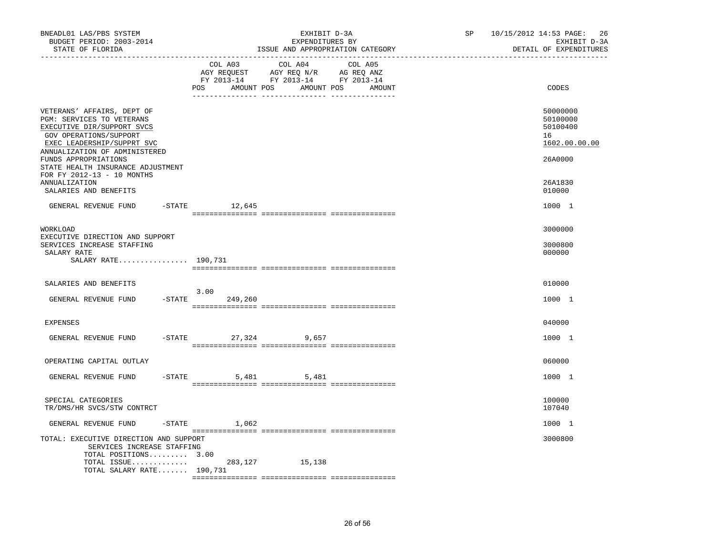| BNEADL01 LAS/PBS SYSTEM<br>BUDGET PERIOD: 2003-2014<br>STATE OF FLORIDA                                                                                                                                                                                                                                             |                     | EXHIBIT D-3A<br>EXPENDITURES BY                                                                                  | ISSUE AND APPROPRIATION CATEGORY | SP and the set of the set of the set of the set of the set of the set of the set of the set of the set of the set of the set of the set of the set of the set of the set of the set of the set of the set of the set of the se | 10/15/2012 14:53 PAGE:<br>26<br>EXHIBIT D-3A<br>DETAIL OF EXPENDITURES                  |
|---------------------------------------------------------------------------------------------------------------------------------------------------------------------------------------------------------------------------------------------------------------------------------------------------------------------|---------------------|------------------------------------------------------------------------------------------------------------------|----------------------------------|--------------------------------------------------------------------------------------------------------------------------------------------------------------------------------------------------------------------------------|-----------------------------------------------------------------------------------------|
|                                                                                                                                                                                                                                                                                                                     | COL A03<br>POS      | COL A04<br>NG REQUEST AGY REQ N/R AG REQ ANZ<br>FY 2013-14 FY 2013-14 FY 2013-14<br>AMOUNT POS AMOUNT POS AMOUNT | COL A05                          |                                                                                                                                                                                                                                | CODES                                                                                   |
| VETERANS' AFFAIRS, DEPT OF<br>PGM: SERVICES TO VETERANS<br>EXECUTIVE DIR/SUPPORT SVCS<br>GOV OPERATIONS/SUPPORT<br>EXEC LEADERSHIP/SUPPRT SVC<br>ANNUALIZATION OF ADMINISTERED<br>FUNDS APPROPRIATIONS<br>STATE HEALTH INSURANCE ADJUSTMENT<br>FOR FY 2012-13 - 10 MONTHS<br>ANNUALIZATION<br>SALARIES AND BENEFITS |                     |                                                                                                                  |                                  |                                                                                                                                                                                                                                | 50000000<br>50100000<br>50100400<br>16<br>1602.00.00.00<br>26A0000<br>26A1830<br>010000 |
| GENERAL REVENUE FUND -STATE 12,645                                                                                                                                                                                                                                                                                  |                     |                                                                                                                  |                                  |                                                                                                                                                                                                                                | 1000 1                                                                                  |
| WORKLOAD<br>EXECUTIVE DIRECTION AND SUPPORT<br>SERVICES INCREASE STAFFING<br>SALARY RATE<br>SALARY RATE 190,731                                                                                                                                                                                                     |                     |                                                                                                                  |                                  |                                                                                                                                                                                                                                | 3000000<br>3000800<br>000000                                                            |
| SALARIES AND BENEFITS                                                                                                                                                                                                                                                                                               | 3.00                |                                                                                                                  |                                  |                                                                                                                                                                                                                                | 010000                                                                                  |
| GENERAL REVENUE FUND                                                                                                                                                                                                                                                                                                | $-STATE$<br>249,260 |                                                                                                                  |                                  |                                                                                                                                                                                                                                | 1000 1                                                                                  |
| <b>EXPENSES</b>                                                                                                                                                                                                                                                                                                     |                     |                                                                                                                  |                                  |                                                                                                                                                                                                                                | 040000                                                                                  |
| GENERAL REVENUE FUND                                                                                                                                                                                                                                                                                                | -STATE 27,324 9,657 |                                                                                                                  |                                  |                                                                                                                                                                                                                                | 1000 1                                                                                  |
| OPERATING CAPITAL OUTLAY                                                                                                                                                                                                                                                                                            |                     |                                                                                                                  |                                  |                                                                                                                                                                                                                                | 060000                                                                                  |
| GENERAL REVENUE FUND                                                                                                                                                                                                                                                                                                | $-STATE$            | 5,481 5,481                                                                                                      |                                  |                                                                                                                                                                                                                                | 1000 1                                                                                  |
| SPECIAL CATEGORIES<br>TR/DMS/HR SVCS/STW CONTRCT                                                                                                                                                                                                                                                                    |                     |                                                                                                                  |                                  |                                                                                                                                                                                                                                | 100000<br>107040                                                                        |
| GENERAL REVENUE FUND                                                                                                                                                                                                                                                                                                | $-$ STATE $1,062$   |                                                                                                                  |                                  |                                                                                                                                                                                                                                | 1000 1                                                                                  |
| TOTAL: EXECUTIVE DIRECTION AND SUPPORT<br>SERVICES INCREASE STAFFING<br>TOTAL POSITIONS 3.00                                                                                                                                                                                                                        |                     |                                                                                                                  |                                  |                                                                                                                                                                                                                                | 3000800                                                                                 |
| TOTAL ISSUE<br>TOTAL SALARY RATE $190,731$                                                                                                                                                                                                                                                                          | 283,127             | 15,138                                                                                                           |                                  |                                                                                                                                                                                                                                |                                                                                         |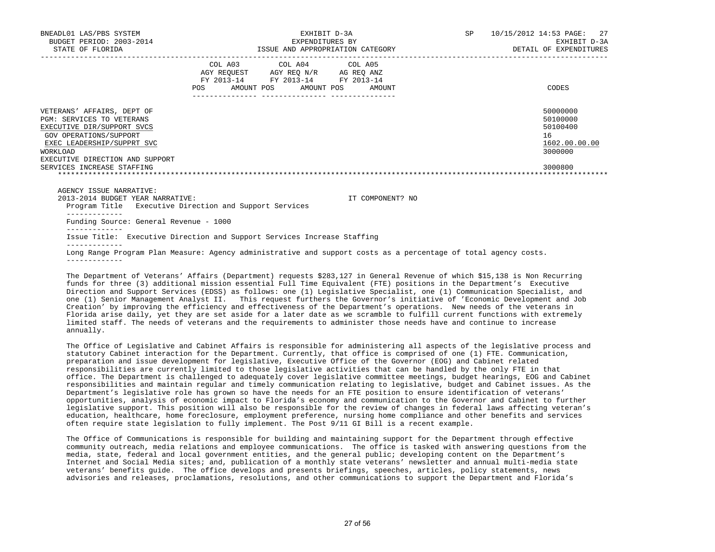| BNEADL01 LAS/PBS SYSTEM<br>BUDGET PERIOD: 2003-2014<br>STATE OF FLORIDA                                                                                                                             |                                                                                                                                                                                   | EXHIBIT D-3A<br>EXPENDITURES BY<br>ISSUE AND APPROPRIATION CATEGORY | SP 10/15/2012 14:53 PAGE: 27<br>EXHIBIT D-3A<br>DETAIL OF EXPENDITURES |
|-----------------------------------------------------------------------------------------------------------------------------------------------------------------------------------------------------|-----------------------------------------------------------------------------------------------------------------------------------------------------------------------------------|---------------------------------------------------------------------|------------------------------------------------------------------------|
|                                                                                                                                                                                                     | COL A03 COL A04 COL A05<br>$\begin{tabular}{llll} AGY & \texttt{REQUEST} & \texttt{AGY REQ} \texttt{N/R} & \texttt{AG REQ ANZ} \end{tabular}$<br>FY 2013-14 FY 2013-14 FY 2013-14 | POS AMOUNT POS AMOUNT POS AMOUNT                                    | CODES                                                                  |
| VETERANS' AFFAIRS, DEPT OF<br><b>PGM: SERVICES TO VETERANS</b><br>EXECUTIVE DIR/SUPPORT SVCS<br>GOV OPERATIONS/SUPPORT<br>EXEC LEADERSHIP/SUPPRT SVC<br>WORKLOAD<br>EXECUTIVE DIRECTION AND SUPPORT |                                                                                                                                                                                   |                                                                     | 50000000<br>50100000<br>50100400<br>16<br>1602.00.00.00<br>3000000     |
| SERVICES INCREASE STAFFING                                                                                                                                                                          |                                                                                                                                                                                   |                                                                     | 3000800                                                                |
| AGENCY ISSUE NARRATIVE:<br>2013-2014 BUDGET YEAR NARRATIVE:<br>Program Title Executive Direction and Support Services                                                                               |                                                                                                                                                                                   | IT COMPONENT? NO                                                    |                                                                        |
| ------------<br>Funding Source: General Revenue - 1000                                                                                                                                              |                                                                                                                                                                                   |                                                                     |                                                                        |
| Issue Title: Executive Direction and Support Services Increase Staffing                                                                                                                             |                                                                                                                                                                                   |                                                                     |                                                                        |
| Long Range Program Plan Measure: Agency administrative and support costs as a percentage of total agency costs.                                                                                     |                                                                                                                                                                                   |                                                                     |                                                                        |

 The Department of Veterans' Affairs (Department) requests \$283,127 in General Revenue of which \$15,138 is Non Recurring funds for three (3) additional mission essential Full Time Equivalent (FTE) positions in the Department's Executive Direction and Support Services (EDSS) as follows: one (1) Legislative Specialist, one (1) Communication Specialist, and one (1) Senior Management Analyst II. This request furthers the Governor's initiative of 'Economic Development and Job Creation' by improving the efficiency and effectiveness of the Department's operations. New needs of the veterans in Florida arise daily, yet they are set aside for a later date as we scramble to fulfill current functions with extremely limited staff. The needs of veterans and the requirements to administer those needs have and continue to increase annually.

 The Office of Legislative and Cabinet Affairs is responsible for administering all aspects of the legislative process and statutory Cabinet interaction for the Department. Currently, that office is comprised of one (1) FTE. Communication, preparation and issue development for legislative, Executive Office of the Governor (EOG) and Cabinet related responsibilities are currently limited to those legislative activities that can be handled by the only FTE in that office. The Department is challenged to adequately cover legislative committee meetings, budget hearings, EOG and Cabinet responsibilities and maintain regular and timely communication relating to legislative, budget and Cabinet issues. As the Department's legislative role has grown so have the needs for an FTE position to ensure identification of veterans' opportunities, analysis of economic impact to Florida's economy and communication to the Governor and Cabinet to further legislative support. This position will also be responsible for the review of changes in federal laws affecting veteran's education, healthcare, home foreclosure, employment preference, nursing home compliance and other benefits and services often require state legislation to fully implement. The Post 9/11 GI Bill is a recent example.

 The Office of Communications is responsible for building and maintaining support for the Department through effective community outreach, media relations and employee communications. The office is tasked with answering questions from the media, state, federal and local government entities, and the general public; developing content on the Department's Internet and Social Media sites; and, publication of a monthly state veterans' newsletter and annual multi-media state veterans' benefits guide. The office develops and presents briefings, speeches, articles, policy statements, news advisories and releases, proclamations, resolutions, and other communications to support the Department and Florida's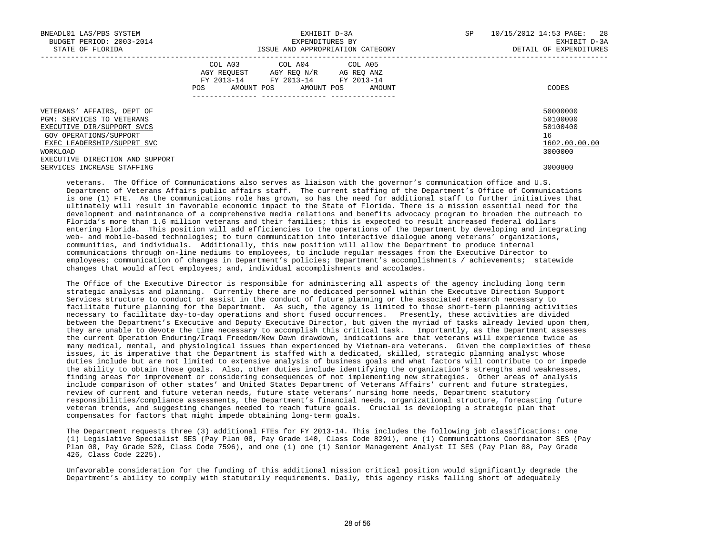| BNEADL01 LAS/PBS SYSTEM<br>BUDGET PERIOD: 2003-2014<br>STATE OF FLORIDA | EXHIBIT D-3A<br>EXPENDITURES BY<br>ISSUE AND APPROPRIATION CATEGORY                                                                               | 10/15/2012 14:53 PAGE: 28<br>SP<br>EXHIBIT D-3A<br>DETAIL OF EXPENDITURES |
|-------------------------------------------------------------------------|---------------------------------------------------------------------------------------------------------------------------------------------------|---------------------------------------------------------------------------|
|                                                                         | COL A03 COL A04 COL A05<br>AGY REOUEST<br>AGY REO N/R AG REO ANZ<br>FY 2013-14 FY 2013-14<br>FY 2013-14<br>POS<br>AMOUNT POS AMOUNT POS<br>AMOUNT | CODES                                                                     |
| VETERANS' AFFAIRS, DEPT OF<br>PGM: SERVICES TO VETERANS                 |                                                                                                                                                   | 50000000<br>50100000                                                      |
| EXECUTIVE DIR/SUPPORT SVCS<br>GOV OPERATIONS/SUPPORT                    |                                                                                                                                                   | 50100400<br>16                                                            |
| EXEC LEADERSHIP/SUPPRT SVC                                              |                                                                                                                                                   | 1602.00.00.00                                                             |
| WORKLOAD                                                                |                                                                                                                                                   | 3000000                                                                   |
| EXECUTIVE DIRECTION AND SUPPORT<br>SERVICES INCREASE STAFFING           |                                                                                                                                                   | 3000800                                                                   |
|                                                                         |                                                                                                                                                   |                                                                           |

 veterans. The Office of Communications also serves as liaison with the governor's communication office and U.S. Department of Veterans Affairs public affairs staff. The current staffing of the Department's Office of Communications is one (1) FTE. As the communications role has grown, so has the need for additional staff to further initiatives that ultimately will result in favorable economic impact to the State of Florida. There is a mission essential need for the development and maintenance of a comprehensive media relations and benefits advocacy program to broaden the outreach to Florida's more than 1.6 million veterans and their families; this is expected to result increased federal dollars entering Florida. This position will add efficiencies to the operations of the Department by developing and integrating web- and mobile-based technologies; to turn communication into interactive dialogue among veterans' organizations, communities, and individuals. Additionally, this new position will allow the Department to produce internal communications through on-line mediums to employees, to include regular messages from the Executive Director to employees; communication of changes in Department's policies; Department's accomplishments / achievements; statewide changes that would affect employees; and, individual accomplishments and accolades.

 The Office of the Executive Director is responsible for administering all aspects of the agency including long term strategic analysis and planning. Currently there are no dedicated personnel within the Executive Direction Support Services structure to conduct or assist in the conduct of future planning or the associated research necessary to facilitate future planning for the Department. As such, the agency is limited to those short-term planning activities necessary to facilitate day-to-day operations and short fused occurrences. Presently, these activities are divided between the Department's Executive and Deputy Executive Director, but given the myriad of tasks already levied upon them, they are unable to devote the time necessary to accomplish this critical task. Importantly, as the Department assesses the current Operation Enduring/Iraqi Freedom/New Dawn drawdown, indications are that veterans will experience twice as many medical, mental, and physiological issues than experienced by Vietnam-era veterans. Given the complexities of these issues, it is imperative that the Department is staffed with a dedicated, skilled, strategic planning analyst whose duties include but are not limited to extensive analysis of business goals and what factors will contribute to or impede the ability to obtain those goals. Also, other duties include identifying the organization's strengths and weaknesses, finding areas for improvement or considering consequences of not implementing new strategies. Other areas of analysis include comparison of other states' and United States Department of Veterans Affairs' current and future strategies, review of current and future veteran needs, future state veterans' nursing home needs, Department statutory responsibilities/compliance assessments, the Department's financial needs, organizational structure, forecasting future veteran trends, and suggesting changes needed to reach future goals. Crucial is developing a strategic plan that compensates for factors that might impede obtaining long-term goals.

 The Department requests three (3) additional FTEs for FY 2013-14. This includes the following job classifications: one (1) Legislative Specialist SES (Pay Plan 08, Pay Grade 140, Class Code 8291), one (1) Communications Coordinator SES (Pay Plan 08, Pay Grade 520, Class Code 7596), and one (1) one (1) Senior Management Analyst II SES (Pay Plan 08, Pay Grade 426, Class Code 2225).

 Unfavorable consideration for the funding of this additional mission critical position would significantly degrade the Department's ability to comply with statutorily requirements. Daily, this agency risks falling short of adequately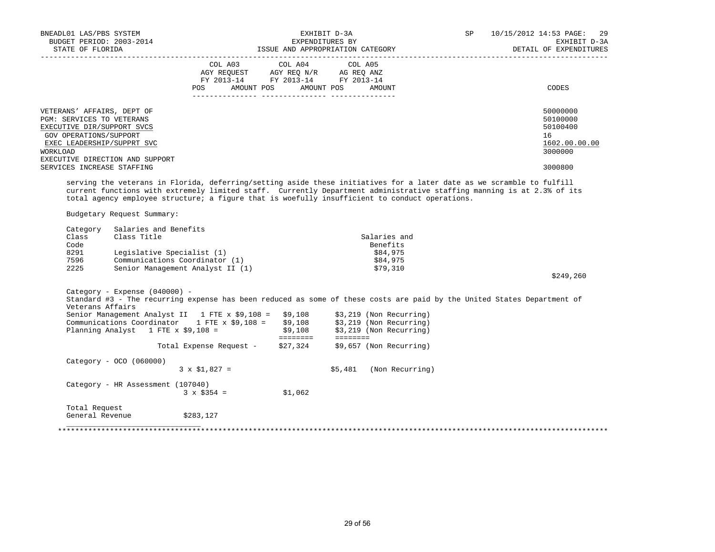| BUDGET PERIOD: 2003-2014<br>STATE OF FLORIDA                                                                                                                                                                               | BNEADL01 LAS/PBS SYSTEM                                                                              |                                                                                                                                                                                                                                                                                                                           | EXPENDITURES BY<br>ISSUE AND APPROPRIATION CATEGORY | EXHIBIT D-3A |                                                                                                                                                                                                                                                 | SP | 10/15/2012 14:53 PAGE: 29<br>EXHIBIT D-3A<br>DETAIL OF EXPENDITURES           |
|----------------------------------------------------------------------------------------------------------------------------------------------------------------------------------------------------------------------------|------------------------------------------------------------------------------------------------------|---------------------------------------------------------------------------------------------------------------------------------------------------------------------------------------------------------------------------------------------------------------------------------------------------------------------------|-----------------------------------------------------|--------------|-------------------------------------------------------------------------------------------------------------------------------------------------------------------------------------------------------------------------------------------------|----|-------------------------------------------------------------------------------|
|                                                                                                                                                                                                                            |                                                                                                      | $\begin{array}{ccccccccc}\n\text{AGY REQUEST} & & \text{GUT} & \text{AGY REQ} & \text{N/R} & & \text{GCEQ} & \text{ANZ} \\ \text{AGY REQUEST} & & \text{AGY REQ} & \text{N/R} & & \text{AG REQ} & \text{ANZ} \\ \text{FY} & 2013-14 & & \text{FY} & 2013-14 & & \text{FY} & 2013-14\n\end{array}$<br>AMOUNT POS<br>POS DO | COL A03 COL A04 COL A05                             | AMOUNT POS   | AMOUNT                                                                                                                                                                                                                                          |    | CODES                                                                         |
| VETERANS' AFFAIRS, DEPT OF<br>PGM: SERVICES TO VETERANS<br>EXECUTIVE DIR/SUPPORT SVCS<br>GOV OPERATIONS/SUPPORT<br>EXEC LEADERSHIP/SUPPRT SVC<br>WORKLOAD<br>EXECUTIVE DIRECTION AND SUPPORT<br>SERVICES INCREASE STAFFING |                                                                                                      |                                                                                                                                                                                                                                                                                                                           |                                                     |              |                                                                                                                                                                                                                                                 |    | 50000000<br>50100000<br>50100400<br>16<br>1602.00.00.00<br>3000000<br>3000800 |
|                                                                                                                                                                                                                            |                                                                                                      |                                                                                                                                                                                                                                                                                                                           |                                                     |              | serving the veterans in Florida, deferring/setting aside these initiatives for a later date as we scramble to fulfill<br>current functions with extremely limited staff. Currently Department administrative staffing manning is at 2.3% of its |    |                                                                               |
| Budgetary Request Summary:                                                                                                                                                                                                 |                                                                                                      |                                                                                                                                                                                                                                                                                                                           |                                                     |              | total agency employee structure; a figure that is woefully insufficient to conduct operations.                                                                                                                                                  |    |                                                                               |
|                                                                                                                                                                                                                            |                                                                                                      |                                                                                                                                                                                                                                                                                                                           |                                                     |              |                                                                                                                                                                                                                                                 |    |                                                                               |
| Category<br>Class<br>Code<br>8291<br>7596                                                                                                                                                                                  | Salaries and Benefits<br>Class Title<br>Legislative Specialist (1)<br>Communications Coordinator (1) |                                                                                                                                                                                                                                                                                                                           |                                                     |              | Salaries and<br>Benefits<br>\$84,975<br>\$84,975                                                                                                                                                                                                |    |                                                                               |
| 2225                                                                                                                                                                                                                       | Senior Management Analyst II (1)                                                                     |                                                                                                                                                                                                                                                                                                                           |                                                     |              | \$79,310                                                                                                                                                                                                                                        |    | \$249,260                                                                     |
| Category - Expense (040000) -<br>Veterans Affairs                                                                                                                                                                          |                                                                                                      | Senior Management Analyst II 1 FTE x $$9,108 = $9,108$ \$3,219 (Non Recurring)<br>Communications Coordinator 1 FTE x \$9,108 = \$9,108 \$3,219 (Non Recurring)                                                                                                                                                            |                                                     |              | Standard #3 - The recurring expense has been reduced as some of these costs are paid by the United States Department of                                                                                                                         |    |                                                                               |
|                                                                                                                                                                                                                            |                                                                                                      | Planning Analyst 1 FTE x $\frac{29}{108}$ = $\frac{29}{108}$ $\frac{219}{108}$ (Non Recurring)<br>Total Expense Request - \$27,324                                                                                                                                                                                        |                                                     |              | \$9,657 (Non Recurring)                                                                                                                                                                                                                         |    |                                                                               |
| $Category - OCO (060000)$                                                                                                                                                                                                  |                                                                                                      | $3 \times \$1,827 =$                                                                                                                                                                                                                                                                                                      |                                                     |              | $$5,481$ (Non Recurring)                                                                                                                                                                                                                        |    |                                                                               |
|                                                                                                                                                                                                                            | Category - HR Assessment (107040)                                                                    | $3 \times $354 =$                                                                                                                                                                                                                                                                                                         | \$1,062                                             |              |                                                                                                                                                                                                                                                 |    |                                                                               |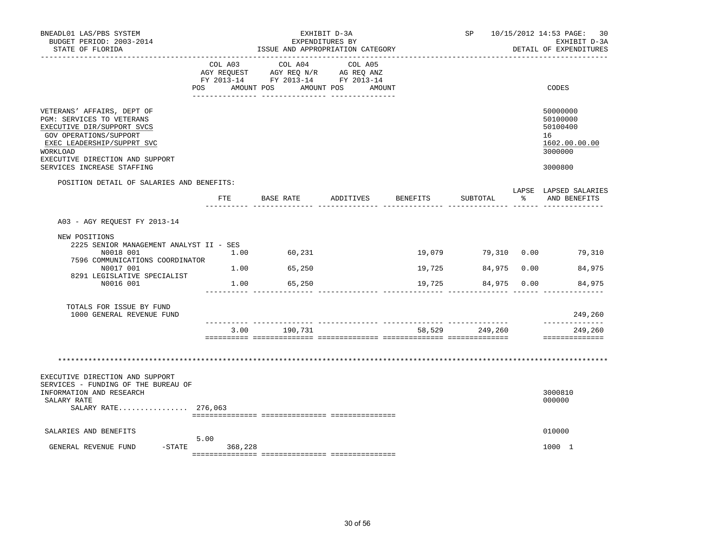| BNEADL01 LAS/PBS SYSTEM<br>BUDGET PERIOD: 2003-2014<br>STATE OF FLORIDA<br>___________________                                                                                                                             |                    | EXPENDITURES BY<br>ISSUE AND APPROPRIATION CATEGORY       | EXHIBIT D-3A                    |                            |                            |               | SP 10/15/2012 14:53 PAGE: 30<br>EXHIBIT D-3A<br>DETAIL OF EXPENDITURES        |
|----------------------------------------------------------------------------------------------------------------------------------------------------------------------------------------------------------------------------|--------------------|-----------------------------------------------------------|---------------------------------|----------------------------|----------------------------|---------------|-------------------------------------------------------------------------------|
|                                                                                                                                                                                                                            | COL A03<br>POS FOR | COL A04<br>FY 2013-14 FY 2013-14 FY 2013-14<br>AMOUNT POS | COL A05<br>AMOUNT POS<br>AMOUNT |                            |                            |               | CODES                                                                         |
| VETERANS' AFFAIRS, DEPT OF<br>PGM: SERVICES TO VETERANS<br>EXECUTIVE DIR/SUPPORT SVCS<br>GOV OPERATIONS/SUPPORT<br>EXEC LEADERSHIP/SUPPRT SVC<br>WORKLOAD<br>EXECUTIVE DIRECTION AND SUPPORT<br>SERVICES INCREASE STAFFING |                    |                                                           |                                 |                            |                            |               | 50000000<br>50100000<br>50100400<br>16<br>1602.00.00.00<br>3000000<br>3000800 |
| POSITION DETAIL OF SALARIES AND BENEFITS:                                                                                                                                                                                  | ETE                | BASE RATE                                                 | ADDITIVES                       | BENEFITS                   | SUBTOTAL                   | $\frac{1}{6}$ | LAPSE LAPSED SALARIES<br>AND BENEFITS                                         |
| A03 - AGY REOUEST FY 2013-14<br>NEW POSITIONS<br>2225 SENIOR MANAGEMENT ANALYST II - SES<br>N0018 001<br>7596 COMMUNICATIONS COORDINATOR<br>N0017 001<br>8291 LEGISLATIVE SPECIALIST<br>N0016 001                          | 1.00               | 60,231<br>1.00 65,250<br>1.00 65,250                      |                                 | 19,079<br>19,725<br>19,725 | 84,975 0.00<br>84,975 0.00 |               | 79,310  0.00  79,310<br>84,975<br>84,975                                      |
| TOTALS FOR ISSUE BY FUND<br>1000 GENERAL REVENUE FUND                                                                                                                                                                      |                    |                                                           | --------------- ---------       |                            |                            |               | 249,260                                                                       |
|                                                                                                                                                                                                                            | 3.00               | 190,731                                                   |                                 | 58,529                     | 249,260                    |               | 249,260<br>==============                                                     |
| EXECUTIVE DIRECTION AND SUPPORT<br>SERVICES - FUNDING OF THE BUREAU OF                                                                                                                                                     |                    |                                                           |                                 |                            |                            |               |                                                                               |
| INFORMATION AND RESEARCH<br>SALARY RATE<br>SALARY RATE 276,063                                                                                                                                                             |                    |                                                           |                                 |                            |                            |               | 3000810<br>000000                                                             |
| SALARIES AND BENEFITS                                                                                                                                                                                                      | 5.00               |                                                           |                                 |                            |                            |               | 010000                                                                        |
| $-$ STATE<br>GENERAL REVENUE FUND                                                                                                                                                                                          | 368,228            |                                                           |                                 |                            |                            |               | 1000 1                                                                        |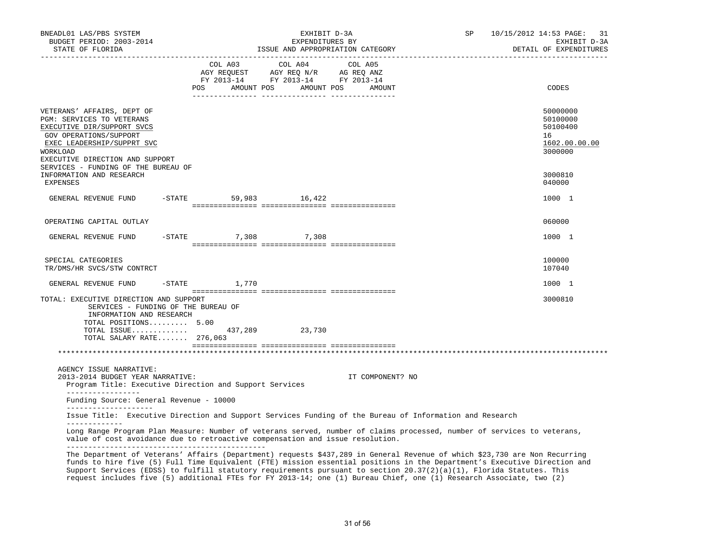| BNEADL01 LAS/PBS SYSTEM<br>BUDGET PERIOD: 2003-2014<br>STATE OF FLORIDA                                                                                                                                                                                                                                                                                                                                                                                                                                |           | EXHIBIT D-3A<br>EXPENDITURES BY<br>ISSUE AND APPROPRIATION CATEGORY |                                                                                                                                                                                                                                              |  |         |  | SP                | 10/15/2012 14:53 PAGE: 31<br>EXHIBIT D-3A<br>DETAIL OF EXPENDITURES |                                                                    |
|--------------------------------------------------------------------------------------------------------------------------------------------------------------------------------------------------------------------------------------------------------------------------------------------------------------------------------------------------------------------------------------------------------------------------------------------------------------------------------------------------------|-----------|---------------------------------------------------------------------|----------------------------------------------------------------------------------------------------------------------------------------------------------------------------------------------------------------------------------------------|--|---------|--|-------------------|---------------------------------------------------------------------|--------------------------------------------------------------------|
|                                                                                                                                                                                                                                                                                                                                                                                                                                                                                                        |           |                                                                     | COL A03<br>$\begin{tabular}{lllllll} \bf AGY \,\,\, REQUEST \,\,\, & \bf AGY \,\, REQ \,\, N/R & \,\, AC \,\, REQ \,\, ANZ \\ \bf FY \,\, 2013-14 & \bf FY \,\, 2013-14 & \bf FY \,\, 2013-14 \\ \end{tabular}$<br>POS AMOUNT POS AMOUNT POS |  | COL A04 |  | COL A05<br>AMOUNT |                                                                     | CODES                                                              |
| VETERANS' AFFAIRS, DEPT OF<br>PGM: SERVICES TO VETERANS<br>EXECUTIVE DIR/SUPPORT SVCS<br>GOV OPERATIONS/SUPPORT<br>EXEC LEADERSHIP/SUPPRT SVC<br>WORKLOAD<br>EXECUTIVE DIRECTION AND SUPPORT                                                                                                                                                                                                                                                                                                           |           |                                                                     |                                                                                                                                                                                                                                              |  |         |  |                   |                                                                     | 50000000<br>50100000<br>50100400<br>16<br>1602.00.00.00<br>3000000 |
| SERVICES - FUNDING OF THE BUREAU OF<br>INFORMATION AND RESEARCH<br>EXPENSES                                                                                                                                                                                                                                                                                                                                                                                                                            |           |                                                                     |                                                                                                                                                                                                                                              |  |         |  |                   |                                                                     | 3000810<br>040000                                                  |
| GENERAL REVENUE FUND                                                                                                                                                                                                                                                                                                                                                                                                                                                                                   |           | $-STATE$                                                            | 59,983                                                                                                                                                                                                                                       |  | 16,422  |  |                   |                                                                     | 1000 1                                                             |
| OPERATING CAPITAL OUTLAY                                                                                                                                                                                                                                                                                                                                                                                                                                                                               |           |                                                                     |                                                                                                                                                                                                                                              |  |         |  |                   |                                                                     | 060000                                                             |
| GENERAL REVENUE FUND                                                                                                                                                                                                                                                                                                                                                                                                                                                                                   | $-$ STATE |                                                                     | 7,308                                                                                                                                                                                                                                        |  | 7,308   |  |                   |                                                                     | 1000 1                                                             |
| SPECIAL CATEGORIES<br>TR/DMS/HR SVCS/STW CONTRCT                                                                                                                                                                                                                                                                                                                                                                                                                                                       |           |                                                                     |                                                                                                                                                                                                                                              |  |         |  |                   |                                                                     | 100000<br>107040                                                   |
| GENERAL REVENUE FUND                                                                                                                                                                                                                                                                                                                                                                                                                                                                                   | -STATE    |                                                                     | 1,770                                                                                                                                                                                                                                        |  |         |  |                   |                                                                     | 1000 1                                                             |
| TOTAL: EXECUTIVE DIRECTION AND SUPPORT<br>SERVICES - FUNDING OF THE BUREAU OF<br>INFORMATION AND RESEARCH<br>TOTAL POSITIONS 5.00<br>TOTAL ISSUE<br>TOTAL SALARY RATE 276,063                                                                                                                                                                                                                                                                                                                          |           |                                                                     | 437,289                                                                                                                                                                                                                                      |  | 23,730  |  |                   |                                                                     | 3000810                                                            |
|                                                                                                                                                                                                                                                                                                                                                                                                                                                                                                        |           |                                                                     |                                                                                                                                                                                                                                              |  |         |  |                   |                                                                     |                                                                    |
| AGENCY ISSUE NARRATIVE:<br>2013-2014 BUDGET YEAR NARRATIVE:<br>Program Title: Executive Direction and Support Services                                                                                                                                                                                                                                                                                                                                                                                 |           |                                                                     |                                                                                                                                                                                                                                              |  |         |  | IT COMPONENT? NO  |                                                                     |                                                                    |
| _________________<br>Funding Source: General Revenue - 10000<br>_____________________                                                                                                                                                                                                                                                                                                                                                                                                                  |           |                                                                     |                                                                                                                                                                                                                                              |  |         |  |                   |                                                                     |                                                                    |
| Issue Title: Executive Direction and Support Services Funding of the Bureau of Information and Research                                                                                                                                                                                                                                                                                                                                                                                                |           |                                                                     |                                                                                                                                                                                                                                              |  |         |  |                   |                                                                     |                                                                    |
| Long Range Program Plan Measure: Number of veterans served, number of claims processed, number of services to veterans,<br>value of cost avoidance due to retroactive compensation and issue resolution.                                                                                                                                                                                                                                                                                               |           |                                                                     |                                                                                                                                                                                                                                              |  |         |  |                   |                                                                     |                                                                    |
| The Department of Veterans' Affairs (Department) requests \$437,289 in General Revenue of which \$23,730 are Non Recurring<br>funds to hire five (5) Full Time Equivalent (FTE) mission essential positions in the Department's Executive Direction and<br>Support Services (EDSS) to fulfill statutory requirements pursuant to section 20.37(2)(a)(1), Florida Statutes. This<br>request includes five (5) additional FTEs for FY 2013-14; one (1) Bureau Chief, one (1) Research Associate, two (2) |           |                                                                     |                                                                                                                                                                                                                                              |  |         |  |                   |                                                                     |                                                                    |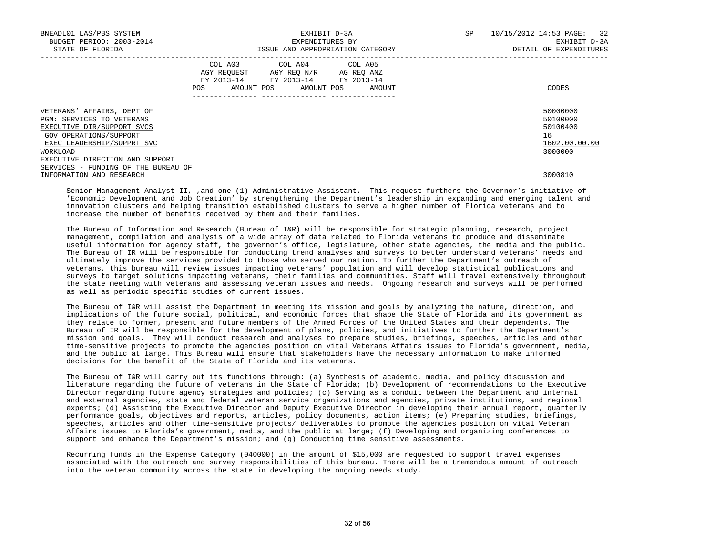| BNEADL01 LAS/PBS SYSTEM<br>BUDGET PERIOD: 2003-2014<br>STATE OF FLORIDA                            | EXHIBIT D-3A<br>EXPENDITURES BY<br>ISSUE AND APPROPRIATION CATEGORY |  |                                                                                                                 |            |        | SP | 10/15/2012 14:53 PAGE: 32<br>EXHIBIT D-3A<br>DETAIL OF EXPENDITURES |
|----------------------------------------------------------------------------------------------------|---------------------------------------------------------------------|--|-----------------------------------------------------------------------------------------------------------------|------------|--------|----|---------------------------------------------------------------------|
|                                                                                                    | POS                                                                 |  | COL A03 COL A04 COL A05<br>AGY REOUEST AGY REO N/R<br>FY 2013-14 FY 2013-14 FY 2013-14<br>AMOUNT POS AMOUNT POS | AG REQ ANZ | AMOUNT |    | CODES                                                               |
| VETERANS' AFFAIRS, DEPT OF<br>PGM: SERVICES TO VETERANS<br>EXECUTIVE DIR/SUPPORT SVCS              |                                                                     |  |                                                                                                                 |            |        |    | 50000000<br>50100000<br>50100400                                    |
| GOV OPERATIONS/SUPPORT<br>EXEC LEADERSHIP/SUPPRT SVC<br>WORKLOAD                                   |                                                                     |  |                                                                                                                 |            |        |    | 16<br>1602.00.00.00<br>3000000                                      |
| EXECUTIVE DIRECTION AND SUPPORT<br>SERVICES - FUNDING OF THE BUREAU OF<br>INFORMATION AND RESEARCH |                                                                     |  |                                                                                                                 |            |        |    | 3000810                                                             |

 Senior Management Analyst II, ,and one (1) Administrative Assistant. This request furthers the Governor's initiative of 'Economic Development and Job Creation' by strengthening the Department's leadership in expanding and emerging talent and innovation clusters and helping transition established clusters to serve a higher number of Florida veterans and to increase the number of benefits received by them and their families.

 The Bureau of Information and Research (Bureau of I&R) will be responsible for strategic planning, research, project management, compilation and analysis of a wide array of data related to Florida veterans to produce and disseminate useful information for agency staff, the governor's office, legislature, other state agencies, the media and the public. The Bureau of IR will be responsible for conducting trend analyses and surveys to better understand veterans' needs and ultimately improve the services provided to those who served our nation. To further the Department's outreach of veterans, this bureau will review issues impacting veterans' population and will develop statistical publications and surveys to target solutions impacting veterans, their families and communities. Staff will travel extensively throughout the state meeting with veterans and assessing veteran issues and needs. Ongoing research and surveys will be performed as well as periodic specific studies of current issues.

 The Bureau of I&R will assist the Department in meeting its mission and goals by analyzing the nature, direction, and implications of the future social, political, and economic forces that shape the State of Florida and its government as they relate to former, present and future members of the Armed Forces of the United States and their dependents. The Bureau of IR will be responsible for the development of plans, policies, and initiatives to further the Department's mission and goals. They will conduct research and analyses to prepare studies, briefings, speeches, articles and other time-sensitive projects to promote the agencies position on vital Veterans Affairs issues to Florida's government, media, and the public at large. This Bureau will ensure that stakeholders have the necessary information to make informed decisions for the benefit of the State of Florida and its veterans.

 The Bureau of I&R will carry out its functions through: (a) Synthesis of academic, media, and policy discussion and literature regarding the future of veterans in the State of Florida; (b) Development of recommendations to the Executive Director regarding future agency strategies and policies; (c) Serving as a conduit between the Department and internal and external agencies, state and federal veteran service organizations and agencies, private institutions, and regional experts; (d) Assisting the Executive Director and Deputy Executive Director in developing their annual report, quarterly performance goals, objectives and reports, articles, policy documents, action items; (e) Preparing studies, briefings, speeches, articles and other time-sensitive projects/ deliverables to promote the agencies position on vital Veteran Affairs issues to Florida's government, media, and the public at large; (f) Developing and organizing conferences to support and enhance the Department's mission; and (g) Conducting time sensitive assessments.

 Recurring funds in the Expense Category (040000) in the amount of \$15,000 are requested to support travel expenses associated with the outreach and survey responsibilities of this bureau. There will be a tremendous amount of outreach into the veteran community across the state in developing the ongoing needs study.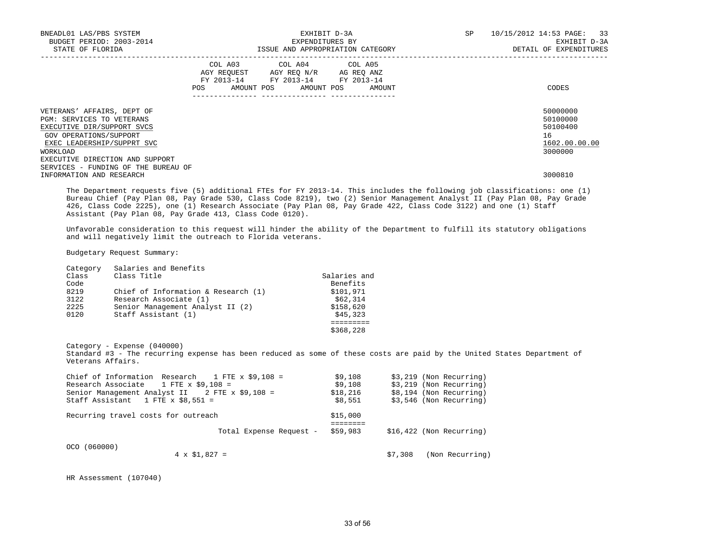| BNEADL01 LAS/PBS SYSTEM<br>BUDGET PERIOD: 2003-2014<br>STATE OF FLORIDA                                                                                                                                                                                         | EXHIBIT D-3A<br>EXPENDITURES BY<br>ISSUE AND APPROPRIATION CATEGORY                                                                                             | 10/15/2012 14:53 PAGE: 33<br>SP<br>EXHIBIT D-3A<br>DETAIL OF EXPENDITURES     |
|-----------------------------------------------------------------------------------------------------------------------------------------------------------------------------------------------------------------------------------------------------------------|-----------------------------------------------------------------------------------------------------------------------------------------------------------------|-------------------------------------------------------------------------------|
|                                                                                                                                                                                                                                                                 | COL A03 COL A04 COL A05<br>AGY REOUEST AGY REO N/R AG REO ANZ<br>FY 2013-14 FY 2013-14 FY 2013-14<br>AMOUNT POS AMOUNT POS<br>POS<br>AMOUNT<br>---------------- | CODES                                                                         |
| VETERANS' AFFAIRS, DEPT OF<br>PGM: SERVICES TO VETERANS<br>EXECUTIVE DIR/SUPPORT SVCS<br>GOV OPERATIONS/SUPPORT<br>EXEC LEADERSHIP/SUPPRT SVC<br>WORKLOAD<br>EXECUTIVE DIRECTION AND SUPPORT<br>SERVICES - FUNDING OF THE BUREAU OF<br>INFORMATION AND RESEARCH |                                                                                                                                                                 | 50000000<br>50100000<br>50100400<br>16<br>1602.00.00.00<br>3000000<br>3000810 |

 The Department requests five (5) additional FTEs for FY 2013-14. This includes the following job classifications: one (1) Bureau Chief (Pay Plan 08, Pay Grade 530, Class Code 8219), two (2) Senior Management Analyst II (Pay Plan 08, Pay Grade 426, Class Code 2225), one (1) Research Associate (Pay Plan 08, Pay Grade 422, Class Code 3122) and one (1) Staff Assistant (Pay Plan 08, Pay Grade 413, Class Code 0120).

 Unfavorable consideration to this request will hinder the ability of the Department to fulfill its statutory obligations and will negatively limit the outreach to Florida veterans.

Budgetary Request Summary:

| Category<br>Class<br>Code<br>8219<br>3122 | Salaries and Benefits<br>Class Title<br>Chief of Information & Research $(1)$<br>Research Associate (1) | Salaries and<br>Benefits<br>\$101,971<br>\$62,314 |
|-------------------------------------------|---------------------------------------------------------------------------------------------------------|---------------------------------------------------|
| 2225                                      | Senior Management Analyst II (2)                                                                        | \$158,620                                         |
| 0120                                      | Staff Assistant (1)                                                                                     | \$45,323                                          |
|                                           |                                                                                                         |                                                   |

 $$368,228$ 

 Category - Expense (040000) Standard #3 - The recurring expense has been reduced as some of these costs are paid by the United States Department of Veterans Affairs.

| Chief of Information Research $1$ FTE x \$9.108 = | \$9,108  | $$3,219$ (Non Recurring)   |
|---------------------------------------------------|----------|----------------------------|
| Research Associate $1$ FTE x \$9,108 =            | \$9,108  | \$3,219 (Non Recurring)    |
| Senior Management Analyst II 2 FTE x \$9,108 =    | \$18,216 | \$8,194 (Non Recurring)    |
| Staff Assistant 1 FTE x $$8.551 =$                | \$8,551  | \$3,546 (Non Recurring)    |
| Recurring travel costs for outreach               | \$15,000 |                            |
|                                                   | -------- |                            |
| Total Expense Request -                           | \$59,983 | $$16,422$ (Non Recurring)  |
| OCO (060000)                                      |          |                            |
| $4 \times \$1,827 =$                              |          | (Non Recurring)<br>\$7,308 |

HR Assessment (107040)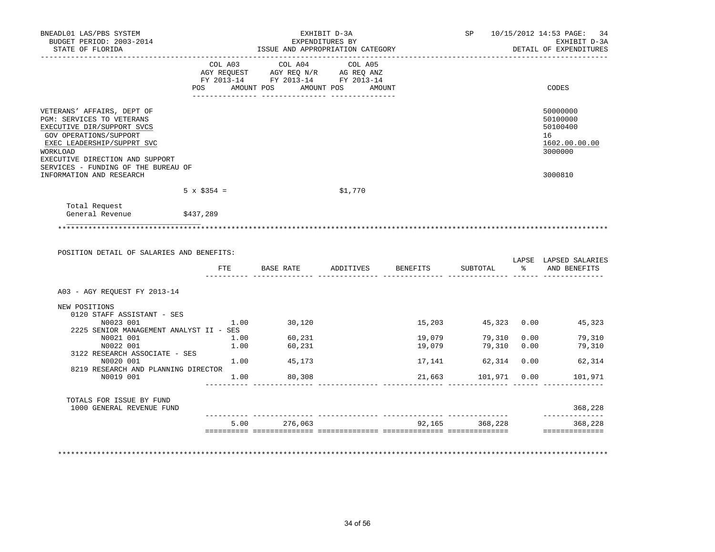| BNEADL01 LAS/PBS SYSTEM<br>BUDGET PERIOD: 2003-2014<br>STATE OF FLORIDA                                                                                                                                                             |                    |                                                                                   | EXHIBIT D-3A<br>EXPENDITURES BY<br>ISSUE AND APPROPRIATION CATEGORY |                  | SP<br>10/15/2012 14:53 PAGE:<br>EXHIBIT D-3A<br>DETAIL OF EXPENDITURES |              |                                                                    |  |
|-------------------------------------------------------------------------------------------------------------------------------------------------------------------------------------------------------------------------------------|--------------------|-----------------------------------------------------------------------------------|---------------------------------------------------------------------|------------------|------------------------------------------------------------------------|--------------|--------------------------------------------------------------------|--|
|                                                                                                                                                                                                                                     | COL A03            | COL A04<br>AGY REQUEST AGY REQ N/R AG REQ ANZ<br>FY 2013-14 FY 2013-14 FY 2013-14 | COL A05<br>POS AMOUNT POS AMOUNT POS AMOUNT                         |                  |                                                                        |              | CODES                                                              |  |
| VETERANS' AFFAIRS, DEPT OF<br>PGM: SERVICES TO VETERANS<br>EXECUTIVE DIR/SUPPORT SVCS<br>GOV OPERATIONS/SUPPORT<br>EXEC LEADERSHIP/SUPPRT SVC<br>WORKLOAD<br>EXECUTIVE DIRECTION AND SUPPORT<br>SERVICES - FUNDING OF THE BUREAU OF |                    |                                                                                   |                                                                     |                  |                                                                        |              | 50000000<br>50100000<br>50100400<br>16<br>1602.00.00.00<br>3000000 |  |
| INFORMATION AND RESEARCH                                                                                                                                                                                                            |                    |                                                                                   |                                                                     |                  |                                                                        |              | 3000810                                                            |  |
|                                                                                                                                                                                                                                     | $5 \times \$354 =$ |                                                                                   | \$1,770                                                             |                  |                                                                        |              |                                                                    |  |
| Total Request<br>General Revenue                                                                                                                                                                                                    | \$437,289          |                                                                                   |                                                                     |                  |                                                                        |              |                                                                    |  |
|                                                                                                                                                                                                                                     |                    |                                                                                   |                                                                     |                  |                                                                        |              |                                                                    |  |
| POSITION DETAIL OF SALARIES AND BENEFITS:                                                                                                                                                                                           | FTE                |                                                                                   | BASE RATE ADDITIVES                                                 | BENEFITS         | SUBTOTAL                                                               | $\mathbb{R}$ | AND BENEFITS                                                       |  |
| A03 - AGY REQUEST FY 2013-14                                                                                                                                                                                                        |                    |                                                                                   |                                                                     |                  |                                                                        |              |                                                                    |  |
| NEW POSITIONS<br>0120 STAFF ASSISTANT - SES<br>N0023 001                                                                                                                                                                            | 1.00               | 30,120                                                                            |                                                                     |                  |                                                                        |              | LAPSE LAPSED SALARIES<br>15,203 45,323 0.00 45,323                 |  |
| 2225 SENIOR MANAGEMENT ANALYST II - SES                                                                                                                                                                                             |                    |                                                                                   |                                                                     |                  |                                                                        |              |                                                                    |  |
| N0021 001<br>N0022 001                                                                                                                                                                                                              | 1.00<br>1.00       | 60,231<br>60,231                                                                  |                                                                     | 19,079<br>19,079 | 79,310  0.00<br>79,310 0.00                                            |              | 79,310<br>79,310                                                   |  |
| 3122 RESEARCH ASSOCIATE - SES<br>N0020 001                                                                                                                                                                                          |                    | $1.00$ 45,173                                                                     |                                                                     |                  | 17,141 62,314 0.00                                                     |              | 62,314                                                             |  |
| 8219 RESEARCH AND PLANNING DIRECTOR<br>N0019 001                                                                                                                                                                                    |                    | 1.00 80,308                                                                       |                                                                     | 21,663           | 101,971 0.00                                                           |              | 101,971                                                            |  |
|                                                                                                                                                                                                                                     |                    |                                                                                   |                                                                     |                  |                                                                        |              |                                                                    |  |
| TOTALS FOR ISSUE BY FUND<br>1000 GENERAL REVENUE FUND                                                                                                                                                                               |                    |                                                                                   |                                                                     |                  |                                                                        |              | 368,228                                                            |  |
|                                                                                                                                                                                                                                     |                    | 5.00 276,063                                                                      |                                                                     |                  | 92,165 368,228                                                         |              | . _ _ _ _ _ _ _ _ _ _ _<br>368,228                                 |  |

34 of 56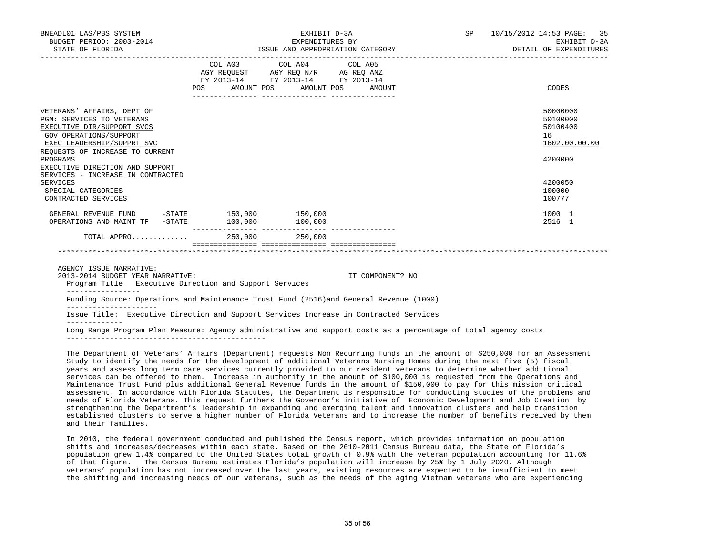| BNEADL01 LAS/PBS SYSTEM<br>BUDGET PERIOD: 2003-2014<br>STATE OF FLORIDA                                                                                                                                                                                              |                                  | EXHIBIT D-3A<br>EXPENDITURES BY                                                                   | ISSUE AND APPROPRIATION CATEGORY | SP and the set of the set of the set of the set of the set of the set of the set of the set of the set of the set of the set of the set of the set of the set of the set of the set of the set of the set of the set of the se | 10/15/2012 14:53 PAGE: 35<br>EXHIBIT D-3A<br>DETAIL OF EXPENDITURES |
|----------------------------------------------------------------------------------------------------------------------------------------------------------------------------------------------------------------------------------------------------------------------|----------------------------------|---------------------------------------------------------------------------------------------------|----------------------------------|--------------------------------------------------------------------------------------------------------------------------------------------------------------------------------------------------------------------------------|---------------------------------------------------------------------|
|                                                                                                                                                                                                                                                                      | POS AMOUNT POS AMOUNT POS AMOUNT | COL A03 COL A04 COL A05<br>AGY REQUEST AGY REQ N/R AG REQ ANZ<br>FY 2013-14 FY 2013-14 FY 2013-14 |                                  |                                                                                                                                                                                                                                | CODES                                                               |
| VETERANS' AFFAIRS, DEPT OF<br>PGM: SERVICES TO VETERANS<br>EXECUTIVE DIR/SUPPORT SVCS<br>GOV OPERATIONS/SUPPORT<br>EXEC LEADERSHIP/SUPPRT SVC<br>REOUESTS OF INCREASE TO CURRENT<br>PROGRAMS<br>EXECUTIVE DIRECTION AND SUPPORT<br>SERVICES - INCREASE IN CONTRACTED |                                  |                                                                                                   |                                  |                                                                                                                                                                                                                                | 50000000<br>50100000<br>50100400<br>16<br>1602.00.00.00<br>4200000  |
| <b>SERVICES</b><br>SPECIAL CATEGORIES<br>CONTRACTED SERVICES                                                                                                                                                                                                         |                                  |                                                                                                   |                                  |                                                                                                                                                                                                                                | 4200050<br>100000<br>100777                                         |
| GENERAL REVENUE FUND -STATE 150,000 150,000<br>OPERATIONS AND MAINT TF -STATE                                                                                                                                                                                        | 100,000                          | 100,000                                                                                           |                                  |                                                                                                                                                                                                                                | 1000 1<br>2516 1                                                    |
| TOTAL APPRO 250,000 250,000                                                                                                                                                                                                                                          |                                  |                                                                                                   |                                  |                                                                                                                                                                                                                                |                                                                     |
|                                                                                                                                                                                                                                                                      |                                  |                                                                                                   |                                  |                                                                                                                                                                                                                                |                                                                     |
| AGENCY ISSUE NARRATIVE:<br>2013-2014 BUDGET YEAR NARRATIVE:<br>Program Title Executive Direction and Support Services                                                                                                                                                |                                  |                                                                                                   | IT COMPONENT? NO                 |                                                                                                                                                                                                                                |                                                                     |
| Funding Source: Operations and Maintenance Trust Fund (2516) and General Revenue (1000)                                                                                                                                                                              |                                  |                                                                                                   |                                  |                                                                                                                                                                                                                                |                                                                     |

 Issue Title: Executive Direction and Support Services Increase in Contracted Services -------------

 Long Range Program Plan Measure: Agency administrative and support costs as a percentage of total agency costs ----------------------------------------------

 The Department of Veterans' Affairs (Department) requests Non Recurring funds in the amount of \$250,000 for an Assessment Study to identify the needs for the development of additional Veterans Nursing Homes during the next five (5) fiscal years and assess long term care services currently provided to our resident veterans to determine whether additional services can be offered to them. Increase in authority in the amount of \$100,000 is requested from the Operations and Maintenance Trust Fund plus additional General Revenue funds in the amount of \$150,000 to pay for this mission critical assessment. In accordance with Florida Statutes, the Department is responsible for conducting studies of the problems and needs of Florida Veterans. This request furthers the Governor's initiative of Economic Development and Job Creation by strengthening the Department's leadership in expanding and emerging talent and innovation clusters and help transition established clusters to serve a higher number of Florida Veterans and to increase the number of benefits received by them and their families.

 In 2010, the federal government conducted and published the Census report, which provides information on population shifts and increases/decreases within each state. Based on the 2010-2011 Census Bureau data, the State of Florida's population grew 1.4% compared to the United States total growth of 0.9% with the veteran population accounting for 11.6% of that figure. The Census Bureau estimates Florida's population will increase by 25% by 1 July 2020. Although veterans' population has not increased over the last years, existing resources are expected to be insufficient to meet the shifting and increasing needs of our veterans, such as the needs of the aging Vietnam veterans who are experiencing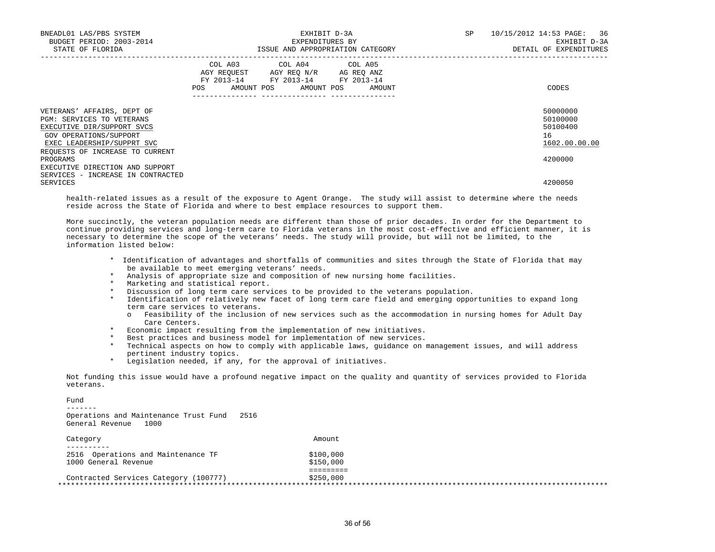| BNEADL01 LAS/PBS SYSTEM<br>BUDGET PERIOD: 2003-2014<br>STATE OF FLORIDA                                                                                                          | EXHIBIT D-3A<br>EXPENDITURES BY<br>ISSUE AND APPROPRIATION CATEGORY                                                                             | 10/15/2012 14:53 PAGE: 36<br>SP<br>EXHIBIT D-3A<br>DETAIL OF EXPENDITURES |
|----------------------------------------------------------------------------------------------------------------------------------------------------------------------------------|-------------------------------------------------------------------------------------------------------------------------------------------------|---------------------------------------------------------------------------|
|                                                                                                                                                                                  | COL A03 COL A04 COL A05<br>AGY REQUEST AGY REO N/R AG REO ANZ<br>FY 2013-14 FY 2013-14 FY 2013-14<br>AMOUNT POS AMOUNT POS AMOUNT<br><b>POS</b> | CODES                                                                     |
| VETERANS' AFFAIRS, DEPT OF<br>PGM: SERVICES TO VETERANS<br>EXECUTIVE DIR/SUPPORT SVCS<br>GOV OPERATIONS/SUPPORT<br>EXEC LEADERSHIP/SUPPRT SVC<br>REQUESTS OF INCREASE TO CURRENT |                                                                                                                                                 | 50000000<br>50100000<br>50100400<br>16<br>1602.00.00.00                   |
| PROGRAMS<br>EXECUTIVE DIRECTION AND SUPPORT<br>SERVICES - INCREASE IN CONTRACTED                                                                                                 |                                                                                                                                                 | 4200000                                                                   |
| SERVICES                                                                                                                                                                         |                                                                                                                                                 | 4200050                                                                   |

 health-related issues as a result of the exposure to Agent Orange. The study will assist to determine where the needs reside across the State of Florida and where to best emplace resources to support them.

 More succinctly, the veteran population needs are different than those of prior decades. In order for the Department to continue providing services and long-term care to Florida veterans in the most cost-effective and efficient manner, it is necessary to determine the scope of the veterans' needs. The study will provide, but will not be limited, to the information listed below:

- \* Identification of advantages and shortfalls of communities and sites through the State of Florida that may be available to meet emerging veterans' needs.
- \* Analysis of appropriate size and composition of new nursing home facilities.
- \* Marketing and statistical report.
- \* Discussion of long term care services to be provided to the veterans population.
- \* Identification of relatively new facet of long term care field and emerging opportunities to expand long term care services to veterans.
	- o Feasibility of the inclusion of new services such as the accommodation in nursing homes for Adult Day Care Centers.
- \* Economic impact resulting from the implementation of new initiatives.
- \* Best practices and business model for implementation of new services.
- \* Technical aspects on how to comply with applicable laws, guidance on management issues, and will address pertinent industry topics.
- \* Legislation needed, if any, for the approval of initiatives.

 Not funding this issue would have a profound negative impact on the quality and quantity of services provided to Florida veterans.

Fund

 Operations and Maintenance Trust Fund 2516 General Revenue 1000

| Category                              | Amount    |
|---------------------------------------|-----------|
| 2516 Operations and Maintenance TF    | \$100,000 |
| 1000 General Revenue                  | \$150,000 |
|                                       |           |
| Contracted Services Category (100777) | \$250,000 |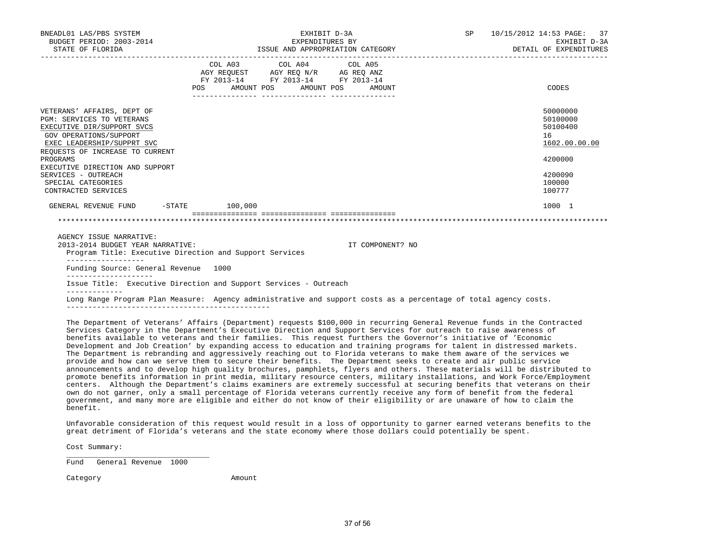| BNEADL01 LAS/PBS SYSTEM<br>BUDGET PERIOD: 2003-2014<br>STATE OF FLORIDA                                                                                                          |                                                                                                                                                                                      | EXHIBIT D-3A<br>EXPENDITURES BY<br>ISSUE AND APPROPRIATION CATEGORY | SP               | 10/15/2012 14:53 PAGE: 37<br>EXHIBIT D-3A<br>DETAIL OF EXPENDITURES |                                                         |
|----------------------------------------------------------------------------------------------------------------------------------------------------------------------------------|--------------------------------------------------------------------------------------------------------------------------------------------------------------------------------------|---------------------------------------------------------------------|------------------|---------------------------------------------------------------------|---------------------------------------------------------|
|                                                                                                                                                                                  | $\begin{tabular}{lllllll} AGY & \texttt{REGUEST} & \texttt{AGY REQ N/R} & \texttt{AG REQ ANZ} \end{tabular}$<br>FY 2013-14 FY 2013-14 FY 2013-14<br>POS AMOUNT POS AMOUNT POS AMOUNT | COL A03 COL A04 COL A05                                             |                  |                                                                     | CODES                                                   |
| VETERANS' AFFAIRS, DEPT OF<br>PGM: SERVICES TO VETERANS<br>EXECUTIVE DIR/SUPPORT SVCS<br>GOV OPERATIONS/SUPPORT<br>EXEC LEADERSHIP/SUPPRT SVC<br>REOUESTS OF INCREASE TO CURRENT |                                                                                                                                                                                      |                                                                     |                  |                                                                     | 50000000<br>50100000<br>50100400<br>16<br>1602.00.00.00 |
| PROGRAMS<br>EXECUTIVE DIRECTION AND SUPPORT<br>SERVICES - OUTREACH<br>SPECIAL CATEGORIES<br>CONTRACTED SERVICES                                                                  |                                                                                                                                                                                      |                                                                     |                  |                                                                     | 4200000<br>4200090<br>100000<br>100777                  |
| GENERAL REVENUE FUND -STATE 100,000                                                                                                                                              |                                                                                                                                                                                      |                                                                     |                  |                                                                     | 1000 1                                                  |
|                                                                                                                                                                                  |                                                                                                                                                                                      |                                                                     |                  |                                                                     |                                                         |
| AGENCY ISSUE NARRATIVE:<br>2013-2014 BUDGET YEAR NARRATIVE:<br>Program Title: Executive Direction and Support Services<br>__________________                                     |                                                                                                                                                                                      |                                                                     | IT COMPONENT? NO |                                                                     |                                                         |
| Funding Source: General Revenue 1000                                                                                                                                             |                                                                                                                                                                                      |                                                                     |                  |                                                                     |                                                         |
| Issue Title: Executive Direction and Support Services - Outreach                                                                                                                 |                                                                                                                                                                                      |                                                                     |                  |                                                                     |                                                         |
| Long Range Program Plan Measure: Agency administrative and support costs as a percentage of total agency costs.                                                                  |                                                                                                                                                                                      |                                                                     |                  |                                                                     |                                                         |

 The Department of Veterans' Affairs (Department) requests \$100,000 in recurring General Revenue funds in the Contracted Services Category in the Department's Executive Direction and Support Services for outreach to raise awareness of benefits available to veterans and their families. This request furthers the Governor's initiative of 'Economic Development and Job Creation' by expanding access to education and training programs for talent in distressed markets. The Department is rebranding and aggressively reaching out to Florida veterans to make them aware of the services we provide and how can we serve them to secure their benefits. The Department seeks to create and air public service announcements and to develop high quality brochures, pamphlets, flyers and others. These materials will be distributed to promote benefits information in print media, military resource centers, military installations, and Work Force/Employment centers. Although the Department's claims examiners are extremely successful at securing benefits that veterans on their own do not garner, only a small percentage of Florida veterans currently receive any form of benefit from the federal government, and many more are eligible and either do not know of their eligibility or are unaware of how to claim the benefit.

 Unfavorable consideration of this request would result in a loss of opportunity to garner earned veterans benefits to the great detriment of Florida's veterans and the state economy where those dollars could potentially be spent.

Cost Summary:

 $\frac{1}{\sqrt{2}}$  ,  $\frac{1}{\sqrt{2}}$  ,  $\frac{1}{\sqrt{2}}$  ,  $\frac{1}{\sqrt{2}}$  ,  $\frac{1}{\sqrt{2}}$  ,  $\frac{1}{\sqrt{2}}$  ,  $\frac{1}{\sqrt{2}}$  ,  $\frac{1}{\sqrt{2}}$  ,  $\frac{1}{\sqrt{2}}$  ,  $\frac{1}{\sqrt{2}}$  ,  $\frac{1}{\sqrt{2}}$  ,  $\frac{1}{\sqrt{2}}$  ,  $\frac{1}{\sqrt{2}}$  ,  $\frac{1}{\sqrt{2}}$  ,  $\frac{1}{\sqrt{2}}$ Fund General Revenue 1000

Category **Amount**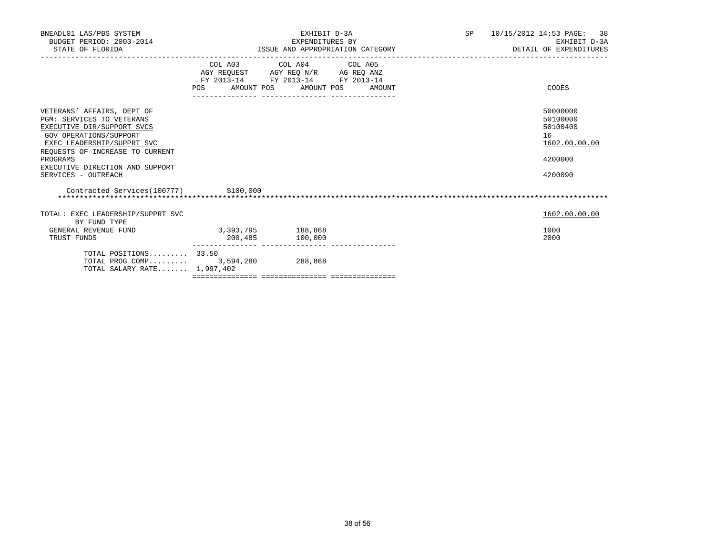| BNEADL01 LAS/PBS SYSTEM<br>BUDGET PERIOD: 2003-2014<br>STATE OF FLORIDA | EXHIBIT D-3A<br>EXPENDITURES BY<br>ISSUE AND APPROPRIATION CATEGORY |                                                                                                                                                                                     |                                  | SP 10/15/2012 14:53 PAGE: 38<br>EXHIBIT D-3A<br>DETAIL OF EXPENDITURES |
|-------------------------------------------------------------------------|---------------------------------------------------------------------|-------------------------------------------------------------------------------------------------------------------------------------------------------------------------------------|----------------------------------|------------------------------------------------------------------------|
|                                                                         |                                                                     | COL A03 COL A04 COL A05<br>$\begin{tabular}{lllllll} AGY & \texttt{REQUEST} & \texttt{AGY} & \texttt{REG} & \texttt{N/R} & \texttt{AG} & \texttt{REG} & \texttt{ANZ} \end{tabular}$ |                                  |                                                                        |
|                                                                         |                                                                     | FY 2013-14 FY 2013-14 FY 2013-14                                                                                                                                                    |                                  |                                                                        |
|                                                                         |                                                                     |                                                                                                                                                                                     | POS AMOUNT POS AMOUNT POS AMOUNT | CODES                                                                  |
| VETERANS' AFFAIRS, DEPT OF                                              |                                                                     |                                                                                                                                                                                     |                                  | 50000000                                                               |
| <b>PGM: SERVICES TO VETERANS</b>                                        |                                                                     |                                                                                                                                                                                     |                                  | 50100000                                                               |
| EXECUTIVE DIR/SUPPORT SVCS                                              |                                                                     |                                                                                                                                                                                     |                                  | 50100400                                                               |
| GOV OPERATIONS/SUPPORT                                                  |                                                                     |                                                                                                                                                                                     |                                  | 16                                                                     |
| EXEC LEADERSHIP/SUPPRT SVC                                              |                                                                     |                                                                                                                                                                                     |                                  | 1602.00.00.00                                                          |
| REQUESTS OF INCREASE TO CURRENT<br>PROGRAMS                             |                                                                     |                                                                                                                                                                                     |                                  | 4200000                                                                |
| EXECUTIVE DIRECTION AND SUPPORT                                         |                                                                     |                                                                                                                                                                                     |                                  |                                                                        |
| SERVICES - OUTREACH                                                     |                                                                     |                                                                                                                                                                                     |                                  | 4200090                                                                |
| Contracted Services(100777) \$100,000                                   |                                                                     |                                                                                                                                                                                     |                                  |                                                                        |
|                                                                         |                                                                     |                                                                                                                                                                                     |                                  |                                                                        |
| TOTAL: EXEC LEADERSHIP/SUPPRT SVC<br>BY FUND TYPE                       |                                                                     |                                                                                                                                                                                     |                                  | 1602.00.00.00                                                          |
| GENERAL REVENUE FUND                                                    | 3,393,795 188,868                                                   |                                                                                                                                                                                     |                                  | 1000                                                                   |
| TRUST FUNDS                                                             | 200,485                                                             | 100,000                                                                                                                                                                             |                                  | 2000                                                                   |
| TOTAL POSITIONS $33.50$                                                 |                                                                     |                                                                                                                                                                                     |                                  |                                                                        |
| TOTAL PROG COMP 3,594,280 288,868                                       |                                                                     |                                                                                                                                                                                     |                                  |                                                                        |
| TOTAL SALARY RATE 1,997,402                                             |                                                                     |                                                                                                                                                                                     |                                  |                                                                        |
|                                                                         |                                                                     |                                                                                                                                                                                     |                                  |                                                                        |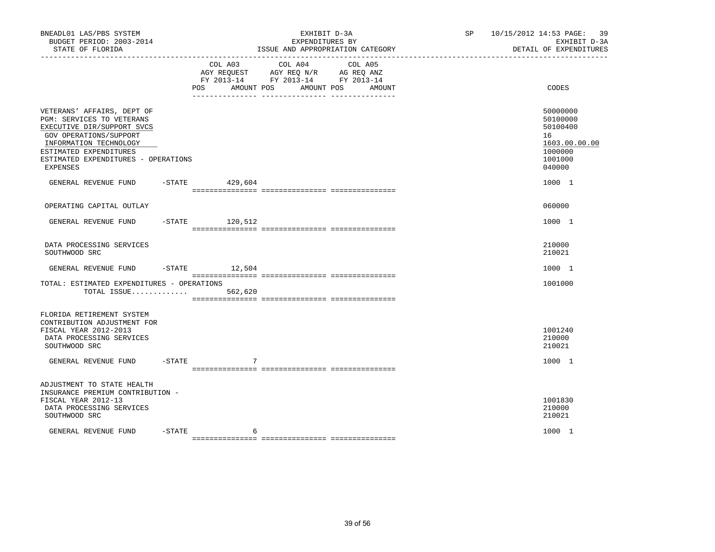| BNEADL01 LAS/PBS SYSTEM<br>BUDGET PERIOD: 2003-2014<br>STATE OF FLORIDA<br>------------------                                                                                                                                 |           |                   | EXHIBIT D-3A<br>EXPENDITURES BY<br>ISSUE AND APPROPRIATION CATEGORY                       | SP 10/15/2012 14:53 PAGE: 39<br>EXHIBIT D-3A<br>DETAIL OF EXPENDITURES |                                                                                         |
|-------------------------------------------------------------------------------------------------------------------------------------------------------------------------------------------------------------------------------|-----------|-------------------|-------------------------------------------------------------------------------------------|------------------------------------------------------------------------|-----------------------------------------------------------------------------------------|
|                                                                                                                                                                                                                               |           | POS<br>AMOUNT POS | COL A03 COL A04<br>AGY REQUEST AGY REQ N/R AG REQ ANZ<br>FY 2013-14 FY 2013-14 FY 2013-14 | COL A05<br>AMOUNT POS<br>AMOUNT                                        | CODES                                                                                   |
| VETERANS' AFFAIRS, DEPT OF<br>PGM: SERVICES TO VETERANS<br>EXECUTIVE DIR/SUPPORT SVCS<br>GOV OPERATIONS/SUPPORT<br>INFORMATION TECHNOLOGY<br>ESTIMATED EXPENDITURES<br>ESTIMATED EXPENDITURES - OPERATIONS<br><b>EXPENSES</b> |           |                   |                                                                                           |                                                                        | 50000000<br>50100000<br>50100400<br>16<br>1603.00.00.00<br>1000000<br>1001000<br>040000 |
| GENERAL REVENUE FUND                                                                                                                                                                                                          |           | $-$ STATE 429,604 |                                                                                           |                                                                        | 1000 1                                                                                  |
| OPERATING CAPITAL OUTLAY                                                                                                                                                                                                      |           |                   |                                                                                           |                                                                        | 060000                                                                                  |
| GENERAL REVENUE FUND                                                                                                                                                                                                          |           | $-STATE$ 120,512  |                                                                                           |                                                                        | 1000 1                                                                                  |
| DATA PROCESSING SERVICES<br>SOUTHWOOD SRC                                                                                                                                                                                     |           |                   |                                                                                           |                                                                        | 210000<br>210021                                                                        |
| GENERAL REVENUE FUND                                                                                                                                                                                                          |           | $-$ STATE 12,504  |                                                                                           |                                                                        | 1000 1                                                                                  |
| TOTAL: ESTIMATED EXPENDITURES - OPERATIONS<br>TOTAL ISSUE                                                                                                                                                                     |           | 562,620           |                                                                                           |                                                                        | 1001000                                                                                 |
| FLORIDA RETIREMENT SYSTEM<br>CONTRIBUTION ADJUSTMENT FOR<br>FISCAL YEAR 2012-2013<br>DATA PROCESSING SERVICES<br>SOUTHWOOD SRC                                                                                                |           |                   |                                                                                           |                                                                        | 1001240<br>210000<br>210021                                                             |
| GENERAL REVENUE FUND -STATE                                                                                                                                                                                                   |           | 7                 |                                                                                           |                                                                        | 1000 1                                                                                  |
| ADJUSTMENT TO STATE HEALTH<br>INSURANCE PREMIUM CONTRIBUTION -<br>FISCAL YEAR 2012-13<br>DATA PROCESSING SERVICES<br>SOUTHWOOD SRC                                                                                            |           |                   |                                                                                           |                                                                        | 1001830<br>210000<br>210021                                                             |
| GENERAL REVENUE FUND                                                                                                                                                                                                          | $-$ STATE | 6                 |                                                                                           |                                                                        | 1000 1                                                                                  |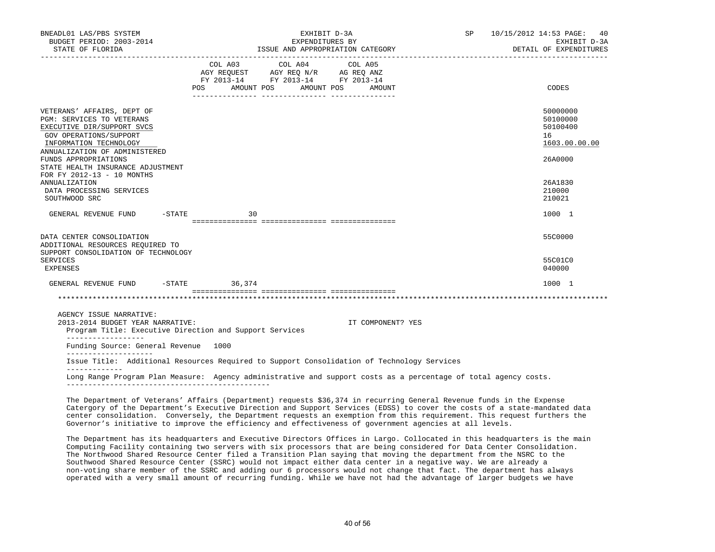|    | EXPENDITURES BY<br>ISSUE AND APPROPRIATION CATEGORY                                                                                                                                                                          |                                                                                                                                                                                                                                                                                                                                                             | EXHIBIT D-3A<br>DETAIL OF EXPENDITURES                                                                                                                                                                        |
|----|------------------------------------------------------------------------------------------------------------------------------------------------------------------------------------------------------------------------------|-------------------------------------------------------------------------------------------------------------------------------------------------------------------------------------------------------------------------------------------------------------------------------------------------------------------------------------------------------------|---------------------------------------------------------------------------------------------------------------------------------------------------------------------------------------------------------------|
|    |                                                                                                                                                                                                                              |                                                                                                                                                                                                                                                                                                                                                             | CODES                                                                                                                                                                                                         |
|    |                                                                                                                                                                                                                              |                                                                                                                                                                                                                                                                                                                                                             | 50000000<br>50100000<br>50100400<br>16<br>1603.00.00.00<br>26A0000                                                                                                                                            |
|    |                                                                                                                                                                                                                              |                                                                                                                                                                                                                                                                                                                                                             | 26A1830<br>210000<br>210021                                                                                                                                                                                   |
| 30 |                                                                                                                                                                                                                              |                                                                                                                                                                                                                                                                                                                                                             | 1000 1                                                                                                                                                                                                        |
|    |                                                                                                                                                                                                                              |                                                                                                                                                                                                                                                                                                                                                             | 55C0000                                                                                                                                                                                                       |
|    |                                                                                                                                                                                                                              |                                                                                                                                                                                                                                                                                                                                                             | 55C01C0<br>040000                                                                                                                                                                                             |
|    |                                                                                                                                                                                                                              |                                                                                                                                                                                                                                                                                                                                                             | 1000 1                                                                                                                                                                                                        |
|    |                                                                                                                                                                                                                              |                                                                                                                                                                                                                                                                                                                                                             |                                                                                                                                                                                                               |
|    | IT COMPONENT? YES                                                                                                                                                                                                            |                                                                                                                                                                                                                                                                                                                                                             |                                                                                                                                                                                                               |
|    |                                                                                                                                                                                                                              |                                                                                                                                                                                                                                                                                                                                                             |                                                                                                                                                                                                               |
|    |                                                                                                                                                                                                                              |                                                                                                                                                                                                                                                                                                                                                             |                                                                                                                                                                                                               |
|    |                                                                                                                                                                                                                              |                                                                                                                                                                                                                                                                                                                                                             |                                                                                                                                                                                                               |
|    | $-STATE$<br>SUPPORT CONSOLIDATION OF TECHNOLOGY<br>GENERAL REVENUE FUND -STATE 36,374<br>2013-2014 BUDGET YEAR NARRATIVE:<br>Program Title: Executive Direction and Support Services<br>Funding Source: General Revenue 1000 | $\begin{tabular}{lllllllllllll} &\multicolumn{4}{c}{\text{COL A03}} &\multicolumn{4}{c}{\text{COL A04}} &\multicolumn{4}{c}{\text{COL A05}} \\ \multicolumn{4}{c}{\text{AGY REQUEST}} &\multicolumn{4}{c}{\text{AGY REQ N/R}} &\multicolumn{4}{c}{\text{AG REQ ANZ}} \end{tabular}$<br>FY 2013-14 FY 2013-14 FY 2013-14<br>POS AMOUNT POS AMOUNT POS AMOUNT | Issue Title: Additional Resources Required to Support Consolidation of Technology Services<br>Long Range Program Plan Measure: Agency administrative and support costs as a percentage of total agency costs. |

 The Department of Veterans' Affairs (Department) requests \$36,374 in recurring General Revenue funds in the Expense Catergory of the Department's Executive Direction and Support Services (EDSS) to cover the costs of a state-mandated data center consolidation. Conversely, the Department requests an exemption from this requirement. This request furthers the Governor's initiative to improve the efficiency and effectiveness of government agencies at all levels.

 The Department has its headquarters and Executive Directors Offices in Largo. Collocated in this headquarters is the main Computing Facility containing two servers with six processors that are being considered for Data Center Consolidation. The Northwood Shared Resource Center filed a Transition Plan saying that moving the department from the NSRC to the Southwood Shared Resource Center (SSRC) would not impact either data center in a negative way. We are already a non-voting share member of the SSRC and adding our 6 processors would not change that fact. The department has always operated with a very small amount of recurring funding. While we have not had the advantage of larger budgets we have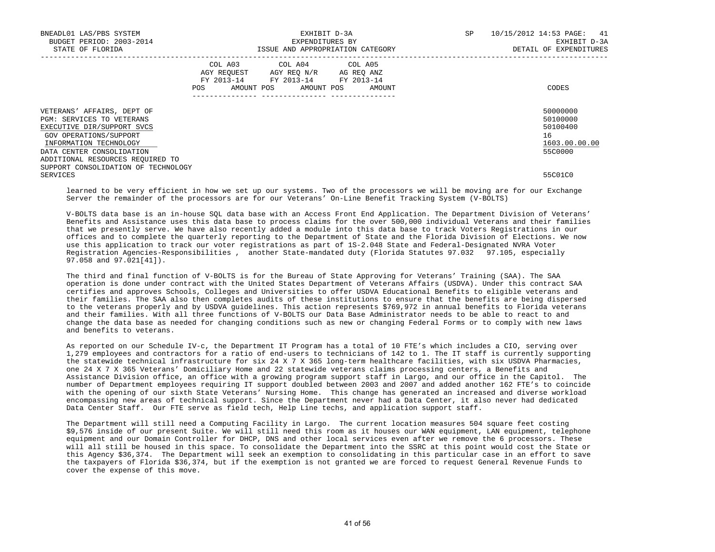| BNEADL01 LAS/PBS SYSTEM<br>BUDGET PERIOD: 2003-2014<br>STATE OF FLORIDA                                                                                                |     |                                                                                                                            | EXHIBIT D-3A<br>EXPENDITURES BY | ISSUE AND APPROPRIATION CATEGORY | SP | 10/15/2012 14:53 PAGE: 41<br>EXHIBIT D-3A<br>DETAIL OF EXPENDITURES |
|------------------------------------------------------------------------------------------------------------------------------------------------------------------------|-----|----------------------------------------------------------------------------------------------------------------------------|---------------------------------|----------------------------------|----|---------------------------------------------------------------------|
|                                                                                                                                                                        | POS | COL A03 COL A04 COL A05<br>AGY REQUEST AGY REO N/R AG REO ANZ<br>FY 2013-14 FY 2013-14 FY 2013-14<br>AMOUNT POS AMOUNT POS |                                 | AMOUNT                           |    | CODES                                                               |
| VETERANS' AFFAIRS, DEPT OF<br>PGM: SERVICES TO VETERANS<br>EXECUTIVE DIR/SUPPORT SVCS<br>GOV OPERATIONS/SUPPORT<br>INFORMATION TECHNOLOGY<br>DATA CENTER CONSOLIDATION |     |                                                                                                                            |                                 |                                  |    | 50000000<br>50100000<br>50100400<br>16<br>1603.00.00.00<br>55C0000  |
| ADDITIONAL RESOURCES REQUIRED TO<br>SUPPORT CONSOLIDATION OF TECHNOLOGY<br>SERVICES                                                                                    |     |                                                                                                                            |                                 |                                  |    | 55C01C0                                                             |

 learned to be very efficient in how we set up our systems. Two of the processors we will be moving are for our Exchange Server the remainder of the processors are for our Veterans' On-Line Benefit Tracking System (V-BOLTS)

 V-BOLTS data base is an in-house SQL data base with an Access Front End Application. The Department Division of Veterans' Benefits and Assistance uses this data base to process claims for the over 500,000 individual Veterans and their families that we presently serve. We have also recently added a module into this data base to track Voters Registrations in our offices and to complete the quarterly reporting to the Department of State and the Florida Division of Elections. We now use this application to track our voter registrations as part of 1S-2.048 State and Federal-Designated NVRA Voter Registration Agencies-Responsibilities , another State-mandated duty (Florida Statutes 97.032 97.105, especially 97.058 and 97.021[41]).

 The third and final function of V-BOLTS is for the Bureau of State Approving for Veterans' Training (SAA). The SAA operation is done under contract with the United States Department of Veterans Affairs (USDVA). Under this contract SAA certifies and approves Schools, Colleges and Universities to offer USDVA Educational Benefits to eligible veterans and their families. The SAA also then completes audits of these institutions to ensure that the benefits are being dispersed to the veterans properly and by USDVA guidelines. This action represents \$769,972 in annual benefits to Florida veterans and their families. With all three functions of V-BOLTS our Data Base Administrator needs to be able to react to and change the data base as needed for changing conditions such as new or changing Federal Forms or to comply with new laws and benefits to veterans.

 As reported on our Schedule IV-c, the Department IT Program has a total of 10 FTE's which includes a CIO, serving over 1,279 employees and contractors for a ratio of end-users to technicians of 142 to 1. The IT staff is currently supporting the statewide technical infrastructure for six 24 X 7 X 365 long-term healthcare facilities, with six USDVA Pharmacies, one 24 X 7 X 365 Veterans' Domiciliary Home and 22 statewide veterans claims processing centers, a Benefits and Assistance Division office, an office with a growing program support staff in Largo, and our office in the Capitol. The number of Department employees requiring IT support doubled between 2003 and 2007 and added another 162 FTE's to coincide with the opening of our sixth State Veterans' Nursing Home. This change has generated an increased and diverse workload encompassing new areas of technical support. Since the Department never had a Data Center, it also never had dedicated Data Center Staff. Our FTE serve as field tech, Help Line techs, and application support staff.

 The Department will still need a Computing Facility in Largo. The current location measures 504 square feet costing \$9,576 inside of our present Suite. We will still need this room as it houses our WAN equipment, LAN equipment, telephone equipment and our Domain Controller for DHCP, DNS and other local services even after we remove the 6 processors. These will all still be housed in this space. To consolidate the Department into the SSRC at this point would cost the State or this Agency \$36,374. The Department will seek an exemption to consolidating in this particular case in an effort to save the taxpayers of Florida \$36,374, but if the exemption is not granted we are forced to request General Revenue Funds to cover the expense of this move.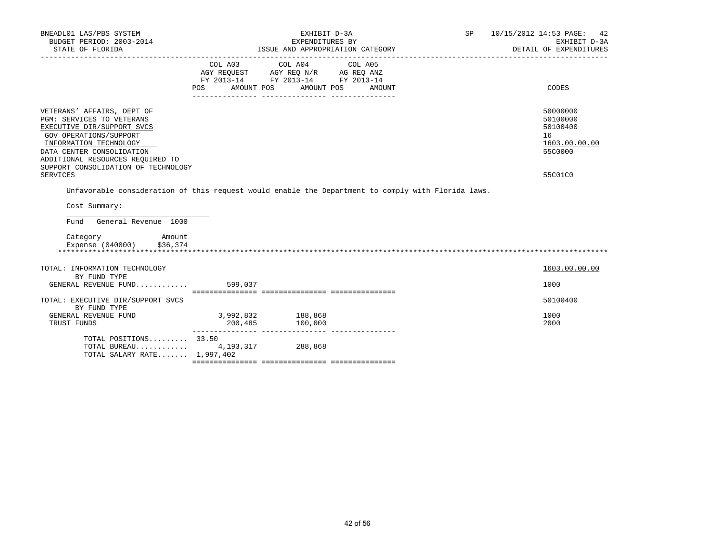| BNEADL01 LAS/PBS SYSTEM<br>BUDGET PERIOD: 2003-2014                                                                                                                                                                                                                  |                                | EXHIBIT D-3A<br>EXPENDITURES BY                                                                                                                                                                                                                                                                    | SP 10/15/2012 14:53 PAGE: 42<br>EXHIBIT D-3A                                  |
|----------------------------------------------------------------------------------------------------------------------------------------------------------------------------------------------------------------------------------------------------------------------|--------------------------------|----------------------------------------------------------------------------------------------------------------------------------------------------------------------------------------------------------------------------------------------------------------------------------------------------|-------------------------------------------------------------------------------|
|                                                                                                                                                                                                                                                                      |                                |                                                                                                                                                                                                                                                                                                    | DETAIL OF EXPENDITURES                                                        |
|                                                                                                                                                                                                                                                                      | POS FOR                        | COL A03 COL A04 COL A05<br>$\begin{tabular}{lllllll} \bf AGY \;\; RegUEST \hspace{1cm} AGY \;\; REG \;\; N/R \hspace{1cm} \bf AG \;\; REG \;\; ANZ \end{tabular}$ $\begin{tabular}{lllllllllll} \bf FY \;\; 2013-14 \hspace{1cm} FY \;\; 2013-14 \end{tabular}$<br>AMOUNT POS AMOUNT POS<br>AMOUNT | CODES                                                                         |
| VETERANS' AFFAIRS, DEPT OF<br>PGM: SERVICES TO VETERANS<br>EXECUTIVE DIR/SUPPORT SVCS<br>GOV OPERATIONS/SUPPORT<br>INFORMATION TECHNOLOGY<br>DATA CENTER CONSOLIDATION<br>ADDITIONAL RESOURCES REOUIRED TO<br>SUPPORT CONSOLIDATION OF TECHNOLOGY<br><b>SERVICES</b> |                                |                                                                                                                                                                                                                                                                                                    | 50000000<br>50100000<br>50100400<br>16<br>1603.00.00.00<br>55C0000<br>55C01C0 |
|                                                                                                                                                                                                                                                                      |                                | Unfavorable consideration of this request would enable the Department to comply with Florida laws.                                                                                                                                                                                                 |                                                                               |
| Cost Summary:                                                                                                                                                                                                                                                        |                                |                                                                                                                                                                                                                                                                                                    |                                                                               |
| Fund General Revenue 1000                                                                                                                                                                                                                                            |                                |                                                                                                                                                                                                                                                                                                    |                                                                               |
| Category<br>Amount<br>Expense (040000) \$36,374                                                                                                                                                                                                                      |                                |                                                                                                                                                                                                                                                                                                    |                                                                               |
| TOTAL: INFORMATION TECHNOLOGY                                                                                                                                                                                                                                        |                                |                                                                                                                                                                                                                                                                                                    | 1603.00.00.00                                                                 |
| BY FUND TYPE<br>GENERAL REVENUE FUND 599,037                                                                                                                                                                                                                         |                                |                                                                                                                                                                                                                                                                                                    | 1000                                                                          |
| TOTAL: EXECUTIVE DIR/SUPPORT SVCS<br>BY FUND TYPE                                                                                                                                                                                                                    |                                |                                                                                                                                                                                                                                                                                                    | 50100400                                                                      |
| GENERAL REVENUE FUND<br>TRUST FUNDS                                                                                                                                                                                                                                  | $3,992,832$ 188,868<br>200,485 | 100,000                                                                                                                                                                                                                                                                                            | 1000<br>2000                                                                  |
| TOTAL POSITIONS 33.50<br>TOTAL BUREAU 4, 193, 317 288, 868<br>TOTAL SALARY RATE $1,997,402$                                                                                                                                                                          |                                |                                                                                                                                                                                                                                                                                                    |                                                                               |
|                                                                                                                                                                                                                                                                      |                                |                                                                                                                                                                                                                                                                                                    |                                                                               |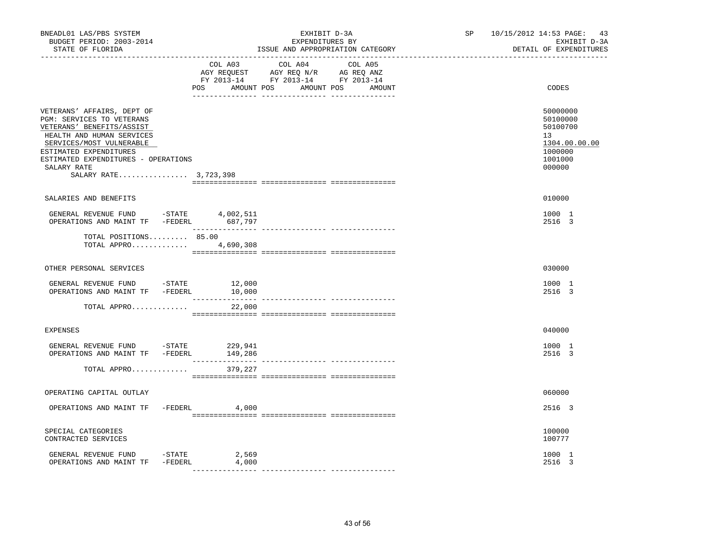| BNEADL01 LAS/PBS SYSTEM<br>BUDGET PERIOD: 2003-2014<br>STATE OF FLORIDA                                                                                                                                                                                                                                                                                                                                                                                           |                  | EXHIBIT D-3A<br>EXPENDITURES BY<br>ISSUE AND APPROPRIATION CATEGORY                                                                      | SP 10/15/2012 14:53 PAGE: 43 | EXHIBIT D-3A<br>DETAIL OF EXPENDITURES                                                  |
|-------------------------------------------------------------------------------------------------------------------------------------------------------------------------------------------------------------------------------------------------------------------------------------------------------------------------------------------------------------------------------------------------------------------------------------------------------------------|------------------|------------------------------------------------------------------------------------------------------------------------------------------|------------------------------|-----------------------------------------------------------------------------------------|
|                                                                                                                                                                                                                                                                                                                                                                                                                                                                   |                  | COL A03 COL A04 COL A05<br>CO AGY REQUEST AGY REQ N/R AG REQ ANZ<br>FY 2013-14 FY 2013-14 FY 2013-14<br>POS AMOUNT POS AMOUNT POS AMOUNT |                              | CODES                                                                                   |
| VETERANS' AFFAIRS, DEPT OF<br>PGM: SERVICES TO VETERANS<br>VETERANS' BENEFITS/ASSIST<br>HEALTH AND HUMAN SERVICES<br>SERVICES/MOST VULNERABLE<br>ESTIMATED EXPENDITURES<br>ESTIMATED EXPENDITURES - OPERATIONS<br>SALARY RATE<br>SALARY RATE 3,723,398                                                                                                                                                                                                            |                  |                                                                                                                                          |                              | 50000000<br>50100000<br>50100700<br>13<br>1304.00.00.00<br>1000000<br>1001000<br>000000 |
| SALARIES AND BENEFITS                                                                                                                                                                                                                                                                                                                                                                                                                                             |                  |                                                                                                                                          |                              | 010000                                                                                  |
| $\begin{tabular}{lllllllll} \multicolumn{2}{c}{\textbf{GENERAL}} & \textbf{REVENUE} & \textbf{FUND} & & -\textbf{STATE} & & 4,002,511 \\ \multicolumn{2}{c}{\textbf{OPERATIONS AND MAINT TF}} & -\textbf{FEDERL} & & 687,797 \\ \multicolumn{2}{c}{\textbf{OPERATIONS AND MAINT TF}} & -\textbf{FEDERL} & & 687,797 \\ \multicolumn{2}{c}{\textbf{ORERATIONS}} & \multicolumn{2}{c}{\textbf{AVD}} & \multicolumn{2}{c}{\textbf{MIST}} & \multicolumn{2}{c}{\text$ |                  |                                                                                                                                          |                              | 1000 1<br>2516 3                                                                        |
| TOTAL POSITIONS 85.00<br>TOTAL APPRO 4,690,308                                                                                                                                                                                                                                                                                                                                                                                                                    |                  |                                                                                                                                          |                              |                                                                                         |
| OTHER PERSONAL SERVICES                                                                                                                                                                                                                                                                                                                                                                                                                                           |                  |                                                                                                                                          |                              | 030000                                                                                  |
| GENERAL REVENUE FUND - STATE<br>OPERATIONS AND MAINT TF -FEDERL                                                                                                                                                                                                                                                                                                                                                                                                   | 12,000<br>10,000 |                                                                                                                                          |                              | 1000 1<br>2516 3                                                                        |
| TOTAL APPRO                                                                                                                                                                                                                                                                                                                                                                                                                                                       | 22,000           |                                                                                                                                          |                              |                                                                                         |
| <b>EXPENSES</b>                                                                                                                                                                                                                                                                                                                                                                                                                                                   |                  |                                                                                                                                          |                              | 040000                                                                                  |
| GENERAL REVENUE FUND -STATE 229,941<br>OPERATIONS AND MAINT TF -FEDERL                                                                                                                                                                                                                                                                                                                                                                                            | 149,286          |                                                                                                                                          |                              | 1000 1<br>2516 3                                                                        |
| TOTAL APPRO                                                                                                                                                                                                                                                                                                                                                                                                                                                       | 379,227          |                                                                                                                                          |                              |                                                                                         |
| OPERATING CAPITAL OUTLAY                                                                                                                                                                                                                                                                                                                                                                                                                                          |                  |                                                                                                                                          |                              | 060000                                                                                  |
| OPERATIONS AND MAINT TF -FEDERL 4,000                                                                                                                                                                                                                                                                                                                                                                                                                             |                  |                                                                                                                                          |                              | 2516 3                                                                                  |
| SPECIAL CATEGORIES<br>CONTRACTED SERVICES                                                                                                                                                                                                                                                                                                                                                                                                                         |                  |                                                                                                                                          |                              | 100000<br>100777                                                                        |
| GENERAL REVENUE FUND -STATE 2,569<br>OPERATIONS AND MAINT TF -FEDERL                                                                                                                                                                                                                                                                                                                                                                                              | 4,000            |                                                                                                                                          |                              | 1000 1<br>2516 3                                                                        |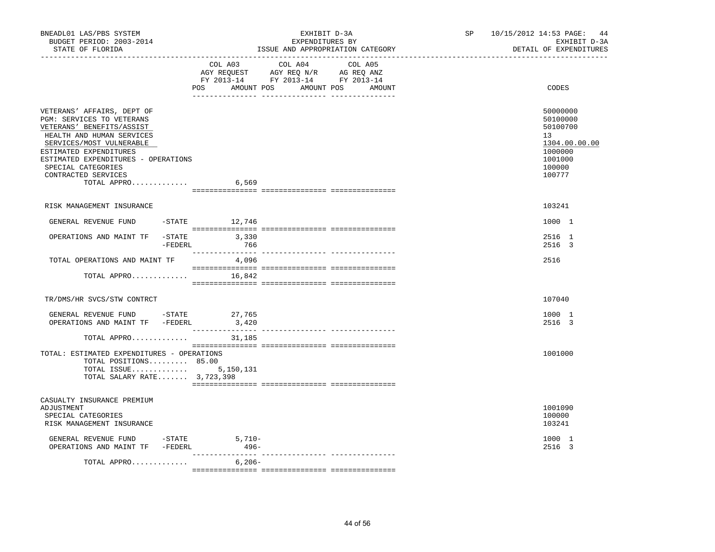| BNEADL01 LAS/PBS SYSTEM<br>BUDGET PERIOD: 2003-2014<br>STATE OF FLORIDA                                                                                                                                                                                                            | EXHIBIT D-3A<br>EXPENDITURES BY<br>ISSUE AND APPROPRIATION CATEGORY                                                                      | SP 10/15/2012 14:53 PAGE: 44<br>EXHIBIT D-3A<br>DETAIL OF EXPENDITURES                            |
|------------------------------------------------------------------------------------------------------------------------------------------------------------------------------------------------------------------------------------------------------------------------------------|------------------------------------------------------------------------------------------------------------------------------------------|---------------------------------------------------------------------------------------------------|
|                                                                                                                                                                                                                                                                                    | COL A03 COL A04<br>COL A05<br>AGY REQUEST AGY REQ N/R AG REQ ANZ<br>FY 2013-14 FY 2013-14 FY 2013-14<br>POS AMOUNT POS AMOUNT POS AMOUNT | CODES                                                                                             |
| VETERANS' AFFAIRS, DEPT OF<br>PGM: SERVICES TO VETERANS<br>VETERANS' BENEFITS/ASSIST<br>HEALTH AND HUMAN SERVICES<br>SERVICES/MOST VULNERABLE<br>ESTIMATED EXPENDITURES<br>ESTIMATED EXPENDITURES - OPERATIONS<br>SPECIAL CATEGORIES<br>CONTRACTED SERVICES<br>TOTAL APPRO $6,569$ |                                                                                                                                          | 50000000<br>50100000<br>50100700<br>13<br>1304.00.00.00<br>1000000<br>1001000<br>100000<br>100777 |
| RISK MANAGEMENT INSURANCE                                                                                                                                                                                                                                                          |                                                                                                                                          | 103241                                                                                            |
| GENERAL REVENUE FUND -STATE 12,746                                                                                                                                                                                                                                                 |                                                                                                                                          | 1000 1                                                                                            |
| OPERATIONS AND MAINT TF $-$ STATE 3,330<br>-FEDERL 766                                                                                                                                                                                                                             |                                                                                                                                          | 2516 1<br>2516 3                                                                                  |
| TOTAL OPERATIONS AND MAINT TF                                                                                                                                                                                                                                                      | 4,096                                                                                                                                    | 2516                                                                                              |
| TOTAL APPRO $16,842$                                                                                                                                                                                                                                                               |                                                                                                                                          |                                                                                                   |
| TR/DMS/HR SVCS/STW CONTRCT                                                                                                                                                                                                                                                         |                                                                                                                                          | 107040                                                                                            |
| GENERAL REVENUE FUND -STATE 27,765<br>OPERATIONS AND MAINT TF -FEDERL                                                                                                                                                                                                              | 3,420                                                                                                                                    | 1000 1<br>2516 3                                                                                  |
| TOTAL APPRO<br>TOTAL: ESTIMATED EXPENDITURES - OPERATIONS<br>TOTAL POSITIONS 85.00<br>TOTAL ISSUE 5,150,131<br>TOTAL SALARY RATE 3,723,398                                                                                                                                         | 31,185                                                                                                                                   | 1001000                                                                                           |
| CASUALTY INSURANCE PREMIUM<br>ADJUSTMENT<br>SPECIAL CATEGORIES<br>RISK MANAGEMENT INSURANCE                                                                                                                                                                                        |                                                                                                                                          | 1001090<br>100000<br>103241                                                                       |
| GENERAL REVENUE FUND -STATE<br>OPERATIONS AND MAINT TF -FEDERL                                                                                                                                                                                                                     | $5,710-$<br>$496-$                                                                                                                       | 1000 1<br>2516 3                                                                                  |
| TOTAL APPRO $\ldots \ldots \ldots$ . 6,206-                                                                                                                                                                                                                                        |                                                                                                                                          |                                                                                                   |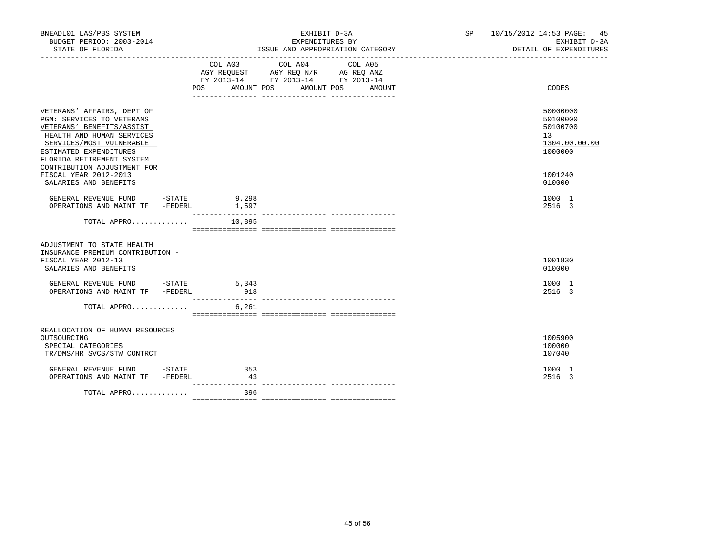| BNEADL01 LAS/PBS SYSTEM<br>BUDGET PERIOD: 2003-2014<br>STATE OF FLORIDA                                                                                                                                                                                             |           | EXHIBIT D-3A<br>EXPENDITURES BY<br>ISSUE AND APPROPRIATION CATEGORY                                                                                                                                                                                                                                                                                      | SP 10/15/2012 14:53 PAGE: 45<br>EXHIBIT D-3A<br>DETAIL OF EXPENDITURES        |
|---------------------------------------------------------------------------------------------------------------------------------------------------------------------------------------------------------------------------------------------------------------------|-----------|----------------------------------------------------------------------------------------------------------------------------------------------------------------------------------------------------------------------------------------------------------------------------------------------------------------------------------------------------------|-------------------------------------------------------------------------------|
|                                                                                                                                                                                                                                                                     | POS FOR   | $\begin{tabular}{lllllllllll} &\multicolumn{4}{c}{\text{COL A03}} &\multicolumn{4}{c}{\text{COL A04}} &\multicolumn{4}{c}{\text{COL A05}} \\ \multicolumn{4}{c}{\text{AGY REQUEST}} &\multicolumn{4}{c}{\text{AGY REQ N/R}} &\multicolumn{4}{c}{\text{AG REQ ANZ}} \end{tabular}$<br>FY 2013-14 FY 2013-14 FY 2013-14<br>AMOUNT POS AMOUNT POS<br>AMOUNT | CODES                                                                         |
| VETERANS' AFFAIRS, DEPT OF<br><b>PGM: SERVICES TO VETERANS</b><br>VETERANS' BENEFITS/ASSIST<br>HEALTH AND HUMAN SERVICES<br>SERVICES/MOST VULNERABLE<br>ESTIMATED EXPENDITURES<br>FLORIDA RETIREMENT SYSTEM<br>CONTRIBUTION ADJUSTMENT FOR<br>FISCAL YEAR 2012-2013 |           |                                                                                                                                                                                                                                                                                                                                                          | 50000000<br>50100000<br>50100700<br>13<br>1304.00.00.00<br>1000000<br>1001240 |
| SALARIES AND BENEFITS<br>GENERAL REVENUE FUND -STATE 9,298<br>OPERATIONS AND MAINT TF -FEDERL 1,597                                                                                                                                                                 |           |                                                                                                                                                                                                                                                                                                                                                          | 010000<br>1000 1<br>2516 3                                                    |
| TOTAL APPRO $10,895$                                                                                                                                                                                                                                                |           |                                                                                                                                                                                                                                                                                                                                                          |                                                                               |
| ADJUSTMENT TO STATE HEALTH<br>INSURANCE PREMIUM CONTRIBUTION -<br>FISCAL YEAR 2012-13<br>SALARIES AND BENEFITS                                                                                                                                                      |           |                                                                                                                                                                                                                                                                                                                                                          | 1001830<br>010000                                                             |
| GENERAL REVENUE FUND -STATE 5,343<br>OPERATIONS AND MAINT TF -FEDERL                                                                                                                                                                                                | 918       |                                                                                                                                                                                                                                                                                                                                                          | 1000 1<br>2516 3                                                              |
| TOTAL APPRO 6,261                                                                                                                                                                                                                                                   |           |                                                                                                                                                                                                                                                                                                                                                          |                                                                               |
| REALLOCATION OF HUMAN RESOURCES<br>OUTSOURCING<br>SPECIAL CATEGORIES<br>TR/DMS/HR SVCS/STW CONTRCT                                                                                                                                                                  |           |                                                                                                                                                                                                                                                                                                                                                          | 1005900<br>100000<br>107040                                                   |
| GENERAL REVENUE FUND -STATE<br>OPERATIONS AND MAINT TF -FEDERL                                                                                                                                                                                                      | 353<br>43 |                                                                                                                                                                                                                                                                                                                                                          | 1000 1<br>2516 3                                                              |
| TOTAL APPRO                                                                                                                                                                                                                                                         | 396       |                                                                                                                                                                                                                                                                                                                                                          |                                                                               |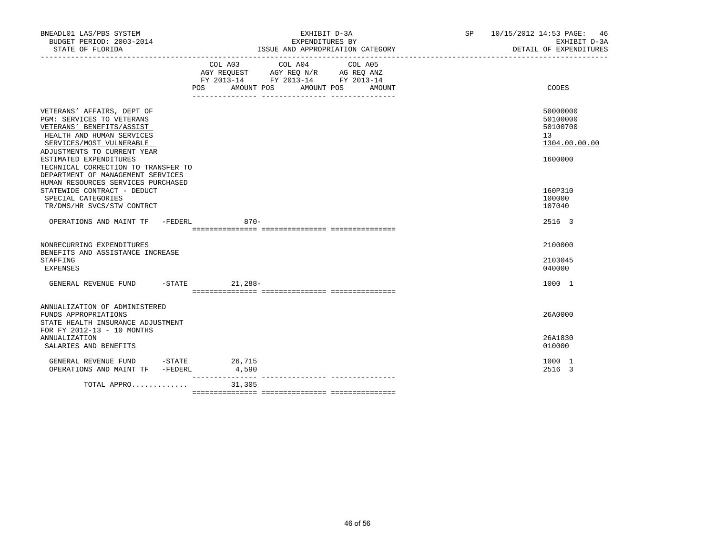| BNEADL01 LAS/PBS SYSTEM<br>BUDGET PERIOD: 2003-2014                                                                                                                                                                         | EXHIBIT D-3A<br>EXPENDITURES BY                                                                                                                                                                                                                                                                                                                           | SP 10/15/2012 14:53 PAGE: 46<br>EXHIBIT D-3A<br>DETAIL OF EXPENDITURES |
|-----------------------------------------------------------------------------------------------------------------------------------------------------------------------------------------------------------------------------|-----------------------------------------------------------------------------------------------------------------------------------------------------------------------------------------------------------------------------------------------------------------------------------------------------------------------------------------------------------|------------------------------------------------------------------------|
|                                                                                                                                                                                                                             | $\begin{tabular}{lllllllllll} &\multicolumn{4}{c}{\text{COL A03}} &\multicolumn{4}{c}{\text{COL A04}} &\multicolumn{4}{c}{\text{COL A05}} \\ \multicolumn{4}{c}{\text{AGY REQUEST}} &\multicolumn{4}{c}{\text{AGY REQ N/R}} &\multicolumn{4}{c}{\text{AG REQ ANZ}} \end{tabular}$<br>FY 2013-14 FY 2013-14 FY 2013-14<br>POS AMOUNT POS AMOUNT POS AMOUNT | CODES                                                                  |
| VETERANS' AFFAIRS, DEPT OF<br>PGM: SERVICES TO VETERANS<br>VETERANS' BENEFITS/ASSIST<br>HEALTH AND HUMAN SERVICES<br>SERVICES/MOST VULNERABLE<br>ADJUSTMENTS TO CURRENT YEAR                                                |                                                                                                                                                                                                                                                                                                                                                           | 50000000<br>50100000<br>50100700<br>13 <sup>°</sup><br>1304.00.00.00   |
| ESTIMATED EXPENDITURES<br>TECHNICAL CORRECTION TO TRANSFER TO<br>DEPARTMENT OF MANAGEMENT SERVICES<br>HUMAN RESOURCES SERVICES PURCHASED<br>STATEWIDE CONTRACT - DEDUCT<br>SPECIAL CATEGORIES<br>TR/DMS/HR SVCS/STW CONTRCT |                                                                                                                                                                                                                                                                                                                                                           | 1600000<br>160P310<br>100000<br>107040                                 |
| OPERATIONS AND MAINT TF -FEDERL                                                                                                                                                                                             | $870 -$                                                                                                                                                                                                                                                                                                                                                   | 2516 3                                                                 |
| NONRECURRING EXPENDITURES<br>BENEFITS AND ASSISTANCE INCREASE<br>STAFFING<br>EXPENSES                                                                                                                                       |                                                                                                                                                                                                                                                                                                                                                           | 2100000<br>2103045<br>040000                                           |
| GENERAL REVENUE FUND -STATE 21,288-                                                                                                                                                                                         |                                                                                                                                                                                                                                                                                                                                                           | 1000 1                                                                 |
| ANNUALIZATION OF ADMINISTERED<br>FUNDS APPROPRIATIONS<br>STATE HEALTH INSURANCE ADJUSTMENT<br>FOR FY 2012-13 - 10 MONTHS                                                                                                    |                                                                                                                                                                                                                                                                                                                                                           | 26A0000                                                                |
| <b>ANNUALIZATION</b><br>SALARIES AND BENEFITS                                                                                                                                                                               |                                                                                                                                                                                                                                                                                                                                                           | 26A1830<br>010000                                                      |
| GENERAL REVENUE FUND -STATE 26,715<br>OPERATIONS AND MAINT TF -FEDERL                                                                                                                                                       | 4,590                                                                                                                                                                                                                                                                                                                                                     | 1000 1<br>2516 3                                                       |
| $TOTAL$ APPRO 31,305                                                                                                                                                                                                        | ________________                                                                                                                                                                                                                                                                                                                                          |                                                                        |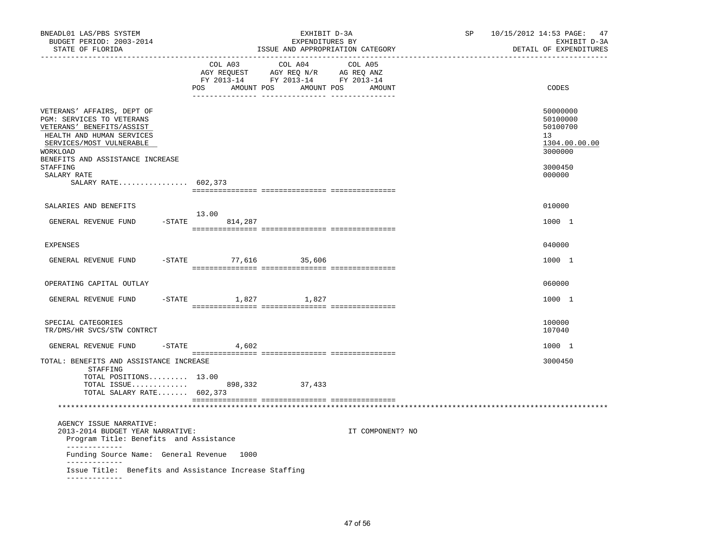| BNEADL01 LAS/PBS SYSTEM<br>BUDGET PERIOD: 2003-2014<br>STATE OF FLORIDA                                                                                                                                                                         |                             | EXHIBIT D-3A<br>EXPENDITURES BY<br>ISSUE AND APPROPRIATION CATEGORY                                                                                                                                                                                                                                            |                              | SP | 10/15/2012 14:53 PAGE: 47<br>EXHIBIT D-3A<br>DETAIL OF EXPENDITURES                     |
|-------------------------------------------------------------------------------------------------------------------------------------------------------------------------------------------------------------------------------------------------|-----------------------------|----------------------------------------------------------------------------------------------------------------------------------------------------------------------------------------------------------------------------------------------------------------------------------------------------------------|------------------------------|----|-----------------------------------------------------------------------------------------|
|                                                                                                                                                                                                                                                 | COL A03<br>POS AMOUNT POS   | COL A04<br>$\begin{array}{ccccccccc}\n\text{AGY REQUEST} & & \text{GUT} & \text{AGY REQ} & \text{N/R} & & \text{GCEQ} & \text{ANZ} \\ \text{AGY REQUEST} & & \text{AGY REQ} & & \text{N/R} & & \text{AG REQ} & \text{ANZ} \\ \text{FY} & 2013-14 & & \text{FY} & 2013-14 & & \text{FY} & 2013-14\n\end{array}$ | COL A05<br>AMOUNT POS AMOUNT |    | CODES                                                                                   |
| VETERANS' AFFAIRS, DEPT OF<br>PGM: SERVICES TO VETERANS<br>VETERANS' BENEFITS/ASSIST<br>HEALTH AND HUMAN SERVICES<br>SERVICES/MOST VULNERABLE<br>WORKLOAD<br>BENEFITS AND ASSISTANCE INCREASE<br>STAFFING<br>SALARY RATE<br>SALARY RATE 602,373 |                             |                                                                                                                                                                                                                                                                                                                |                              |    | 50000000<br>50100000<br>50100700<br>13<br>1304.00.00.00<br>3000000<br>3000450<br>000000 |
| SALARIES AND BENEFITS<br>GENERAL REVENUE FUND                                                                                                                                                                                                   | 13.00<br>$-$ STATE 814, 287 |                                                                                                                                                                                                                                                                                                                |                              |    | 010000<br>1000 1                                                                        |
| <b>EXPENSES</b>                                                                                                                                                                                                                                 |                             |                                                                                                                                                                                                                                                                                                                |                              |    | 040000                                                                                  |
| GENERAL REVENUE FUND                                                                                                                                                                                                                            | -STATE 77,616 35,606        |                                                                                                                                                                                                                                                                                                                |                              |    | 1000 1                                                                                  |
| OPERATING CAPITAL OUTLAY                                                                                                                                                                                                                        |                             |                                                                                                                                                                                                                                                                                                                |                              |    | 060000                                                                                  |
| GENERAL REVENUE FUND                                                                                                                                                                                                                            | -STATE 1,827 1,827          |                                                                                                                                                                                                                                                                                                                |                              |    | 1000 1                                                                                  |
| SPECIAL CATEGORIES<br>TR/DMS/HR SVCS/STW CONTRCT                                                                                                                                                                                                |                             |                                                                                                                                                                                                                                                                                                                |                              |    | 100000<br>107040                                                                        |
| GENERAL REVENUE FUND                                                                                                                                                                                                                            | $-$ STATE<br>4,602          |                                                                                                                                                                                                                                                                                                                |                              |    | 1000 1                                                                                  |
| TOTAL: BENEFITS AND ASSISTANCE INCREASE<br>STAFFING<br>TOTAL POSITIONS 13.00<br>TOTAL ISSUE<br>TOTAL SALARY RATE 602,373                                                                                                                        |                             | 898,332 37,433                                                                                                                                                                                                                                                                                                 |                              |    | 3000450                                                                                 |
| AGENCY ISSUE NARRATIVE:<br>2013-2014 BUDGET YEAR NARRATIVE:<br>Program Title: Benefits and Assistance<br>_____________                                                                                                                          |                             |                                                                                                                                                                                                                                                                                                                | IT COMPONENT? NO             |    |                                                                                         |
| Funding Source Name: General Revenue 1000                                                                                                                                                                                                       |                             |                                                                                                                                                                                                                                                                                                                |                              |    |                                                                                         |
| -------------<br>Issue Title: Benefits and Assistance Increase Staffing<br>-------------                                                                                                                                                        |                             |                                                                                                                                                                                                                                                                                                                |                              |    |                                                                                         |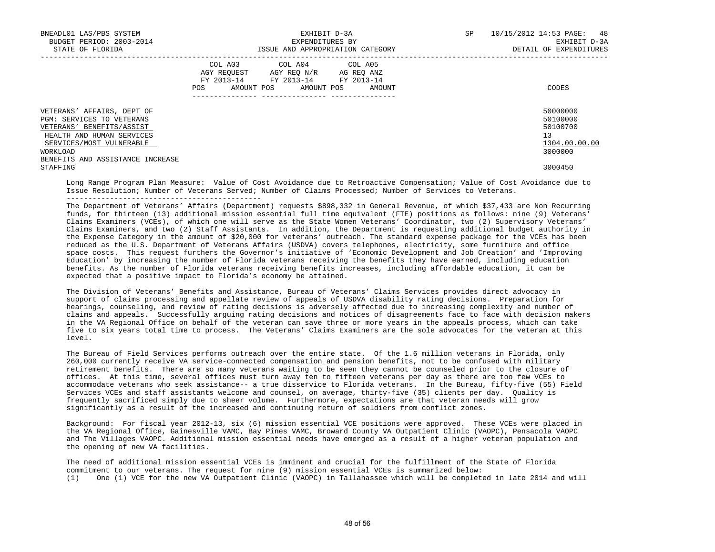| BNEADL01 LAS/PBS SYSTEM<br>BUDGET PERIOD: 2003-2014<br>STATE OF FLORIDA                                                                                                                       |            | EXPENDITURES BY                                                                                                            | EXHIBIT D-3A<br>ISSUE AND APPROPRIATION CATEGORY | SP | 10/15/2012 14:53 PAGE: 48<br>EXHIBIT D-3A<br>DETAIL OF EXPENDITURES |
|-----------------------------------------------------------------------------------------------------------------------------------------------------------------------------------------------|------------|----------------------------------------------------------------------------------------------------------------------------|--------------------------------------------------|----|---------------------------------------------------------------------|
|                                                                                                                                                                                               | <b>POS</b> | COL A03 COL A04 COL A05<br>AGY REOUEST AGY REO N/R AG REO ANZ<br>FY 2013-14 FY 2013-14 FY 2013-14<br>AMOUNT POS AMOUNT POS | AMOUNT                                           |    | CODES                                                               |
| VETERANS' AFFAIRS, DEPT OF<br>PGM: SERVICES TO VETERANS<br>VETERANS' BENEFITS/ASSIST<br>HEALTH AND HUMAN SERVICES<br>SERVICES/MOST VULNERABLE<br>WORKLOAD<br>BENEFITS AND ASSISTANCE INCREASE |            |                                                                                                                            |                                                  |    | 50000000<br>50100000<br>50100700<br>13<br>1304.00.00.00<br>3000000  |
| STAFFING                                                                                                                                                                                      |            |                                                                                                                            |                                                  |    | 3000450                                                             |

 Long Range Program Plan Measure: Value of Cost Avoidance due to Retroactive Compensation; Value of Cost Avoidance due to Issue Resolution; Number of Veterans Served; Number of Claims Processed; Number of Services to Veterans.

 The Department of Veterans' Affairs (Department) requests \$898,332 in General Revenue, of which \$37,433 are Non Recurring funds, for thirteen (13) additional mission essential full time equivalent (FTE) positions as follows: nine (9) Veterans' Claims Examiners (VCEs), of which one will serve as the State Women Veterans' Coordinator, two (2) Supervisory Veterans' Claims Examiners, and two (2) Staff Assistants. In addition, the Department is requesting additional budget authority in the Expense Category in the amount of \$20,000 for veterans' outreach. The standard expense package for the VCEs has been reduced as the U.S. Department of Veterans Affairs (USDVA) covers telephones, electricity, some furniture and office space costs. This request furthers the Governor's initiative of 'Economic Development and Job Creation' and 'Improving Education' by increasing the number of Florida veterans receiving the benefits they have earned, including education benefits. As the number of Florida veterans receiving benefits increases, including affordable education, it can be expected that a positive impact to Florida's economy be attained.

 The Division of Veterans' Benefits and Assistance, Bureau of Veterans' Claims Services provides direct advocacy in support of claims processing and appellate review of appeals of USDVA disability rating decisions. Preparation for hearings, counseling, and review of rating decisions is adversely affected due to increasing complexity and number of claims and appeals. Successfully arguing rating decisions and notices of disagreements face to face with decision makers in the VA Regional Office on behalf of the veteran can save three or more years in the appeals process, which can take five to six years total time to process. The Veterans' Claims Examiners are the sole advocates for the veteran at this level.

 The Bureau of Field Services performs outreach over the entire state. Of the 1.6 million veterans in Florida, only 260,000 currently receive VA service-connected compensation and pension benefits, not to be confused with military retirement benefits. There are so many veterans waiting to be seen they cannot be counseled prior to the closure of offices. At this time, several offices must turn away ten to fifteen veterans per day as there are too few VCEs to accommodate veterans who seek assistance-- a true disservice to Florida veterans. In the Bureau, fifty-five (55) Field Services VCEs and staff assistants welcome and counsel, on average, thirty-five (35) clients per day. Quality is frequently sacrificed simply due to sheer volume. Furthermore, expectations are that veteran needs will grow significantly as a result of the increased and continuing return of soldiers from conflict zones.

 Background: For fiscal year 2012-13, six (6) mission essential VCE positions were approved. These VCEs were placed in the VA Regional Office, Gainesville VAMC, Bay Pines VAMC, Broward County VA Outpatient Clinic (VAOPC), Pensacola VAOPC and The Villages VAOPC. Additional mission essential needs have emerged as a result of a higher veteran population and the opening of new VA facilities.

 The need of additional mission essential VCEs is imminent and crucial for the fulfillment of the State of Florida commitment to our veterans. The request for nine (9) mission essential VCEs is summarized below: (1) One (1) VCE for the new VA Outpatient Clinic (VAOPC) in Tallahassee which will be completed in late 2014 and will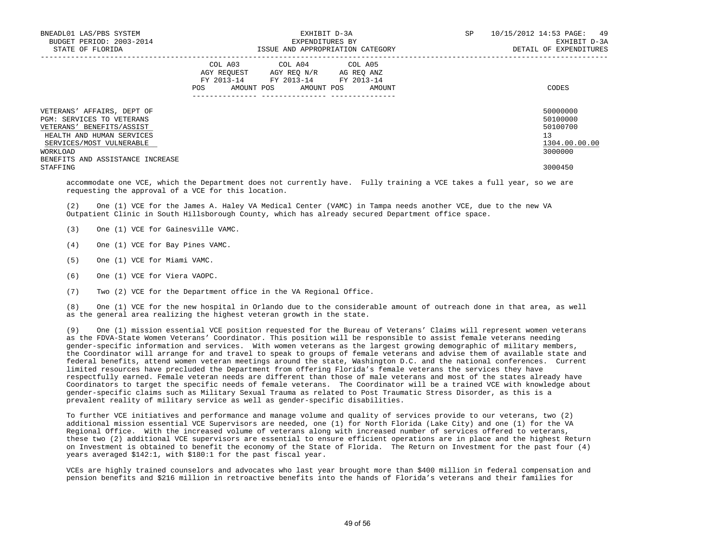| BNEADL01 LAS/PBS SYSTEM<br>BUDGET PERIOD: 2003-2014<br>STATE OF FLORIDA                                                                                                                       | EXHIBIT D-3A<br>EXPENDITURES BY<br>ISSUE AND APPROPRIATION CATEGORY                                                                         | 10/15/2012 14:53 PAGE: 49<br>SP<br>EXHIBIT D-3A<br>DETAIL OF EXPENDITURES |
|-----------------------------------------------------------------------------------------------------------------------------------------------------------------------------------------------|---------------------------------------------------------------------------------------------------------------------------------------------|---------------------------------------------------------------------------|
|                                                                                                                                                                                               | COL A03 COL A04 COL A05<br>AGY REQUEST AGY REO N/R AG REO ANZ<br>FY 2013-14 FY 2013-14 FY 2013-14<br>AMOUNT POS AMOUNT POS<br>AMOUNT<br>POS | CODES                                                                     |
| VETERANS' AFFAIRS, DEPT OF<br>PGM: SERVICES TO VETERANS<br>VETERANS' BENEFITS/ASSIST<br>HEALTH AND HUMAN SERVICES<br>SERVICES/MOST VULNERABLE<br>WORKLOAD<br>BENEFITS AND ASSISTANCE INCREASE |                                                                                                                                             | 50000000<br>50100000<br>50100700<br>13<br>1304.00.00.00<br>3000000        |
| STAFFING                                                                                                                                                                                      |                                                                                                                                             | 3000450                                                                   |

 accommodate one VCE, which the Department does not currently have. Fully training a VCE takes a full year, so we are requesting the approval of a VCE for this location.

 (2) One (1) VCE for the James A. Haley VA Medical Center (VAMC) in Tampa needs another VCE, due to the new VA Outpatient Clinic in South Hillsborough County, which has already secured Department office space.

- (3) One (1) VCE for Gainesville VAMC.
- (4) One (1) VCE for Bay Pines VAMC.
- (5) One (1) VCE for Miami VAMC.
- (6) One (1) VCE for Viera VAOPC.
- (7) Two (2) VCE for the Department office in the VA Regional Office.

 (8) One (1) VCE for the new hospital in Orlando due to the considerable amount of outreach done in that area, as well as the general area realizing the highest veteran growth in the state.

 (9) One (1) mission essential VCE position requested for the Bureau of Veterans' Claims will represent women veterans as the FDVA-State Women Veterans' Coordinator. This position will be responsible to assist female veterans needing gender-specific information and services. With women veterans as the largest growing demographic of military members, the Coordinator will arrange for and travel to speak to groups of female veterans and advise them of available state and federal benefits, attend women veteran meetings around the state, Washington D.C. and the national conferences. Current limited resources have precluded the Department from offering Florida's female veterans the services they have respectfully earned. Female veteran needs are different than those of male veterans and most of the states already have Coordinators to target the specific needs of female veterans. The Coordinator will be a trained VCE with knowledge about gender-specific claims such as Military Sexual Trauma as related to Post Traumatic Stress Disorder, as this is a prevalent reality of military service as well as gender-specific disabilities.

 To further VCE initiatives and performance and manage volume and quality of services provide to our veterans, two (2) additional mission essential VCE Supervisors are needed, one (1) for North Florida (Lake City) and one (1) for the VA Regional Office. With the increased volume of veterans along with increased number of services offered to veterans, these two (2) additional VCE supervisors are essential to ensure efficient operations are in place and the highest Return on Investment is obtained to benefit the economy of the State of Florida. The Return on Investment for the past four (4) years averaged \$142:1, with \$180:1 for the past fiscal year.

 VCEs are highly trained counselors and advocates who last year brought more than \$400 million in federal compensation and pension benefits and \$216 million in retroactive benefits into the hands of Florida's veterans and their families for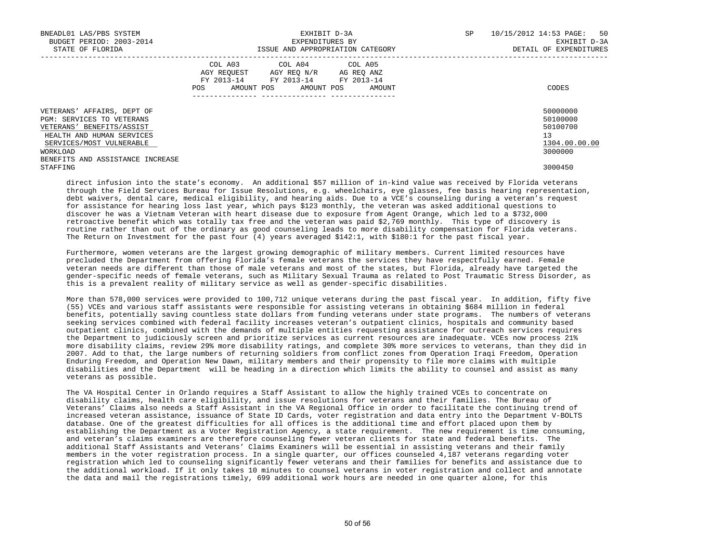| BNEADL01 LAS/PBS SYSTEM<br>BUDGET PERIOD: 2003-2014<br>STATE OF FLORIDA | EXHIBIT D-3A<br>EXPENDITURES BY<br>ISSUE AND APPROPRIATION CATEGORY                                                                               | SP<br>10/15/2012 14:53 PAGE: 50<br>EXHIBIT D-3A<br>DETAIL OF EXPENDITURES |
|-------------------------------------------------------------------------|---------------------------------------------------------------------------------------------------------------------------------------------------|---------------------------------------------------------------------------|
|                                                                         | COL A03 COL A04 COL A05<br>AGY REOUEST<br>AGY REO N/R AG REO ANZ<br>FY 2013-14 FY 2013-14 FY 2013-14<br>AMOUNT POS<br>AMOUNT POS<br>AMOUNT<br>POS | CODES                                                                     |
| VETERANS' AFFAIRS, DEPT OF<br>PGM: SERVICES TO VETERANS                 |                                                                                                                                                   | 50000000<br>50100000                                                      |
| VETERANS' BENEFITS/ASSIST                                               |                                                                                                                                                   | 50100700                                                                  |
| HEALTH AND HUMAN SERVICES                                               |                                                                                                                                                   | 13                                                                        |
| SERVICES/MOST VULNERABLE                                                |                                                                                                                                                   | 1304.00.00.00                                                             |
| WORKLOAD                                                                |                                                                                                                                                   | 3000000                                                                   |
| BENEFITS AND ASSISTANCE INCREASE                                        |                                                                                                                                                   |                                                                           |
| STAFFING                                                                |                                                                                                                                                   | 3000450                                                                   |

 direct infusion into the state's economy. An additional \$57 million of in-kind value was received by Florida veterans through the Field Services Bureau for Issue Resolutions, e.g. wheelchairs, eye glasses, fee basis hearing representation, debt waivers, dental care, medical eligibility, and hearing aids. Due to a VCE's counseling during a veteran's request for assistance for hearing loss last year, which pays \$123 monthly, the veteran was asked additional questions to discover he was a Vietnam Veteran with heart disease due to exposure from Agent Orange, which led to a \$732,000 retroactive benefit which was totally tax free and the veteran was paid \$2,769 monthly. This type of discovery is routine rather than out of the ordinary as good counseling leads to more disability compensation for Florida veterans. The Return on Investment for the past four (4) years averaged \$142:1, with \$180:1 for the past fiscal year.

 Furthermore, women veterans are the largest growing demographic of military members. Current limited resources have precluded the Department from offering Florida's female veterans the services they have respectfully earned. Female veteran needs are different than those of male veterans and most of the states, but Florida, already have targeted the gender-specific needs of female veterans, such as Military Sexual Trauma as related to Post Traumatic Stress Disorder, as this is a prevalent reality of military service as well as gender-specific disabilities.

 More than 578,000 services were provided to 100,712 unique veterans during the past fiscal year. In addition, fifty five (55) VCEs and various staff assistants were responsible for assisting veterans in obtaining \$684 million in federal benefits, potentially saving countless state dollars from funding veterans under state programs. The numbers of veterans seeking services combined with federal facility increases veteran's outpatient clinics, hospitals and community based outpatient clinics, combined with the demands of multiple entities requesting assistance for outreach services requires the Department to judiciously screen and prioritize services as current resources are inadequate. VCEs now process 21% more disability claims, review 29% more disability ratings, and complete 30% more services to veterans, than they did in 2007. Add to that, the large numbers of returning soldiers from conflict zones from Operation Iraqi Freedom, Operation Enduring Freedom, and Operation New Dawn, military members and their propensity to file more claims with multiple disabilities and the Department will be heading in a direction which limits the ability to counsel and assist as many veterans as possible.

 The VA Hospital Center in Orlando requires a Staff Assistant to allow the highly trained VCEs to concentrate on disability claims, health care eligibility, and issue resolutions for veterans and their families. The Bureau of Veterans' Claims also needs a Staff Assistant in the VA Regional Office in order to facilitate the continuing trend of increased veteran assistance, issuance of State ID Cards, voter registration and data entry into the Department V-BOLTS database. One of the greatest difficulties for all offices is the additional time and effort placed upon them by establishing the Department as a Voter Registration Agency, a state requirement. The new requirement is time consuming, and veteran's claims examiners are therefore counseling fewer veteran clients for state and federal benefits. The additional Staff Assistants and Veterans' Claims Examiners will be essential in assisting veterans and their family members in the voter registration process. In a single quarter, our offices counseled 4,187 veterans regarding voter registration which led to counseling significantly fewer veterans and their families for benefits and assistance due to the additional workload. If it only takes 10 minutes to counsel veterans in voter registration and collect and annotate the data and mail the registrations timely, 699 additional work hours are needed in one quarter alone, for this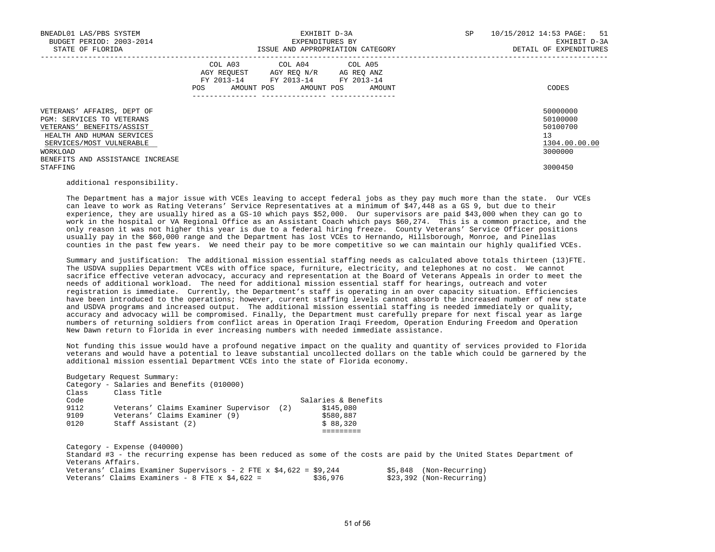| BNEADL01 LAS/PBS SYSTEM<br>BUDGET PERIOD: 2003-2014<br>STATE OF FLORIDA                                                                                                                       | EXHIBIT D-3A<br>EXPENDITURES BY<br>ISSUE AND APPROPRIATION CATEGORY                                                                                                                                                                                 | SP<br>10/15/2012 14:53 PAGE: 51<br>EXHIBIT D-3A<br>DETAIL OF EXPENDITURES |
|-----------------------------------------------------------------------------------------------------------------------------------------------------------------------------------------------|-----------------------------------------------------------------------------------------------------------------------------------------------------------------------------------------------------------------------------------------------------|---------------------------------------------------------------------------|
|                                                                                                                                                                                               | COL A03 COL A04 COL A05<br>AGY REOUEST AGY REO N/R AG REO ANZ<br>FY 2013-14 FY 2013-14 FY 2013-14<br>AMOUNT POS AMOUNT POS AMOUNT<br>POS FOR THE POST OF THE STATE STATE STATE STATE STATE STATE STATE STATE STATE STATE STATE STATE STATE STATE ST | CODES                                                                     |
| VETERANS' AFFAIRS, DEPT OF<br>PGM: SERVICES TO VETERANS<br>VETERANS' BENEFITS/ASSIST<br>HEALTH AND HUMAN SERVICES<br>SERVICES/MOST VULNERABLE<br>WORKLOAD<br>BENEFITS AND ASSISTANCE INCREASE |                                                                                                                                                                                                                                                     | 50000000<br>50100000<br>50100700<br>13<br>1304.00.00.00<br>3000000        |
| STAFFING                                                                                                                                                                                      |                                                                                                                                                                                                                                                     | 3000450                                                                   |

## additional responsibility.

Budgetary Request Summary:

 The Department has a major issue with VCEs leaving to accept federal jobs as they pay much more than the state. Our VCEs can leave to work as Rating Veterans' Service Representatives at a minimum of \$47,448 as a GS 9, but due to their experience, they are usually hired as a GS-10 which pays \$52,000. Our supervisors are paid \$43,000 when they can go to work in the hospital or VA Regional Office as an Assistant Coach which pays \$60,274. This is a common practice, and the only reason it was not higher this year is due to a federal hiring freeze. County Veterans' Service Officer positions usually pay in the \$60,000 range and the Department has lost VCEs to Hernando, Hillsborough, Monroe, and Pinellas counties in the past few years. We need their pay to be more competitive so we can maintain our highly qualified VCEs.

 Summary and justification: The additional mission essential staffing needs as calculated above totals thirteen (13)FTE. The USDVA supplies Department VCEs with office space, furniture, electricity, and telephones at no cost. We cannot sacrifice effective veteran advocacy, accuracy and representation at the Board of Veterans Appeals in order to meet the needs of additional workload. The need for additional mission essential staff for hearings, outreach and voter registration is immediate. Currently, the Department's staff is operating in an over capacity situation. Efficiencies have been introduced to the operations; however, current staffing levels cannot absorb the increased number of new state and USDVA programs and increased output. The additional mission essential staffing is needed immediately or quality, accuracy and advocacy will be compromised. Finally, the Department must carefully prepare for next fiscal year as large numbers of returning soldiers from conflict areas in Operation Iraqi Freedom, Operation Enduring Freedom and Operation New Dawn return to Florida in ever increasing numbers with needed immediate assistance.

 Not funding this issue would have a profound negative impact on the quality and quantity of services provided to Florida veterans and would have a potential to leave substantial uncollected dollars on the table which could be garnered by the additional mission essential Department VCEs into the state of Florida economy.

| Class<br>Code | Class Title                                 | Salaries & Benefits |  |
|---------------|---------------------------------------------|---------------------|--|
| 9112          | Veterans' Claims Examiner Supervisor<br>(2) | \$145,080           |  |
| 9109          | Veterans' Claims Examiner (9)               | \$580,887           |  |
| 0120          | Staff Assistant (2)                         | \$88,320            |  |
|               |                                             |                     |  |

|  | Veterans' Claims Examiner Supervisors - 2 FTE x $$4,622 = $9,244$ |          | \$5,848 (Non-Recurring)  |
|--|-------------------------------------------------------------------|----------|--------------------------|
|  | Veterans' Claims Examiners - 8 FTE x $$4.622$ =                   | \$36,976 | \$23,392 (Non-Recurring) |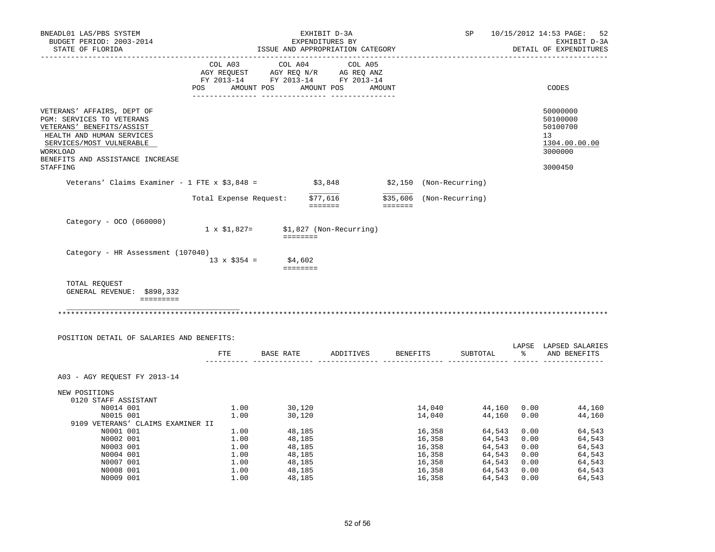| BNEADL01 LAS/PBS SYSTEM<br>BUDGET PERIOD: 2003-2014<br>STATE OF FLORIDA                                                                                                                                   |                        |                                                                           | EXHIBIT D-3A<br>EXPENDITURES BY | ISSUE AND APPROPRIATION CATEGORY                | SP                           |             | 10/15/2012 14:53 PAGE:<br>52<br>EXHIBIT D-3A<br>DETAIL OF EXPENDITURES        |
|-----------------------------------------------------------------------------------------------------------------------------------------------------------------------------------------------------------|------------------------|---------------------------------------------------------------------------|---------------------------------|-------------------------------------------------|------------------------------|-------------|-------------------------------------------------------------------------------|
|                                                                                                                                                                                                           | COL A03                | COL A04                                                                   | COL A05                         |                                                 |                              |             |                                                                               |
|                                                                                                                                                                                                           |                        | CO AGY REQUEST AGY REQ N/R AG REQ ANZ<br>FY 2013-14 FY 2013-14 FY 2013-14 |                                 |                                                 |                              |             |                                                                               |
|                                                                                                                                                                                                           |                        |                                                                           |                                 |                                                 |                              |             |                                                                               |
|                                                                                                                                                                                                           |                        | POS AMOUNT POS AMOUNT POS AMOUNT                                          |                                 |                                                 |                              |             | CODES                                                                         |
| VETERANS' AFFAIRS, DEPT OF<br>PGM: SERVICES TO VETERANS<br>VETERANS' BENEFITS/ASSIST<br>HEALTH AND HUMAN SERVICES<br>SERVICES/MOST VULNERABLE<br>WORKLOAD<br>BENEFITS AND ASSISTANCE INCREASE<br>STAFFING |                        |                                                                           |                                 |                                                 |                              |             | 50000000<br>50100000<br>50100700<br>13<br>1304.00.00.00<br>3000000<br>3000450 |
|                                                                                                                                                                                                           |                        |                                                                           |                                 |                                                 |                              |             |                                                                               |
| Veterans' Claims Examiner - 1 FTE x $$3,848 =$                                                                                                                                                            |                        |                                                                           |                                 | $$3,848$ $$2,150$ (Non-Recurring)               |                              |             |                                                                               |
|                                                                                                                                                                                                           | Total Expense Request: |                                                                           | \$77,616<br>eeeeee -            | \$35,606 (Non-Recurring)<br>$=$ = = = = = = $=$ |                              |             |                                                                               |
| Category - OCO (060000)                                                                                                                                                                                   |                        | $1 \times $1,827 = $1,827$ (Non-Recurring)<br><b>ESSESSE</b>              |                                 |                                                 |                              |             |                                                                               |
| Category - HR Assessment (107040)                                                                                                                                                                         |                        | $13 \times $354 = $4,602$<br>$=$ = = = = = = =                            |                                 |                                                 |                              |             |                                                                               |
| TOTAL REQUEST<br>GENERAL REVENUE: \$898,332<br>=========                                                                                                                                                  |                        |                                                                           |                                 |                                                 |                              |             |                                                                               |
| POSITION DETAIL OF SALARIES AND BENEFITS:                                                                                                                                                                 |                        |                                                                           |                                 | FTE BASE RATE ADDITIVES BENEFITS                | SUBTOTAL                     |             | LAPSE LAPSED SALARIES<br>% AND BENEFITS                                       |
| A03 - AGY REQUEST FY 2013-14                                                                                                                                                                              |                        |                                                                           |                                 |                                                 |                              |             |                                                                               |
| NEW POSITIONS<br>0120 STAFF ASSISTANT                                                                                                                                                                     |                        |                                                                           |                                 |                                                 |                              |             |                                                                               |
| N0014 001                                                                                                                                                                                                 | 1.00                   | 30,120                                                                    |                                 |                                                 | 14,040 44,160 0.00           |             | 44,160                                                                        |
| N0015 001<br>9109 VETERANS' CLAIMS EXAMINER II                                                                                                                                                            | 1.00                   | 30,120                                                                    |                                 |                                                 | 14,040 44,160 0.00           |             | 44,160                                                                        |
| N0001 001                                                                                                                                                                                                 | 1.00                   | 48,185                                                                    |                                 | 16,358                                          | 64,543                       | 0.00        | 64,543                                                                        |
| N0002 001                                                                                                                                                                                                 | 1.00                   | 48,185                                                                    |                                 | 16,358                                          | 64,543                       | 0.00        | 64,543                                                                        |
| N0003 001                                                                                                                                                                                                 | 1.00                   | 48,185                                                                    |                                 | 16,358                                          | 64,543                       | 0.00        | 64,543                                                                        |
| N0004 001                                                                                                                                                                                                 | 1.00                   | 48,185                                                                    |                                 | 16,358                                          | 64,543                       | 0.00        | 64,543                                                                        |
| N0007 001                                                                                                                                                                                                 | 1.00                   | 48,185                                                                    |                                 | 16,358                                          |                              | 64,543 0.00 | 64,543                                                                        |
|                                                                                                                                                                                                           |                        |                                                                           |                                 |                                                 |                              |             |                                                                               |
| N0008 001                                                                                                                                                                                                 | 1.00                   | 48,185                                                                    |                                 | 16,358                                          | 64,543 0.00<br>$64,543$ 0.00 |             | 64,543                                                                        |
| N0009 001                                                                                                                                                                                                 | 1.00                   | 48,185                                                                    |                                 | 16,358                                          |                              |             | 64,543                                                                        |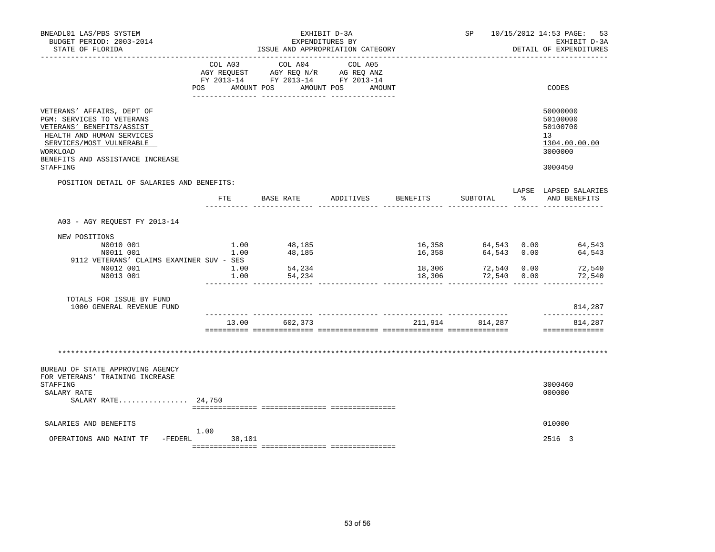| BNEADL01 LAS/PBS SYSTEM<br>BUDGET PERIOD: 2003-2014<br>STATE OF FLORIDA                                                                                                                       |                | ISSUE AND APPROPRIATION CATEGORY                                                                                                      | EXHIBIT D-3A<br>EXPENDITURES BY |                  |                 | SP 10/15/2012 14:53 PAGE: 53<br>EXHIBIT D-3A<br>DETAIL OF EXPENDITURES |
|-----------------------------------------------------------------------------------------------------------------------------------------------------------------------------------------------|----------------|---------------------------------------------------------------------------------------------------------------------------------------|---------------------------------|------------------|-----------------|------------------------------------------------------------------------|
|                                                                                                                                                                                               |                | COL A03 COL A04 COL A05<br>AGY REQUEST AGY REQ N/R AG REQ ANZ<br>FY 2013-14 FY 2013-14 FY 2013-14<br>POS AMOUNT POS AMOUNT POS AMOUNT |                                 |                  |                 | CODES                                                                  |
| VETERANS' AFFAIRS, DEPT OF<br>PGM: SERVICES TO VETERANS<br>VETERANS' BENEFITS/ASSIST<br>HEALTH AND HUMAN SERVICES<br>SERVICES/MOST VULNERABLE<br>WORKLOAD<br>BENEFITS AND ASSISTANCE INCREASE |                |                                                                                                                                       |                                 |                  |                 | 50000000<br>50100000<br>50100700<br>13<br>1304.00.00.00<br>3000000     |
| STAFFING                                                                                                                                                                                      |                |                                                                                                                                       |                                 |                  |                 | 3000450                                                                |
| POSITION DETAIL OF SALARIES AND BENEFITS:                                                                                                                                                     |                | FTE BASE RATE ADDITIVES                                                                                                               |                                 | BENEFITS         | SUBTOTAL        | LAPSE LAPSED SALARIES<br>% AND BENEFITS                                |
| A03 - AGY REOUEST FY 2013-14                                                                                                                                                                  |                |                                                                                                                                       |                                 |                  |                 |                                                                        |
| NEW POSITIONS<br>N0010 001<br>N0011 001                                                                                                                                                       | 1.00           | $1.00$ 48,185<br>48,185                                                                                                               |                                 | 16,358           | 64,543 0.00     | 16,358 64,543 0.00 64,543<br>64,543                                    |
| 9112 VETERANS' CLAIMS EXAMINER SUV - SES<br>N0012 001<br>N0013 001                                                                                                                            | 1.00<br>1.00   | 54,234<br>54,234                                                                                                                      |                                 | 18,306<br>18,306 | 72,540 0.00     | 72,540 0.00 72,540<br>72,540                                           |
| TOTALS FOR ISSUE BY FUND<br>1000 GENERAL REVENUE FUND                                                                                                                                         |                |                                                                                                                                       |                                 |                  |                 | 814,287                                                                |
|                                                                                                                                                                                               |                | 13.00 602,373                                                                                                                         |                                 |                  | 211,914 814,287 | --------------<br>814,287<br>==============                            |
|                                                                                                                                                                                               |                |                                                                                                                                       |                                 |                  |                 |                                                                        |
| BUREAU OF STATE APPROVING AGENCY<br>FOR VETERANS' TRAINING INCREASE<br>STAFFING                                                                                                               |                |                                                                                                                                       |                                 |                  |                 | 3000460                                                                |
| SALARY RATE<br>SALARY RATE 24,750                                                                                                                                                             |                |                                                                                                                                       |                                 |                  |                 | 000000                                                                 |
| SALARIES AND BENEFITS                                                                                                                                                                         |                |                                                                                                                                       |                                 |                  |                 | 010000                                                                 |
| OPERATIONS AND MAINT TF -FEDERL                                                                                                                                                               | 1.00<br>38,101 |                                                                                                                                       |                                 |                  |                 | 2516 3                                                                 |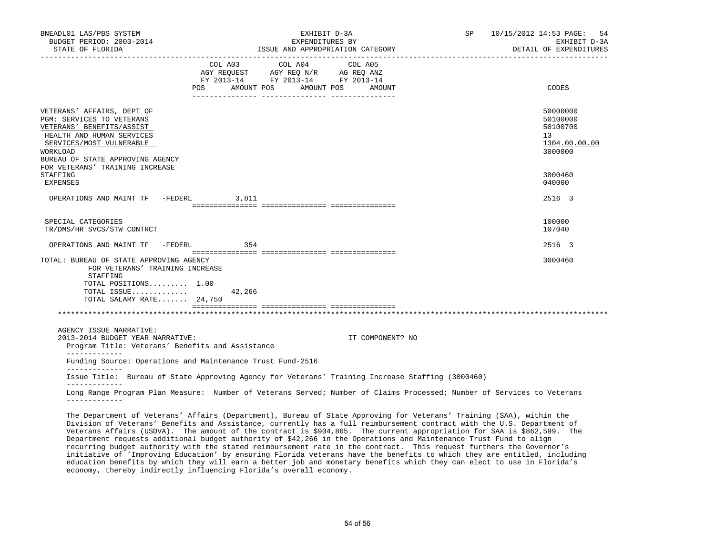| BNEADL01 LAS/PBS SYSTEM<br>BUDGET PERIOD: 2003-2014<br>STATE OF FLORIDA                                                                                                                       | EXHIBIT D-3A<br>EXPENDITURES BY<br>ISSUE AND APPROPRIATION CATEGORY |                                                                                                                            |  | SP               | 10/15/2012 14:53 PAGE: 54<br>EXHIBIT D-3A<br>DETAIL OF EXPENDITURES |                                                                    |
|-----------------------------------------------------------------------------------------------------------------------------------------------------------------------------------------------|---------------------------------------------------------------------|----------------------------------------------------------------------------------------------------------------------------|--|------------------|---------------------------------------------------------------------|--------------------------------------------------------------------|
|                                                                                                                                                                                               | POS                                                                 | COL A03 COL A04 COL A05<br>AGY REQUEST AGY REQ N/R AG REQ ANZ<br>FY 2013-14 FY 2013-14 FY 2013-14<br>AMOUNT POS AMOUNT POS |  | AMOUNT           |                                                                     | CODES                                                              |
| VETERANS' AFFAIRS, DEPT OF<br>PGM: SERVICES TO VETERANS<br>VETERANS' BENEFITS/ASSIST<br>HEALTH AND HUMAN SERVICES<br>SERVICES/MOST VULNERABLE<br>WORKLOAD<br>BUREAU OF STATE APPROVING AGENCY |                                                                     |                                                                                                                            |  |                  |                                                                     | 50000000<br>50100000<br>50100700<br>13<br>1304.00.00.00<br>3000000 |
| FOR VETERANS' TRAINING INCREASE<br>STAFFING<br>EXPENSES                                                                                                                                       |                                                                     |                                                                                                                            |  |                  |                                                                     | 3000460<br>040000                                                  |
| OPERATIONS AND MAINT TF -FEDERL                                                                                                                                                               |                                                                     | 3,811                                                                                                                      |  |                  |                                                                     | 2516 3                                                             |
| SPECIAL CATEGORIES<br>TR/DMS/HR SVCS/STW CONTRCT                                                                                                                                              |                                                                     |                                                                                                                            |  |                  |                                                                     | 100000<br>107040                                                   |
| OPERATIONS AND MAINT TF -FEDERL                                                                                                                                                               |                                                                     | 354                                                                                                                        |  |                  |                                                                     | 2516 3                                                             |
| TOTAL: BUREAU OF STATE APPROVING AGENCY<br>FOR VETERANS' TRAINING INCREASE<br>STAFFING<br>TOTAL POSITIONS 1.00<br>TOTAL ISSUE $42,266$<br>TOTAL SALARY RATE 24,750                            |                                                                     |                                                                                                                            |  |                  |                                                                     | 3000460                                                            |
|                                                                                                                                                                                               |                                                                     |                                                                                                                            |  |                  |                                                                     |                                                                    |
| AGENCY ISSUE NARRATIVE:<br>2013-2014 BUDGET YEAR NARRATIVE:<br>Program Title: Veterans' Benefits and Assistance<br>-------------                                                              |                                                                     |                                                                                                                            |  | IT COMPONENT? NO |                                                                     |                                                                    |
| Funding Source: Operations and Maintenance Trust Fund-2516<br>_____________                                                                                                                   |                                                                     |                                                                                                                            |  |                  |                                                                     |                                                                    |
| Issue Title: Bureau of State Approving Agency for Veterans' Training Increase Staffing (3000460)                                                                                              |                                                                     |                                                                                                                            |  |                  |                                                                     |                                                                    |
| Long Range Program Plan Measure: Number of Veterans Served; Number of Claims Processed; Number of Services to Veterans<br>_____________                                                       |                                                                     |                                                                                                                            |  |                  |                                                                     |                                                                    |
| Ma Department of Hebenemal Lotaling (Department), Duicel of Obels Lunieilus for Hebenemal Muslimber (011), within the                                                                         |                                                                     |                                                                                                                            |  |                  |                                                                     |                                                                    |

 The Department of Veterans' Affairs (Department), Bureau of State Approving for Veterans' Training (SAA), within the Division of Veterans' Benefits and Assistance, currently has a full reimbursement contract with the U.S. Department of Veterans Affairs (USDVA). The amount of the contract is \$904,865. The current appropriation for SAA is \$862,599. The Department requests additional budget authority of \$42,266 in the Operations and Maintenance Trust Fund to align recurring budget authority with the stated reimbursement rate in the contract. This request furthers the Governor's initiative of 'Improving Education' by ensuring Florida veterans have the benefits to which they are entitled, including education benefits by which they will earn a better job and monetary benefits which they can elect to use in Florida's economy, thereby indirectly influencing Florida's overall economy.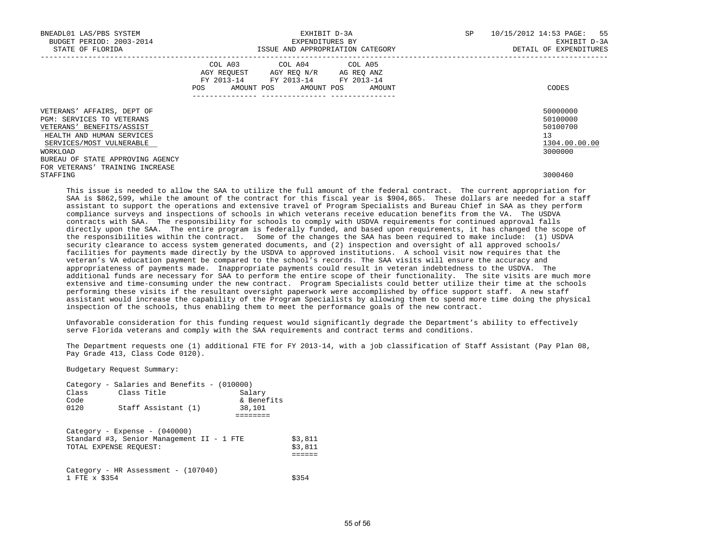| BNEADL01 LAS/PBS SYSTEM<br>BUDGET PERIOD: 2003-2014<br>STATE OF FLORIDA                                                                       |     | ISSUE AND APPROPRIATION CATEGORY                                                                                           | EXHIBIT D-3A<br>EXPENDITURES BY |        | SP | 10/15/2012 14:53 PAGE: 55<br>EXHIBIT D-3A<br>DETAIL OF EXPENDITURES |
|-----------------------------------------------------------------------------------------------------------------------------------------------|-----|----------------------------------------------------------------------------------------------------------------------------|---------------------------------|--------|----|---------------------------------------------------------------------|
|                                                                                                                                               | POS | COL A03 COL A04 COL A05<br>AGY REQUEST AGY REQ N/R AG REQ ANZ<br>FY 2013-14 FY 2013-14 FY 2013-14<br>AMOUNT POS AMOUNT POS |                                 | AMOUNT |    | CODES                                                               |
| VETERANS' AFFAIRS, DEPT OF<br>PGM: SERVICES TO VETERANS<br>VETERANS' BENEFITS/ASSIST<br>HEALTH AND HUMAN SERVICES<br>SERVICES/MOST VULNERABLE |     |                                                                                                                            |                                 |        |    | 50000000<br>50100000<br>50100700<br>13<br>1304.00.00.00             |
| WORKLOAD<br>BUREAU OF STATE APPROVING AGENCY<br>FOR VETERANS' TRAINING INCREASE                                                               |     |                                                                                                                            |                                 |        |    | 3000000                                                             |
| STAFFING                                                                                                                                      |     |                                                                                                                            |                                 |        |    | 3000460                                                             |

 This issue is needed to allow the SAA to utilize the full amount of the federal contract. The current appropriation for SAA is \$862,599, while the amount of the contract for this fiscal year is \$904,865. These dollars are needed for a staff assistant to support the operations and extensive travel of Program Specialists and Bureau Chief in SAA as they perform compliance surveys and inspections of schools in which veterans receive education benefits from the VA. The USDVA contracts with SAA. The responsibility for schools to comply with USDVA requirements for continued approval falls directly upon the SAA. The entire program is federally funded, and based upon requirements, it has changed the scope of the responsibilities within the contract. Some of the changes the SAA has been required to make include: (1) USDVA security clearance to access system generated documents, and (2) inspection and oversight of all approved schools/ facilities for payments made directly by the USDVA to approved institutions. A school visit now requires that the veteran's VA education payment be compared to the school's records. The SAA visits will ensure the accuracy and appropriateness of payments made. Inappropriate payments could result in veteran indebtedness to the USDVA. The additional funds are necessary for SAA to perform the entire scope of their functionality. The site visits are much more extensive and time-consuming under the new contract. Program Specialists could better utilize their time at the schools performing these visits if the resultant oversight paperwork were accomplished by office support staff. A new staff assistant would increase the capability of the Program Specialists by allowing them to spend more time doing the physical inspection of the schools, thus enabling them to meet the performance goals of the new contract.

 Unfavorable consideration for this funding request would significantly degrade the Department's ability to effectively serve Florida veterans and comply with the SAA requirements and contract terms and conditions.

 The Department requests one (1) additional FTE for FY 2013-14, with a job classification of Staff Assistant (Pay Plan 08, Pay Grade 413, Class Code 0120).

Budgetary Request Summary:

| Class<br>Code          | Category - Salaries and Benefits - $(010000)$<br>Class Title                    | Salary<br>& Benefits |                    |
|------------------------|---------------------------------------------------------------------------------|----------------------|--------------------|
| 0120                   | Staff Assistant (1)                                                             | 38,101               |                    |
| TOTAL EXPENSE REQUEST: | $Category - Expression - (040000)$<br>Standard #3, Senior Management II - 1 FTE |                      | \$3,811<br>\$3,811 |
| 1 FTE x \$354          | Category - HR Assessment - $(107040)$                                           |                      | S354               |